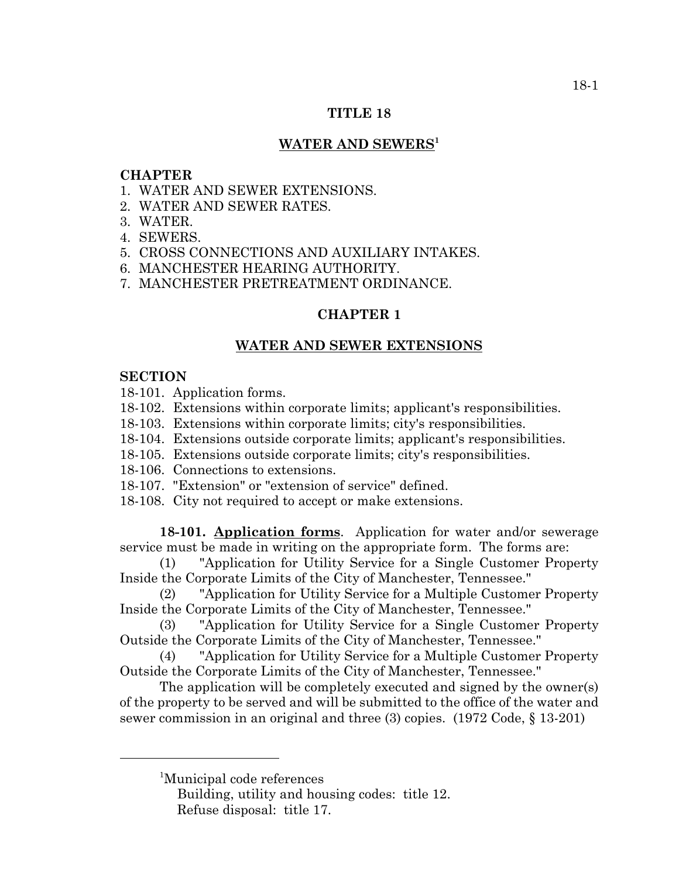### **TITLE 18**

## **WATER AND SEWERS1**

### **CHAPTER**

- 1. WATER AND SEWER EXTENSIONS.
- 2. WATER AND SEWER RATES.
- 3. WATER.
- 4. SEWERS.
- 5. CROSS CONNECTIONS AND AUXILIARY INTAKES.
- 6. MANCHESTER HEARING AUTHORITY.
- 7. MANCHESTER PRETREATMENT ORDINANCE.

## **CHAPTER 1**

### **WATER AND SEWER EXTENSIONS**

### **SECTION**

18-101. Application forms.

- 18-102. Extensions within corporate limits; applicant's responsibilities.
- 18-103. Extensions within corporate limits; city's responsibilities.
- 18-104. Extensions outside corporate limits; applicant's responsibilities.
- 18-105. Extensions outside corporate limits; city's responsibilities.
- 18-106. Connections to extensions.
- 18-107. "Extension" or "extension of service" defined.
- 18-108. City not required to accept or make extensions.

**18-101. Application forms**. Application for water and/or sewerage service must be made in writing on the appropriate form. The forms are:

(1) "Application for Utility Service for a Single Customer Property Inside the Corporate Limits of the City of Manchester, Tennessee."

(2) "Application for Utility Service for a Multiple Customer Property Inside the Corporate Limits of the City of Manchester, Tennessee."

(3) "Application for Utility Service for a Single Customer Property Outside the Corporate Limits of the City of Manchester, Tennessee."

(4) "Application for Utility Service for a Multiple Customer Property Outside the Corporate Limits of the City of Manchester, Tennessee."

The application will be completely executed and signed by the owner(s) of the property to be served and will be submitted to the office of the water and sewer commission in an original and three (3) copies. (1972 Code, § 13-201)

<sup>&</sup>lt;sup>1</sup>Municipal code references

Building, utility and housing codes: title 12. Refuse disposal: title 17.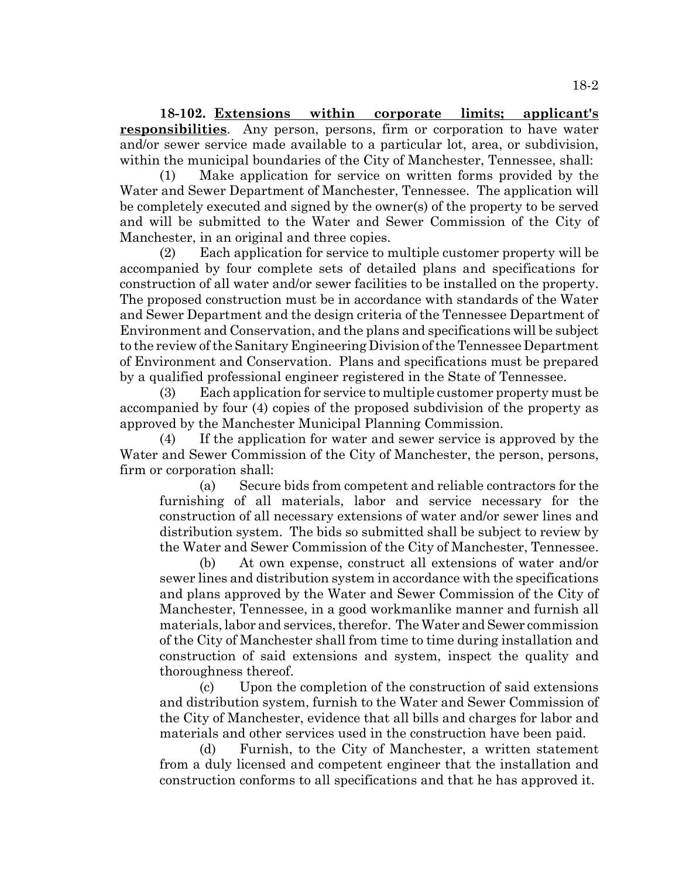**18-102. Extensions within corporate limits; applicant's responsibilities**. Any person, persons, firm or corporation to have water and/or sewer service made available to a particular lot, area, or subdivision, within the municipal boundaries of the City of Manchester, Tennessee, shall:

(1) Make application for service on written forms provided by the Water and Sewer Department of Manchester, Tennessee. The application will be completely executed and signed by the owner(s) of the property to be served and will be submitted to the Water and Sewer Commission of the City of Manchester, in an original and three copies.

(2) Each application for service to multiple customer property will be accompanied by four complete sets of detailed plans and specifications for construction of all water and/or sewer facilities to be installed on the property. The proposed construction must be in accordance with standards of the Water and Sewer Department and the design criteria of the Tennessee Department of Environment and Conservation, and the plans and specifications will be subject to the review of the Sanitary Engineering Division of the Tennessee Department of Environment and Conservation. Plans and specifications must be prepared by a qualified professional engineer registered in the State of Tennessee.

(3) Each application for service to multiple customer property must be accompanied by four (4) copies of the proposed subdivision of the property as approved by the Manchester Municipal Planning Commission.

(4) If the application for water and sewer service is approved by the Water and Sewer Commission of the City of Manchester, the person, persons, firm or corporation shall:

(a) Secure bids from competent and reliable contractors for the furnishing of all materials, labor and service necessary for the construction of all necessary extensions of water and/or sewer lines and distribution system. The bids so submitted shall be subject to review by the Water and Sewer Commission of the City of Manchester, Tennessee.

(b) At own expense, construct all extensions of water and/or sewer lines and distribution system in accordance with the specifications and plans approved by the Water and Sewer Commission of the City of Manchester, Tennessee, in a good workmanlike manner and furnish all materials, labor and services, therefor. The Water and Sewer commission of the City of Manchester shall from time to time during installation and construction of said extensions and system, inspect the quality and thoroughness thereof.

(c) Upon the completion of the construction of said extensions and distribution system, furnish to the Water and Sewer Commission of the City of Manchester, evidence that all bills and charges for labor and materials and other services used in the construction have been paid.

(d) Furnish, to the City of Manchester, a written statement from a duly licensed and competent engineer that the installation and construction conforms to all specifications and that he has approved it.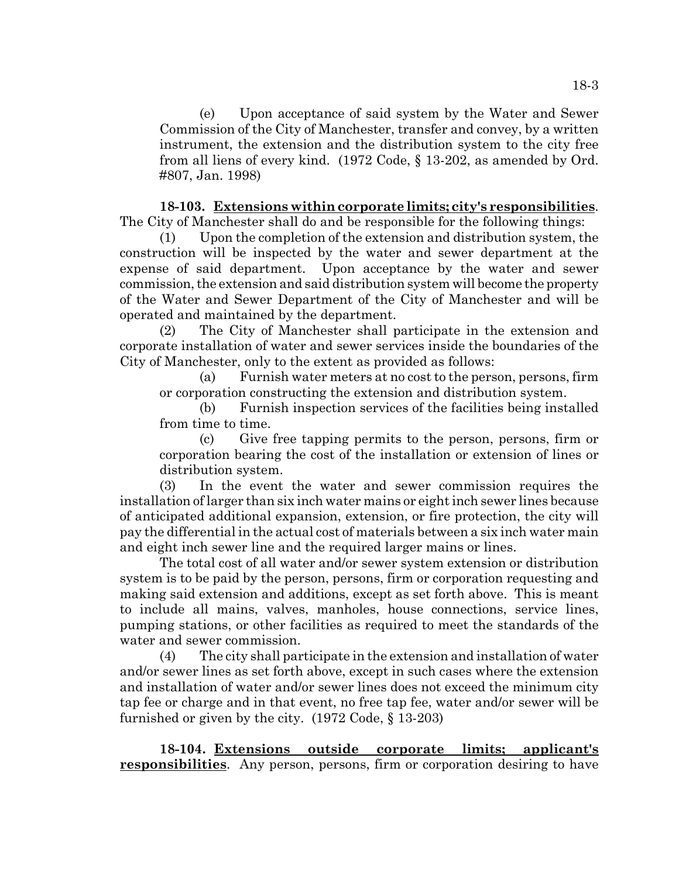(e) Upon acceptance of said system by the Water and Sewer Commission of the City of Manchester, transfer and convey, by a written instrument, the extension and the distribution system to the city free from all liens of every kind. (1972 Code, § 13-202, as amended by Ord. #807, Jan. 1998)

**18-103. Extensions within corporate limits; city's responsibilities**. The City of Manchester shall do and be responsible for the following things:

(1) Upon the completion of the extension and distribution system, the construction will be inspected by the water and sewer department at the expense of said department. Upon acceptance by the water and sewer commission, the extension and said distribution system will become the property of the Water and Sewer Department of the City of Manchester and will be operated and maintained by the department.

(2) The City of Manchester shall participate in the extension and corporate installation of water and sewer services inside the boundaries of the City of Manchester, only to the extent as provided as follows:

(a) Furnish water meters at no cost to the person, persons, firm or corporation constructing the extension and distribution system.

(b) Furnish inspection services of the facilities being installed from time to time.

(c) Give free tapping permits to the person, persons, firm or corporation bearing the cost of the installation or extension of lines or distribution system.

(3) In the event the water and sewer commission requires the installation of larger than six inch water mains or eight inch sewer lines because of anticipated additional expansion, extension, or fire protection, the city will pay the differential in the actual cost of materials between a six inch water main and eight inch sewer line and the required larger mains or lines.

The total cost of all water and/or sewer system extension or distribution system is to be paid by the person, persons, firm or corporation requesting and making said extension and additions, except as set forth above. This is meant to include all mains, valves, manholes, house connections, service lines, pumping stations, or other facilities as required to meet the standards of the water and sewer commission.

(4) The city shall participate in the extension and installation of water and/or sewer lines as set forth above, except in such cases where the extension and installation of water and/or sewer lines does not exceed the minimum city tap fee or charge and in that event, no free tap fee, water and/or sewer will be furnished or given by the city. (1972 Code, § 13-203)

**18-104. Extensions outside corporate limits; applicant's responsibilities**. Any person, persons, firm or corporation desiring to have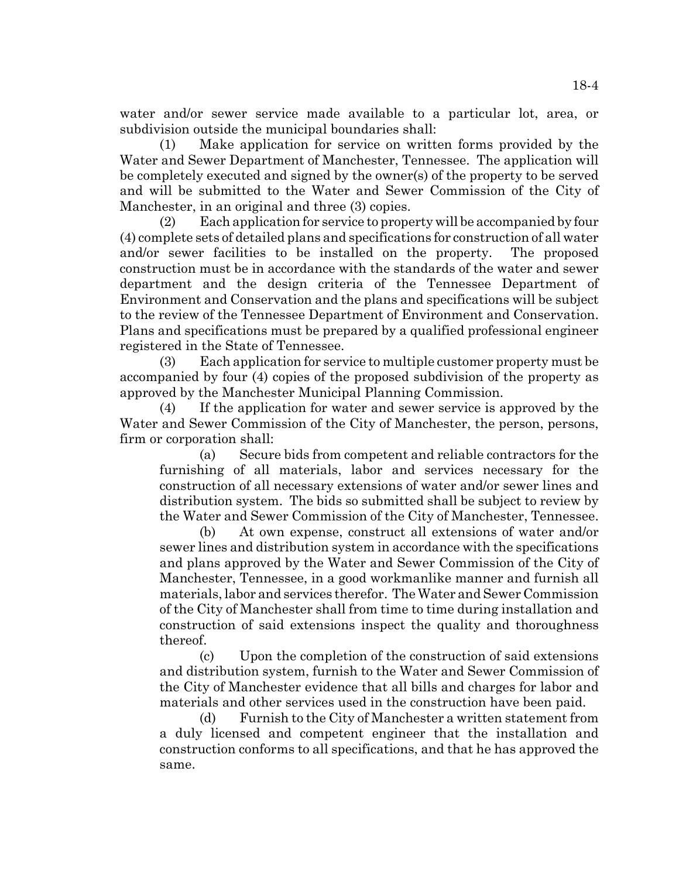water and/or sewer service made available to a particular lot, area, or subdivision outside the municipal boundaries shall:

(1) Make application for service on written forms provided by the Water and Sewer Department of Manchester, Tennessee. The application will be completely executed and signed by the owner(s) of the property to be served and will be submitted to the Water and Sewer Commission of the City of Manchester, in an original and three (3) copies.

(2) Each application for service to property will be accompanied by four (4) complete sets of detailed plans and specifications for construction of all water and/or sewer facilities to be installed on the property. The proposed construction must be in accordance with the standards of the water and sewer department and the design criteria of the Tennessee Department of Environment and Conservation and the plans and specifications will be subject to the review of the Tennessee Department of Environment and Conservation. Plans and specifications must be prepared by a qualified professional engineer registered in the State of Tennessee.

(3) Each application for service to multiple customer property must be accompanied by four (4) copies of the proposed subdivision of the property as approved by the Manchester Municipal Planning Commission.

(4) If the application for water and sewer service is approved by the Water and Sewer Commission of the City of Manchester, the person, persons, firm or corporation shall:

(a) Secure bids from competent and reliable contractors for the furnishing of all materials, labor and services necessary for the construction of all necessary extensions of water and/or sewer lines and distribution system. The bids so submitted shall be subject to review by the Water and Sewer Commission of the City of Manchester, Tennessee.

(b) At own expense, construct all extensions of water and/or sewer lines and distribution system in accordance with the specifications and plans approved by the Water and Sewer Commission of the City of Manchester, Tennessee, in a good workmanlike manner and furnish all materials, labor and services therefor. The Water and Sewer Commission of the City of Manchester shall from time to time during installation and construction of said extensions inspect the quality and thoroughness thereof.

(c) Upon the completion of the construction of said extensions and distribution system, furnish to the Water and Sewer Commission of the City of Manchester evidence that all bills and charges for labor and materials and other services used in the construction have been paid.

(d) Furnish to the City of Manchester a written statement from a duly licensed and competent engineer that the installation and construction conforms to all specifications, and that he has approved the same.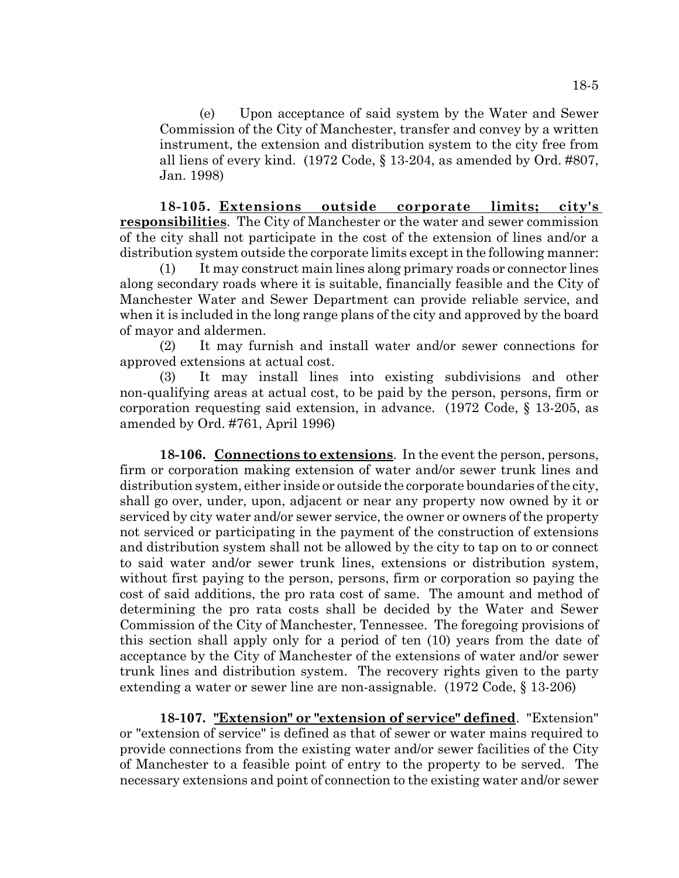(e) Upon acceptance of said system by the Water and Sewer Commission of the City of Manchester, transfer and convey by a written instrument, the extension and distribution system to the city free from all liens of every kind. (1972 Code, § 13-204, as amended by Ord. #807, Jan. 1998)

**18-105. Extensions outside corporate limits; city's responsibilities**. The City of Manchester or the water and sewer commission of the city shall not participate in the cost of the extension of lines and/or a distribution system outside the corporate limits except in the following manner:

(1) It may construct main lines along primary roads or connector lines along secondary roads where it is suitable, financially feasible and the City of Manchester Water and Sewer Department can provide reliable service, and when it is included in the long range plans of the city and approved by the board of mayor and aldermen.

(2) It may furnish and install water and/or sewer connections for approved extensions at actual cost.

(3) It may install lines into existing subdivisions and other non-qualifying areas at actual cost, to be paid by the person, persons, firm or corporation requesting said extension, in advance. (1972 Code, § 13-205, as amended by Ord. #761, April 1996)

**18-106. Connections to extensions**. In the event the person, persons, firm or corporation making extension of water and/or sewer trunk lines and distribution system, either inside or outside the corporate boundaries of the city, shall go over, under, upon, adjacent or near any property now owned by it or serviced by city water and/or sewer service, the owner or owners of the property not serviced or participating in the payment of the construction of extensions and distribution system shall not be allowed by the city to tap on to or connect to said water and/or sewer trunk lines, extensions or distribution system, without first paying to the person, persons, firm or corporation so paying the cost of said additions, the pro rata cost of same. The amount and method of determining the pro rata costs shall be decided by the Water and Sewer Commission of the City of Manchester, Tennessee. The foregoing provisions of this section shall apply only for a period of ten (10) years from the date of acceptance by the City of Manchester of the extensions of water and/or sewer trunk lines and distribution system. The recovery rights given to the party extending a water or sewer line are non-assignable. (1972 Code, § 13-206)

**18-107. "Extension" or "extension of service" defined**. "Extension" or "extension of service" is defined as that of sewer or water mains required to provide connections from the existing water and/or sewer facilities of the City of Manchester to a feasible point of entry to the property to be served. The necessary extensions and point of connection to the existing water and/or sewer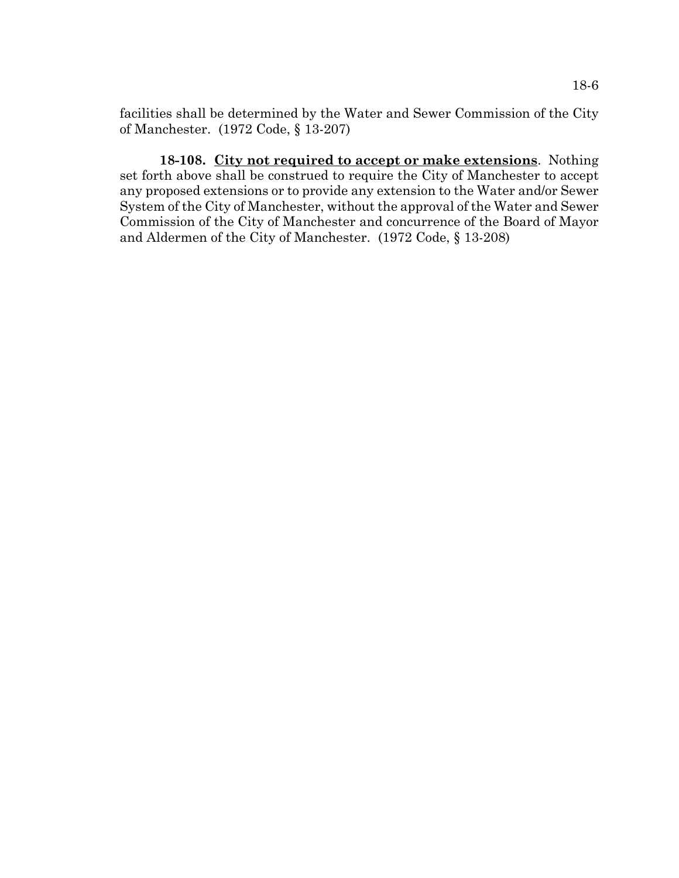facilities shall be determined by the Water and Sewer Commission of the City of Manchester. (1972 Code, § 13-207)

**18-108. City not required to accept or make extensions**. Nothing set forth above shall be construed to require the City of Manchester to accept any proposed extensions or to provide any extension to the Water and/or Sewer System of the City of Manchester, without the approval of the Water and Sewer Commission of the City of Manchester and concurrence of the Board of Mayor and Aldermen of the City of Manchester. (1972 Code, § 13-208)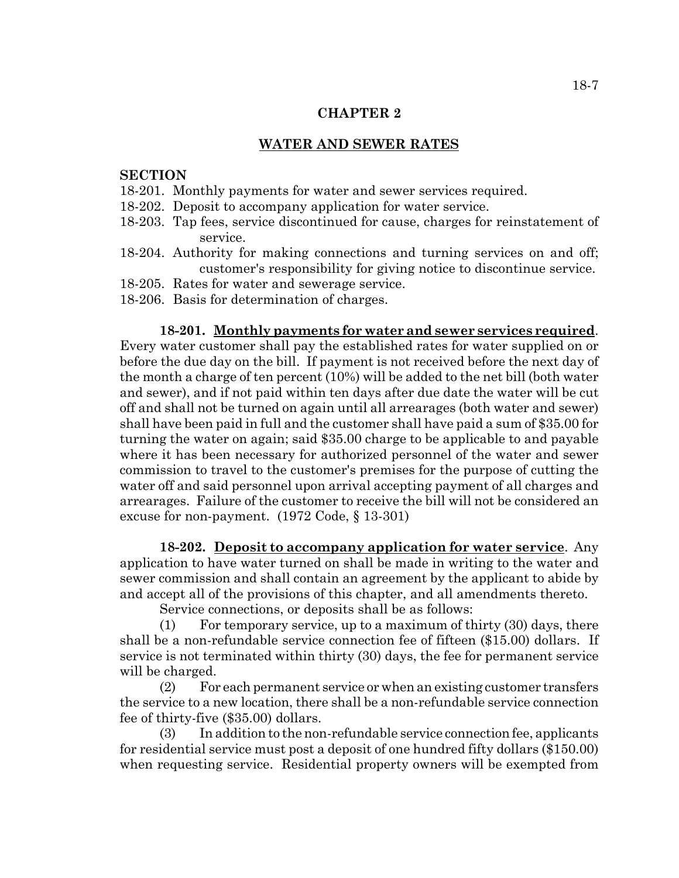#### **CHAPTER 2**

#### **WATER AND SEWER RATES**

### **SECTION**

- 18-201. Monthly payments for water and sewer services required.
- 18-202. Deposit to accompany application for water service.
- 18-203. Tap fees, service discontinued for cause, charges for reinstatement of service.
- 18-204. Authority for making connections and turning services on and off; customer's responsibility for giving notice to discontinue service.
- 18-205. Rates for water and sewerage service.
- 18-206. Basis for determination of charges.

**18-201. Monthly payments for water and sewer services required**. Every water customer shall pay the established rates for water supplied on or before the due day on the bill. If payment is not received before the next day of the month a charge of ten percent (10%) will be added to the net bill (both water and sewer), and if not paid within ten days after due date the water will be cut off and shall not be turned on again until all arrearages (both water and sewer) shall have been paid in full and the customer shall have paid a sum of \$35.00 for turning the water on again; said \$35.00 charge to be applicable to and payable where it has been necessary for authorized personnel of the water and sewer commission to travel to the customer's premises for the purpose of cutting the water off and said personnel upon arrival accepting payment of all charges and arrearages. Failure of the customer to receive the bill will not be considered an excuse for non-payment. (1972 Code, § 13-301)

**18-202. Deposit to accompany application for water service**. Any application to have water turned on shall be made in writing to the water and sewer commission and shall contain an agreement by the applicant to abide by and accept all of the provisions of this chapter, and all amendments thereto.

Service connections, or deposits shall be as follows:

(1) For temporary service, up to a maximum of thirty (30) days, there shall be a non-refundable service connection fee of fifteen (\$15.00) dollars. If service is not terminated within thirty (30) days, the fee for permanent service will be charged.

(2) For each permanent service or when an existing customer transfers the service to a new location, there shall be a non-refundable service connection fee of thirty-five (\$35.00) dollars.

(3) In addition to the non-refundable service connection fee, applicants for residential service must post a deposit of one hundred fifty dollars (\$150.00) when requesting service. Residential property owners will be exempted from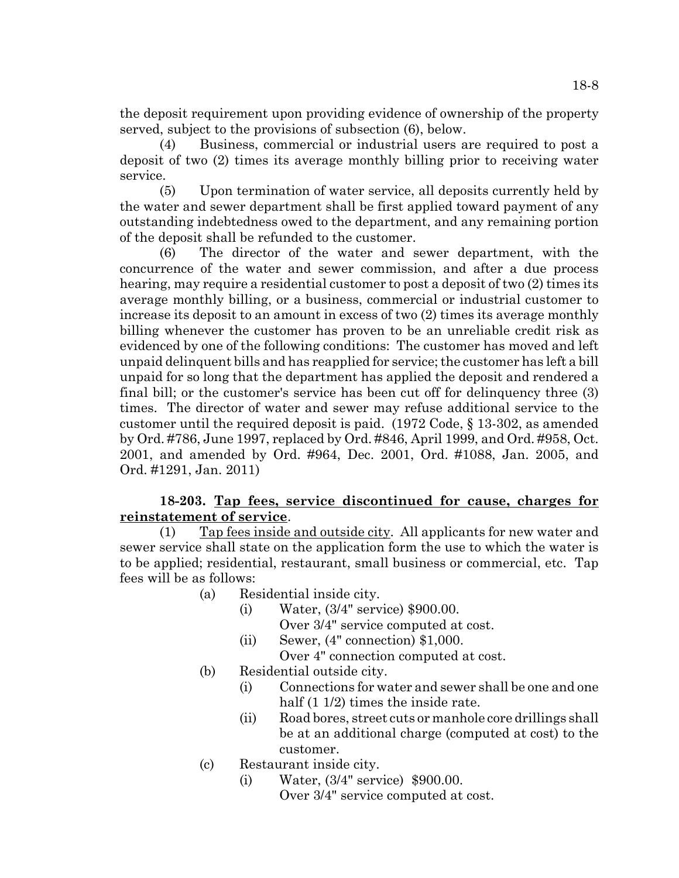the deposit requirement upon providing evidence of ownership of the property served, subject to the provisions of subsection (6), below.

(4) Business, commercial or industrial users are required to post a deposit of two (2) times its average monthly billing prior to receiving water service.

(5) Upon termination of water service, all deposits currently held by the water and sewer department shall be first applied toward payment of any outstanding indebtedness owed to the department, and any remaining portion of the deposit shall be refunded to the customer.

(6) The director of the water and sewer department, with the concurrence of the water and sewer commission, and after a due process hearing, may require a residential customer to post a deposit of two (2) times its average monthly billing, or a business, commercial or industrial customer to increase its deposit to an amount in excess of two (2) times its average monthly billing whenever the customer has proven to be an unreliable credit risk as evidenced by one of the following conditions: The customer has moved and left unpaid delinquent bills and has reapplied for service; the customer has left a bill unpaid for so long that the department has applied the deposit and rendered a final bill; or the customer's service has been cut off for delinquency three (3) times. The director of water and sewer may refuse additional service to the customer until the required deposit is paid. (1972 Code, § 13-302, as amended by Ord. #786, June 1997, replaced by Ord. #846, April 1999, and Ord. #958, Oct. 2001, and amended by Ord. #964, Dec. 2001, Ord. #1088, Jan. 2005, and Ord. #1291, Jan. 2011)

## **18-203. Tap fees, service discontinued for cause, charges for reinstatement of service**.

(1) Tap fees inside and outside city. All applicants for new water and sewer service shall state on the application form the use to which the water is to be applied; residential, restaurant, small business or commercial, etc. Tap fees will be as follows:

- (a) Residential inside city.
	- (i) Water, (3/4" service) \$900.00. Over 3/4" service computed at cost.
	- (ii) Sewer, (4" connection) \$1,000.
	- Over 4" connection computed at cost.
- (b) Residential outside city.
	- (i) Connections for water and sewer shall be one and one half (1 1/2) times the inside rate.
	- (ii) Road bores, street cuts or manhole core drillings shall be at an additional charge (computed at cost) to the customer.
- (c) Restaurant inside city.
	- (i) Water, (3/4" service) \$900.00. Over 3/4" service computed at cost.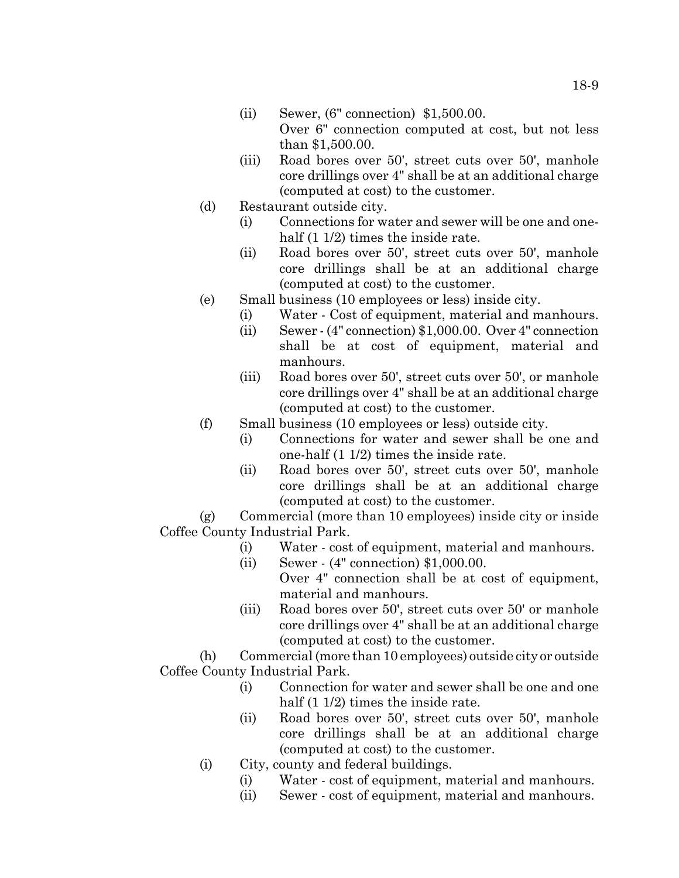- (ii) Sewer, (6" connection) \$1,500.00. Over 6" connection computed at cost, but not less than \$1,500.00.
- (iii) Road bores over 50', street cuts over 50', manhole core drillings over 4" shall be at an additional charge (computed at cost) to the customer.
- (d) Restaurant outside city.
	- (i) Connections for water and sewer will be one and onehalf  $(1 1/2)$  times the inside rate.
	- (ii) Road bores over 50', street cuts over 50', manhole core drillings shall be at an additional charge (computed at cost) to the customer.
- (e) Small business (10 employees or less) inside city.
	- (i) Water Cost of equipment, material and manhours.
	- (ii) Sewer (4" connection) \$1,000.00. Over 4" connection shall be at cost of equipment, material and manhours.
	- (iii) Road bores over 50', street cuts over 50', or manhole core drillings over 4" shall be at an additional charge (computed at cost) to the customer.
- (f) Small business (10 employees or less) outside city.
	- (i) Connections for water and sewer shall be one and one-half (1 1/2) times the inside rate.
	- (ii) Road bores over 50', street cuts over 50', manhole core drillings shall be at an additional charge (computed at cost) to the customer.

(g) Commercial (more than 10 employees) inside city or inside Coffee County Industrial Park.

- (i) Water cost of equipment, material and manhours.
- (ii) Sewer (4" connection) \$1,000.00.
	- Over 4" connection shall be at cost of equipment, material and manhours.
- (iii) Road bores over 50', street cuts over 50' or manhole core drillings over 4" shall be at an additional charge (computed at cost) to the customer.

(h) Commercial (more than 10 employees) outside city or outside Coffee County Industrial Park.

- (i) Connection for water and sewer shall be one and one half  $(1\ 1/2)$  times the inside rate.
- (ii) Road bores over 50', street cuts over 50', manhole core drillings shall be at an additional charge (computed at cost) to the customer.
- (i) City, county and federal buildings.
	- (i) Water cost of equipment, material and manhours.
	- (ii) Sewer cost of equipment, material and manhours.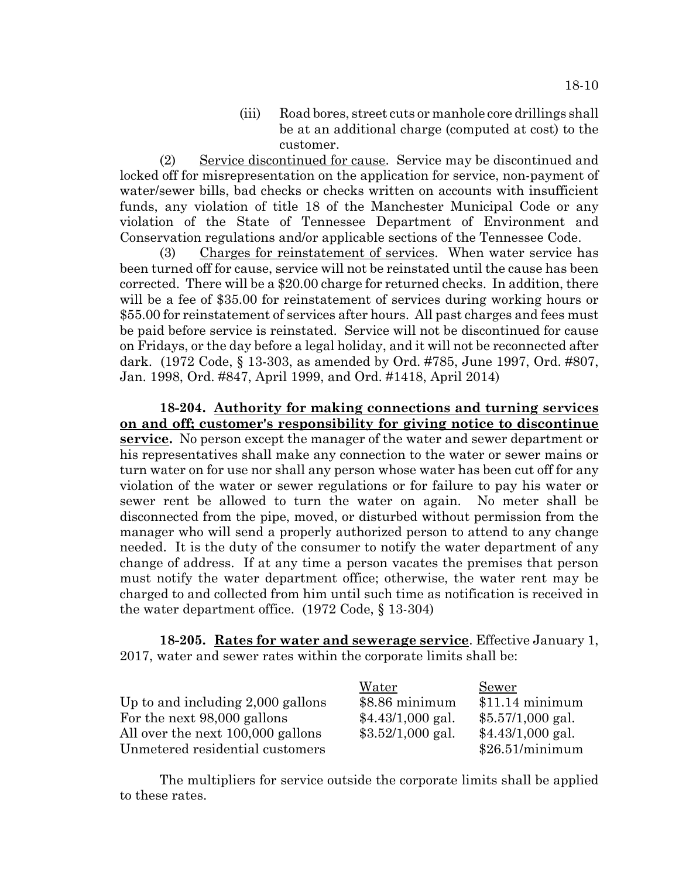(iii) Road bores, street cuts or manhole core drillings shall be at an additional charge (computed at cost) to the customer.

(2) Service discontinued for cause. Service may be discontinued and locked off for misrepresentation on the application for service, non-payment of water/sewer bills, bad checks or checks written on accounts with insufficient funds, any violation of title 18 of the Manchester Municipal Code or any violation of the State of Tennessee Department of Environment and Conservation regulations and/or applicable sections of the Tennessee Code.

(3) Charges for reinstatement of services. When water service has been turned off for cause, service will not be reinstated until the cause has been corrected. There will be a \$20.00 charge for returned checks. In addition, there will be a fee of \$35.00 for reinstatement of services during working hours or \$55.00 for reinstatement of services after hours. All past charges and fees must be paid before service is reinstated. Service will not be discontinued for cause on Fridays, or the day before a legal holiday, and it will not be reconnected after dark. (1972 Code, § 13-303, as amended by Ord. #785, June 1997, Ord. #807, Jan. 1998, Ord. #847, April 1999, and Ord. #1418, April 2014)

**18-204. Authority for making connections and turning services on and off; customer's responsibility for giving notice to discontinue service.** No person except the manager of the water and sewer department or his representatives shall make any connection to the water or sewer mains or turn water on for use nor shall any person whose water has been cut off for any violation of the water or sewer regulations or for failure to pay his water or sewer rent be allowed to turn the water on again. No meter shall be disconnected from the pipe, moved, or disturbed without permission from the manager who will send a properly authorized person to attend to any change needed. It is the duty of the consumer to notify the water department of any change of address. If at any time a person vacates the premises that person must notify the water department office; otherwise, the water rent may be charged to and collected from him until such time as notification is received in the water department office. (1972 Code, § 13-304)

**18-205. Rates for water and sewerage service**. Effective January 1, 2017, water and sewer rates within the corporate limits shall be:

|                                     | Water              | Sewer              |
|-------------------------------------|--------------------|--------------------|
| Up to and including $2,000$ gallons | $$8.86$ minimum    | $$11.14$ minimum   |
| For the next 98,000 gallons         | $$4.43/1,000$ gal. | $$5.57/1,000$ gal. |
| All over the next 100,000 gallons   | $$3.52/1,000$ gal. | $$4.43/1,000$ gal. |
| Unmetered residential customers     |                    | \$26.51/minimum    |

The multipliers for service outside the corporate limits shall be applied to these rates.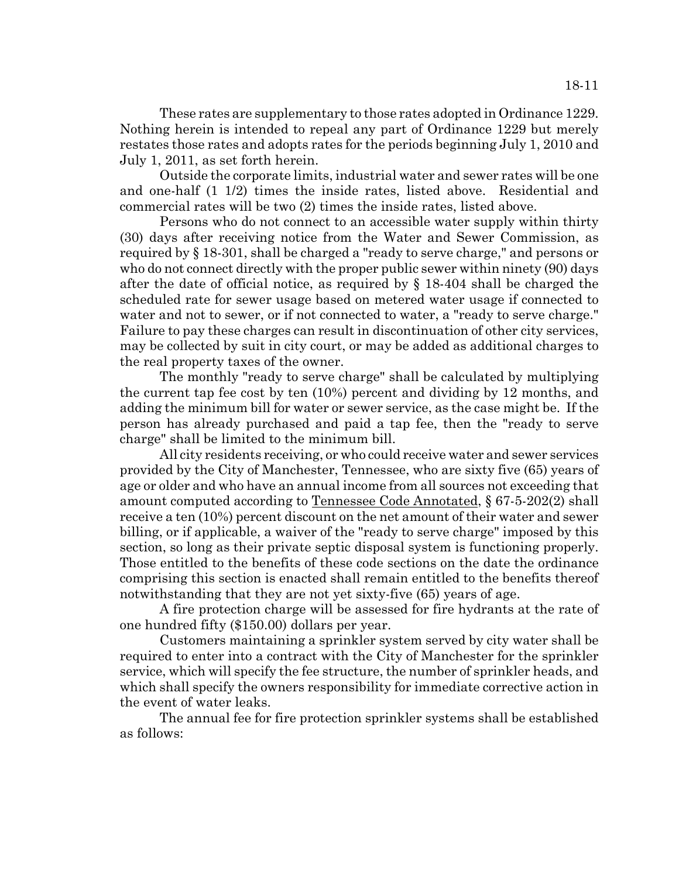These rates are supplementary to those rates adopted in Ordinance 1229. Nothing herein is intended to repeal any part of Ordinance 1229 but merely restates those rates and adopts rates for the periods beginning July 1, 2010 and July 1, 2011, as set forth herein.

Outside the corporate limits, industrial water and sewer rates will be one and one-half (1 1/2) times the inside rates, listed above. Residential and commercial rates will be two (2) times the inside rates, listed above.

Persons who do not connect to an accessible water supply within thirty (30) days after receiving notice from the Water and Sewer Commission, as required by § 18-301, shall be charged a "ready to serve charge," and persons or who do not connect directly with the proper public sewer within ninety (90) days after the date of official notice, as required by § 18-404 shall be charged the scheduled rate for sewer usage based on metered water usage if connected to water and not to sewer, or if not connected to water, a "ready to serve charge." Failure to pay these charges can result in discontinuation of other city services, may be collected by suit in city court, or may be added as additional charges to the real property taxes of the owner.

The monthly "ready to serve charge" shall be calculated by multiplying the current tap fee cost by ten (10%) percent and dividing by 12 months, and adding the minimum bill for water or sewer service, as the case might be. If the person has already purchased and paid a tap fee, then the "ready to serve charge" shall be limited to the minimum bill.

All city residents receiving, or who could receive water and sewer services provided by the City of Manchester, Tennessee, who are sixty five (65) years of age or older and who have an annual income from all sources not exceeding that amount computed according to Tennessee Code Annotated, § 67-5-202(2) shall receive a ten (10%) percent discount on the net amount of their water and sewer billing, or if applicable, a waiver of the "ready to serve charge" imposed by this section, so long as their private septic disposal system is functioning properly. Those entitled to the benefits of these code sections on the date the ordinance comprising this section is enacted shall remain entitled to the benefits thereof notwithstanding that they are not yet sixty-five (65) years of age.

A fire protection charge will be assessed for fire hydrants at the rate of one hundred fifty (\$150.00) dollars per year.

Customers maintaining a sprinkler system served by city water shall be required to enter into a contract with the City of Manchester for the sprinkler service, which will specify the fee structure, the number of sprinkler heads, and which shall specify the owners responsibility for immediate corrective action in the event of water leaks.

The annual fee for fire protection sprinkler systems shall be established as follows: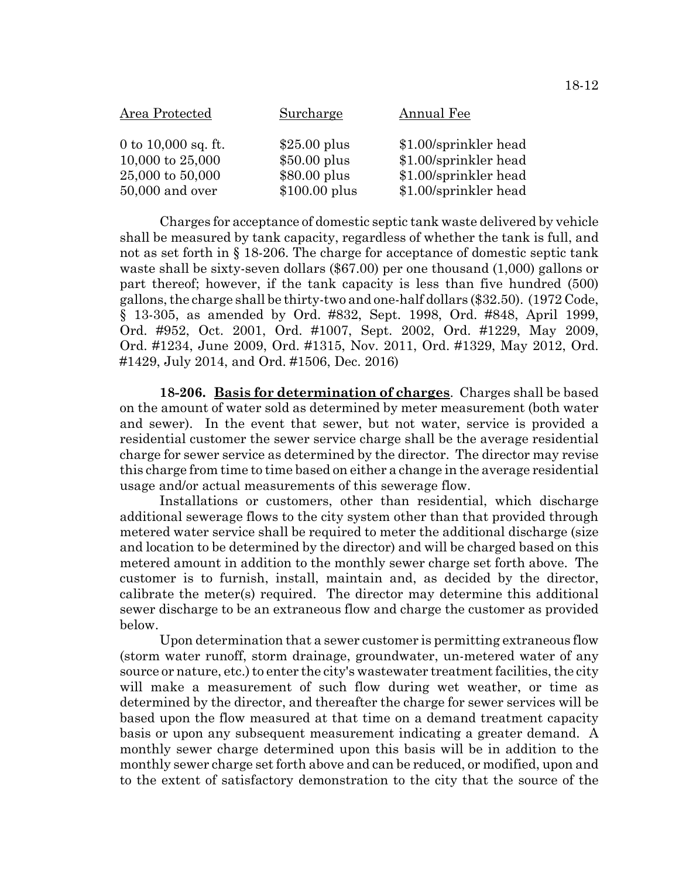| Area Protected        | Surcharge      | Annual Fee            |
|-----------------------|----------------|-----------------------|
| 0 to $10,000$ sq. ft. | $$25.00$ plus  | \$1.00/sprinkler head |
| 10,000 to $25,000$    | $$50.00$ plus  | \$1.00/sprinkler head |
| 25,000 to 50,000      | $$80.00$ plus  | \$1.00/sprinkler head |
| $50,000$ and over     | $$100.00$ plus | \$1.00/sprinkler head |

Charges for acceptance of domestic septic tank waste delivered by vehicle shall be measured by tank capacity, regardless of whether the tank is full, and not as set forth in § 18-206. The charge for acceptance of domestic septic tank waste shall be sixty-seven dollars (\$67.00) per one thousand (1,000) gallons or part thereof; however, if the tank capacity is less than five hundred (500) gallons, the charge shall be thirty-two and one-half dollars (\$32.50). (1972 Code, § 13-305, as amended by Ord. #832, Sept. 1998, Ord. #848, April 1999, Ord. #952, Oct. 2001, Ord. #1007, Sept. 2002, Ord. #1229, May 2009, Ord. #1234, June 2009, Ord. #1315, Nov. 2011, Ord. #1329, May 2012, Ord. #1429, July 2014, and Ord. #1506, Dec. 2016)

**18-206. Basis for determination of charges**. Charges shall be based on the amount of water sold as determined by meter measurement (both water and sewer). In the event that sewer, but not water, service is provided a residential customer the sewer service charge shall be the average residential charge for sewer service as determined by the director. The director may revise this charge from time to time based on either a change in the average residential usage and/or actual measurements of this sewerage flow.

Installations or customers, other than residential, which discharge additional sewerage flows to the city system other than that provided through metered water service shall be required to meter the additional discharge (size and location to be determined by the director) and will be charged based on this metered amount in addition to the monthly sewer charge set forth above. The customer is to furnish, install, maintain and, as decided by the director, calibrate the meter(s) required. The director may determine this additional sewer discharge to be an extraneous flow and charge the customer as provided below.

Upon determination that a sewer customer is permitting extraneous flow (storm water runoff, storm drainage, groundwater, un-metered water of any source or nature, etc.) to enter the city's wastewater treatment facilities, the city will make a measurement of such flow during wet weather, or time as determined by the director, and thereafter the charge for sewer services will be based upon the flow measured at that time on a demand treatment capacity basis or upon any subsequent measurement indicating a greater demand. A monthly sewer charge determined upon this basis will be in addition to the monthly sewer charge set forth above and can be reduced, or modified, upon and to the extent of satisfactory demonstration to the city that the source of the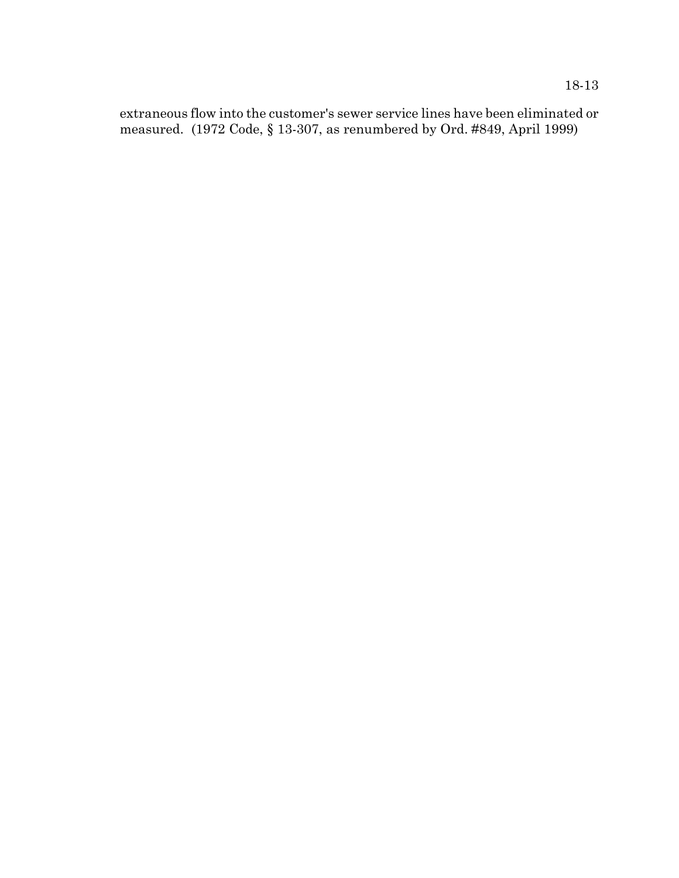18-13

extraneous flow into the customer's sewer service lines have been eliminated or measured. (1972 Code, § 13-307, as renumbered by Ord. #849, April 1999)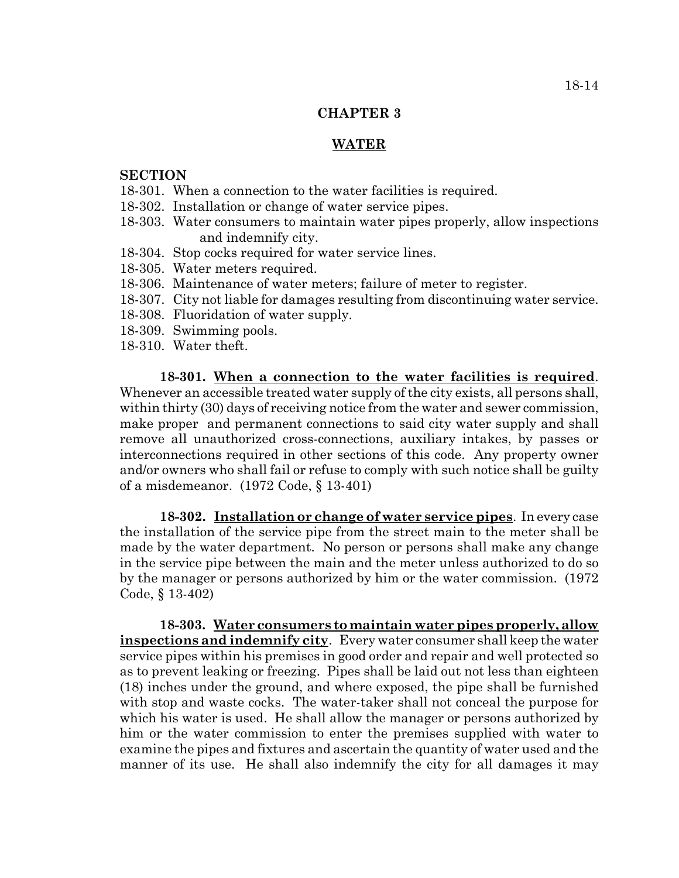#### **CHAPTER 3**

### **WATER**

### **SECTION**

- 18-301. When a connection to the water facilities is required.
- 18-302. Installation or change of water service pipes.
- 18-303. Water consumers to maintain water pipes properly, allow inspections and indemnify city.
- 18-304. Stop cocks required for water service lines.
- 18-305. Water meters required.
- 18-306. Maintenance of water meters; failure of meter to register.
- 18-307. City not liable for damages resulting from discontinuing water service.
- 18-308. Fluoridation of water supply.
- 18-309. Swimming pools.
- 18-310. Water theft.

**18-301. When a connection to the water facilities is required**. Whenever an accessible treated water supply of the city exists, all persons shall, within thirty (30) days of receiving notice from the water and sewer commission, make proper and permanent connections to said city water supply and shall remove all unauthorized cross-connections, auxiliary intakes, by passes or interconnections required in other sections of this code. Any property owner and/or owners who shall fail or refuse to comply with such notice shall be guilty of a misdemeanor. (1972 Code, § 13-401)

**18-302. Installation or change of water service pipes**. In every case the installation of the service pipe from the street main to the meter shall be made by the water department. No person or persons shall make any change in the service pipe between the main and the meter unless authorized to do so by the manager or persons authorized by him or the water commission. (1972 Code, § 13-402)

**18-303. Water consumers to maintain water pipes properly, allow inspections and indemnify city**. Every water consumer shall keep the water service pipes within his premises in good order and repair and well protected so as to prevent leaking or freezing. Pipes shall be laid out not less than eighteen (18) inches under the ground, and where exposed, the pipe shall be furnished with stop and waste cocks. The water-taker shall not conceal the purpose for which his water is used. He shall allow the manager or persons authorized by him or the water commission to enter the premises supplied with water to examine the pipes and fixtures and ascertain the quantity of water used and the manner of its use. He shall also indemnify the city for all damages it may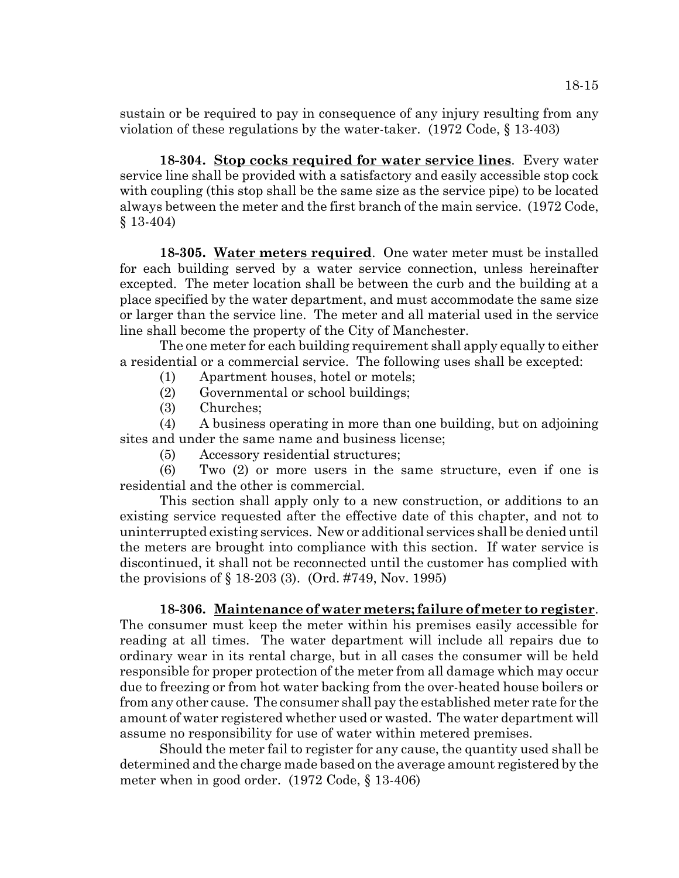sustain or be required to pay in consequence of any injury resulting from any violation of these regulations by the water-taker. (1972 Code, § 13-403)

**18-304. Stop cocks required for water service lines**. Every water service line shall be provided with a satisfactory and easily accessible stop cock with coupling (this stop shall be the same size as the service pipe) to be located always between the meter and the first branch of the main service. (1972 Code, § 13-404)

**18-305. Water meters required**. One water meter must be installed for each building served by a water service connection, unless hereinafter excepted. The meter location shall be between the curb and the building at a place specified by the water department, and must accommodate the same size or larger than the service line. The meter and all material used in the service line shall become the property of the City of Manchester.

The one meter for each building requirement shall apply equally to either a residential or a commercial service. The following uses shall be excepted:

- (1) Apartment houses, hotel or motels;
- (2) Governmental or school buildings;
- (3) Churches;

(4) A business operating in more than one building, but on adjoining sites and under the same name and business license;

(5) Accessory residential structures;

(6) Two (2) or more users in the same structure, even if one is residential and the other is commercial.

This section shall apply only to a new construction, or additions to an existing service requested after the effective date of this chapter, and not to uninterrupted existing services. New or additional services shall be denied until the meters are brought into compliance with this section. If water service is discontinued, it shall not be reconnected until the customer has complied with the provisions of § 18-203 (3). (Ord. #749, Nov. 1995)

## **18-306. Maintenance of water meters; failure of meter to register**.

The consumer must keep the meter within his premises easily accessible for reading at all times. The water department will include all repairs due to ordinary wear in its rental charge, but in all cases the consumer will be held responsible for proper protection of the meter from all damage which may occur due to freezing or from hot water backing from the over-heated house boilers or from any other cause. The consumer shall pay the established meter rate for the amount of water registered whether used or wasted. The water department will assume no responsibility for use of water within metered premises.

Should the meter fail to register for any cause, the quantity used shall be determined and the charge made based on the average amount registered by the meter when in good order. (1972 Code, § 13-406)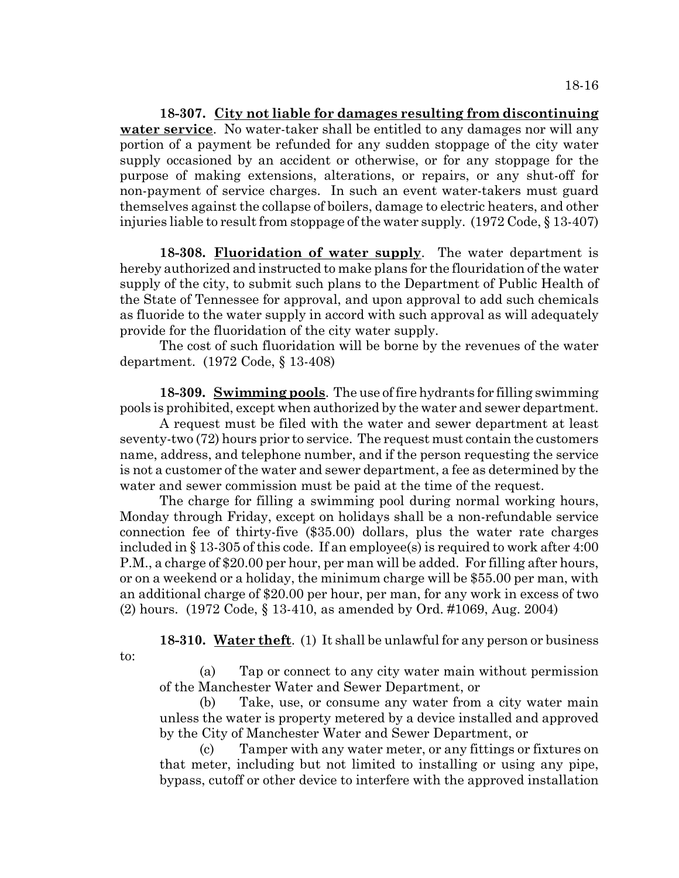**18-307. City not liable for damages resulting from discontinuing water service**. No water-taker shall be entitled to any damages nor will any portion of a payment be refunded for any sudden stoppage of the city water supply occasioned by an accident or otherwise, or for any stoppage for the purpose of making extensions, alterations, or repairs, or any shut-off for non-payment of service charges. In such an event water-takers must guard themselves against the collapse of boilers, damage to electric heaters, and other injuries liable to result from stoppage of the water supply. (1972 Code, § 13-407)

**18-308. Fluoridation of water supply**. The water department is hereby authorized and instructed to make plans for the flouridation of the water supply of the city, to submit such plans to the Department of Public Health of the State of Tennessee for approval, and upon approval to add such chemicals as fluoride to the water supply in accord with such approval as will adequately provide for the fluoridation of the city water supply.

The cost of such fluoridation will be borne by the revenues of the water department. (1972 Code, § 13-408)

**18-309. Swimming pools**. The use of fire hydrants for filling swimming pools is prohibited, except when authorized by the water and sewer department.

A request must be filed with the water and sewer department at least seventy-two (72) hours prior to service. The request must contain the customers name, address, and telephone number, and if the person requesting the service is not a customer of the water and sewer department, a fee as determined by the water and sewer commission must be paid at the time of the request.

The charge for filling a swimming pool during normal working hours, Monday through Friday, except on holidays shall be a non-refundable service connection fee of thirty-five (\$35.00) dollars, plus the water rate charges included in § 13-305 of this code. If an employee(s) is required to work after 4:00 P.M., a charge of \$20.00 per hour, per man will be added. For filling after hours, or on a weekend or a holiday, the minimum charge will be \$55.00 per man, with an additional charge of \$20.00 per hour, per man, for any work in excess of two (2) hours. (1972 Code, § 13-410, as amended by Ord. #1069, Aug. 2004)

to:

**18-310. Water theft**. (1) It shall be unlawful for any person or business

(a) Tap or connect to any city water main without permission of the Manchester Water and Sewer Department, or

(b) Take, use, or consume any water from a city water main unless the water is property metered by a device installed and approved by the City of Manchester Water and Sewer Department, or

(c) Tamper with any water meter, or any fittings or fixtures on that meter, including but not limited to installing or using any pipe, bypass, cutoff or other device to interfere with the approved installation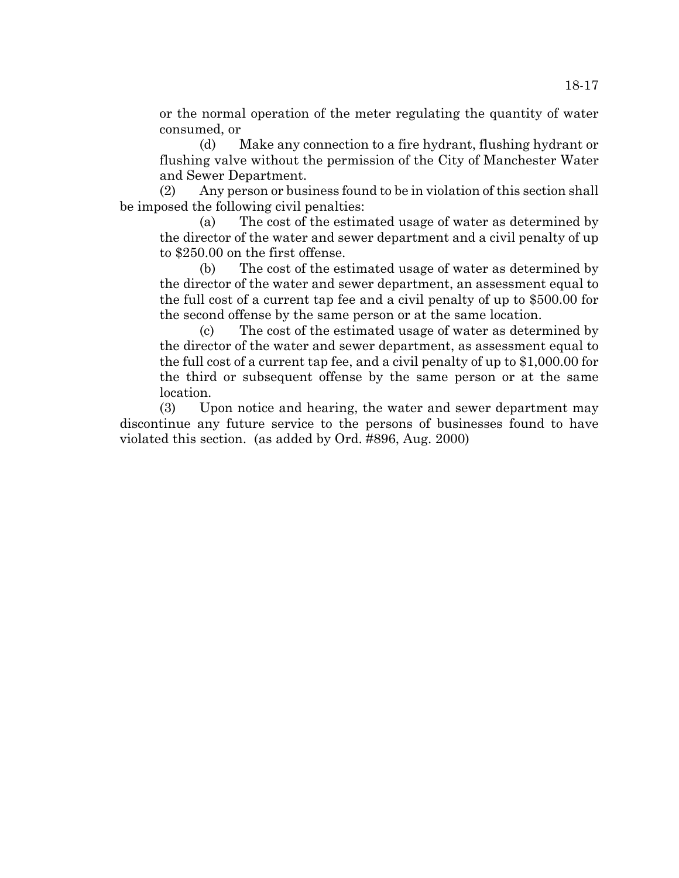or the normal operation of the meter regulating the quantity of water consumed, or

(d) Make any connection to a fire hydrant, flushing hydrant or flushing valve without the permission of the City of Manchester Water and Sewer Department.

(2) Any person or business found to be in violation of this section shall be imposed the following civil penalties:

(a) The cost of the estimated usage of water as determined by the director of the water and sewer department and a civil penalty of up to \$250.00 on the first offense.

(b) The cost of the estimated usage of water as determined by the director of the water and sewer department, an assessment equal to the full cost of a current tap fee and a civil penalty of up to \$500.00 for the second offense by the same person or at the same location.

(c) The cost of the estimated usage of water as determined by the director of the water and sewer department, as assessment equal to the full cost of a current tap fee, and a civil penalty of up to \$1,000.00 for the third or subsequent offense by the same person or at the same location.

(3) Upon notice and hearing, the water and sewer department may discontinue any future service to the persons of businesses found to have violated this section. (as added by Ord. #896, Aug. 2000)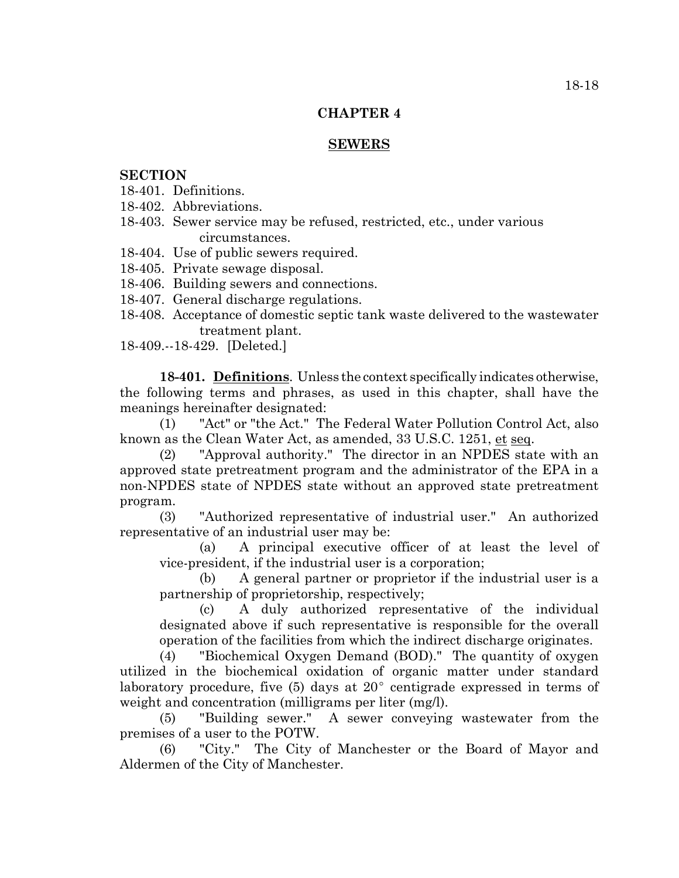### **CHAPTER 4**

## **SEWERS**

## **SECTION**

- 18-401. Definitions.
- 18-402. Abbreviations.
- 18-403. Sewer service may be refused, restricted, etc., under various circumstances.
- 18-404. Use of public sewers required.
- 18-405. Private sewage disposal.
- 18-406. Building sewers and connections.
- 18-407. General discharge regulations.
- 18-408. Acceptance of domestic septic tank waste delivered to the wastewater treatment plant.

18-409.--18-429. [Deleted.]

**18-401. Definitions**. Unless the context specifically indicates otherwise, the following terms and phrases, as used in this chapter, shall have the meanings hereinafter designated:

(1) "Act" or "the Act." The Federal Water Pollution Control Act, also known as the Clean Water Act, as amended, 33 U.S.C. 1251, et seq.

(2) "Approval authority." The director in an NPDES state with an approved state pretreatment program and the administrator of the EPA in a non-NPDES state of NPDES state without an approved state pretreatment program.

(3) "Authorized representative of industrial user." An authorized representative of an industrial user may be:

(a) A principal executive officer of at least the level of vice-president, if the industrial user is a corporation;

(b) A general partner or proprietor if the industrial user is a partnership of proprietorship, respectively;

(c) A duly authorized representative of the individual designated above if such representative is responsible for the overall operation of the facilities from which the indirect discharge originates.

(4) "Biochemical Oxygen Demand (BOD)." The quantity of oxygen utilized in the biochemical oxidation of organic matter under standard laboratory procedure, five  $(5)$  days at  $20^{\circ}$  centigrade expressed in terms of weight and concentration (milligrams per liter (mg/l).

(5) "Building sewer." A sewer conveying wastewater from the premises of a user to the POTW.

(6) "City." The City of Manchester or the Board of Mayor and Aldermen of the City of Manchester.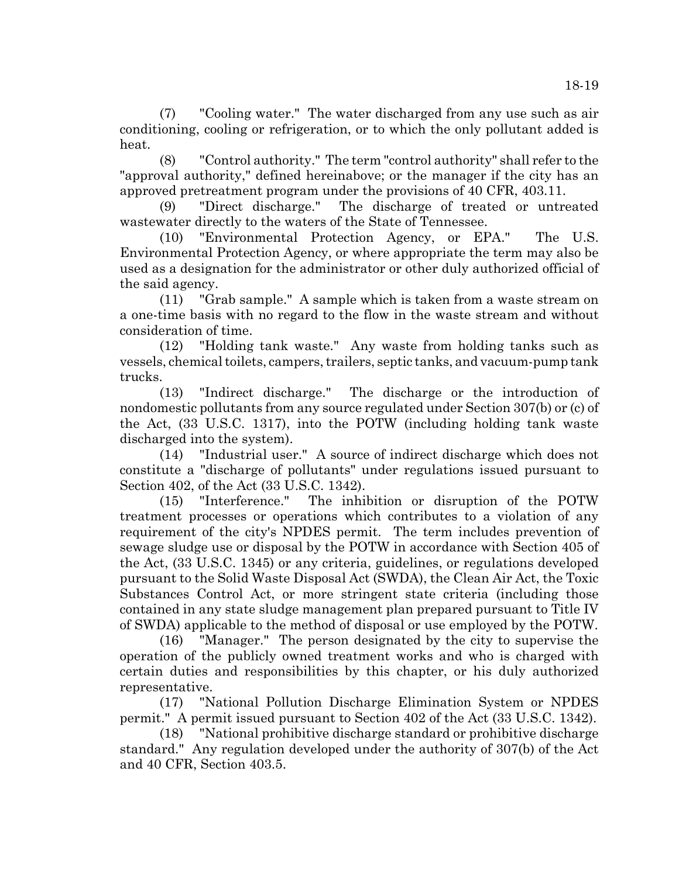(7) "Cooling water." The water discharged from any use such as air conditioning, cooling or refrigeration, or to which the only pollutant added is heat.

(8) "Control authority." The term "control authority" shall refer to the "approval authority," defined hereinabove; or the manager if the city has an approved pretreatment program under the provisions of 40 CFR, 403.11.

(9) "Direct discharge." The discharge of treated or untreated wastewater directly to the waters of the State of Tennessee.

(10) "Environmental Protection Agency, or EPA." The U.S. Environmental Protection Agency, or where appropriate the term may also be used as a designation for the administrator or other duly authorized official of the said agency.

(11) "Grab sample." A sample which is taken from a waste stream on a one-time basis with no regard to the flow in the waste stream and without consideration of time.

(12) "Holding tank waste." Any waste from holding tanks such as vessels, chemical toilets, campers, trailers, septic tanks, and vacuum-pump tank trucks.

(13) "Indirect discharge." The discharge or the introduction of nondomestic pollutants from any source regulated under Section 307(b) or (c) of the Act, (33 U.S.C. 1317), into the POTW (including holding tank waste discharged into the system).

(14) "Industrial user." A source of indirect discharge which does not constitute a "discharge of pollutants" under regulations issued pursuant to Section 402, of the Act (33 U.S.C. 1342).

(15) "Interference." The inhibition or disruption of the POTW treatment processes or operations which contributes to a violation of any requirement of the city's NPDES permit. The term includes prevention of sewage sludge use or disposal by the POTW in accordance with Section 405 of the Act, (33 U.S.C. 1345) or any criteria, guidelines, or regulations developed pursuant to the Solid Waste Disposal Act (SWDA), the Clean Air Act, the Toxic Substances Control Act, or more stringent state criteria (including those contained in any state sludge management plan prepared pursuant to Title IV of SWDA) applicable to the method of disposal or use employed by the POTW.

(16) "Manager." The person designated by the city to supervise the operation of the publicly owned treatment works and who is charged with certain duties and responsibilities by this chapter, or his duly authorized representative.

(17) "National Pollution Discharge Elimination System or NPDES permit." A permit issued pursuant to Section 402 of the Act (33 U.S.C. 1342).

(18) "National prohibitive discharge standard or prohibitive discharge standard." Any regulation developed under the authority of 307(b) of the Act and 40 CFR, Section 403.5.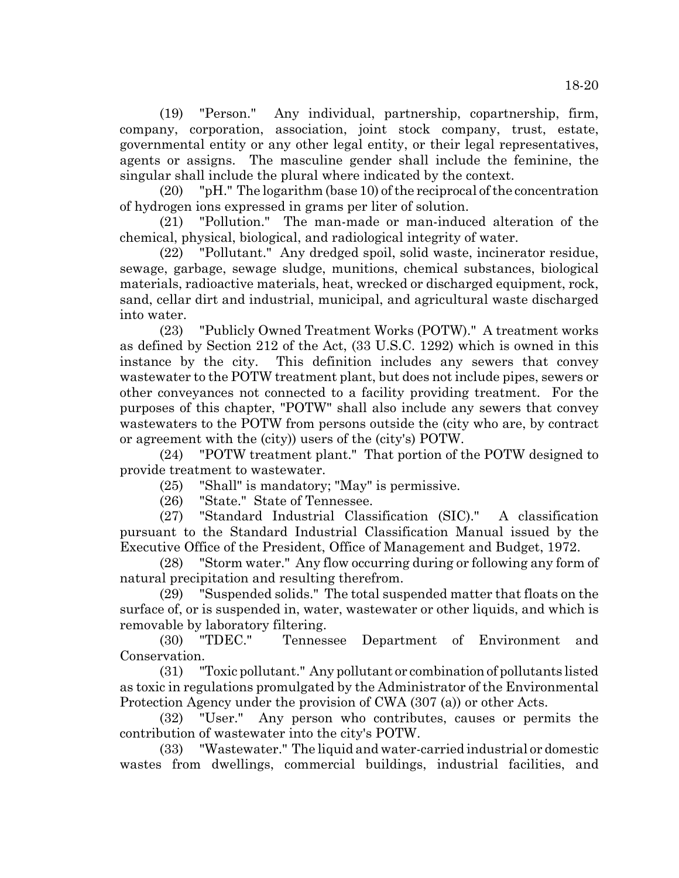(19) "Person." Any individual, partnership, copartnership, firm, company, corporation, association, joint stock company, trust, estate, governmental entity or any other legal entity, or their legal representatives, agents or assigns. The masculine gender shall include the feminine, the singular shall include the plural where indicated by the context.

(20) "pH." The logarithm (base 10) of the reciprocal of the concentration of hydrogen ions expressed in grams per liter of solution.

(21) "Pollution." The man-made or man-induced alteration of the chemical, physical, biological, and radiological integrity of water.

(22) "Pollutant." Any dredged spoil, solid waste, incinerator residue, sewage, garbage, sewage sludge, munitions, chemical substances, biological materials, radioactive materials, heat, wrecked or discharged equipment, rock, sand, cellar dirt and industrial, municipal, and agricultural waste discharged into water.

(23) "Publicly Owned Treatment Works (POTW)." A treatment works as defined by Section 212 of the Act, (33 U.S.C. 1292) which is owned in this instance by the city. This definition includes any sewers that convey wastewater to the POTW treatment plant, but does not include pipes, sewers or other conveyances not connected to a facility providing treatment. For the purposes of this chapter, "POTW" shall also include any sewers that convey wastewaters to the POTW from persons outside the (city who are, by contract or agreement with the (city)) users of the (city's) POTW.

(24) "POTW treatment plant." That portion of the POTW designed to provide treatment to wastewater.

(25) "Shall" is mandatory; "May" is permissive.

(26) "State." State of Tennessee.

(27) "Standard Industrial Classification (SIC)." A classification pursuant to the Standard Industrial Classification Manual issued by the Executive Office of the President, Office of Management and Budget, 1972.

(28) "Storm water." Any flow occurring during or following any form of natural precipitation and resulting therefrom.

(29) "Suspended solids." The total suspended matter that floats on the surface of, or is suspended in, water, wastewater or other liquids, and which is removable by laboratory filtering.

(30) "TDEC." Tennessee Department of Environment and Conservation.

(31) "Toxic pollutant." Any pollutant or combination of pollutants listed as toxic in regulations promulgated by the Administrator of the Environmental Protection Agency under the provision of CWA (307 (a)) or other Acts.

(32) "User." Any person who contributes, causes or permits the contribution of wastewater into the city's POTW.

(33) "Wastewater." The liquid and water-carried industrial or domestic wastes from dwellings, commercial buildings, industrial facilities, and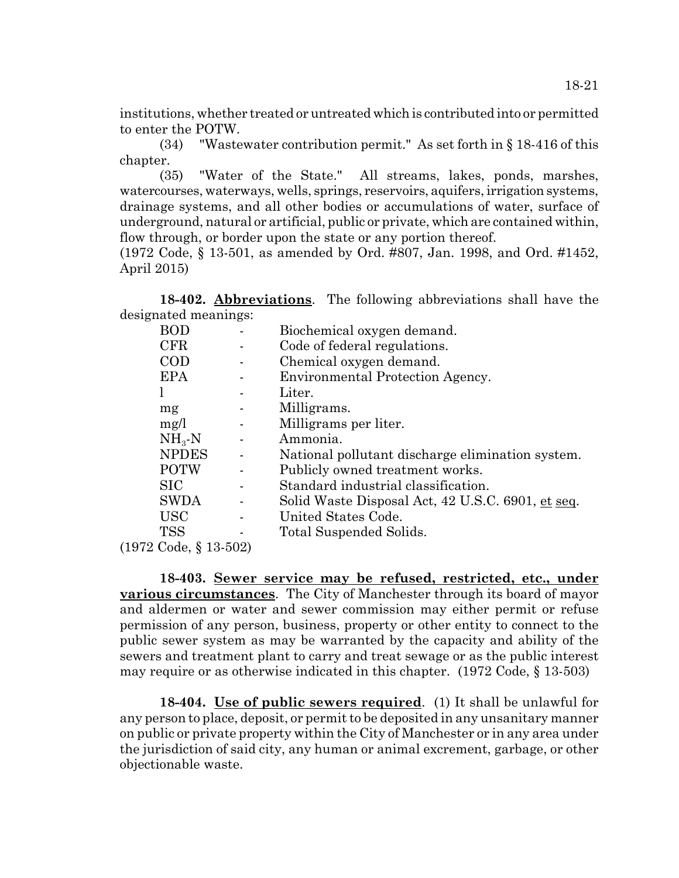institutions, whether treated or untreated which is contributed into or permitted to enter the POTW.

(34) "Wastewater contribution permit." As set forth in § 18-416 of this chapter.

(35) "Water of the State." All streams, lakes, ponds, marshes, watercourses, waterways, wells, springs, reservoirs, aquifers, irrigation systems, drainage systems, and all other bodies or accumulations of water, surface of underground, natural or artificial, public or private, which are contained within, flow through, or border upon the state or any portion thereof.

(1972 Code, § 13-501, as amended by Ord. #807, Jan. 1998, and Ord. #1452, April 2015)

**18-402. Abbreviations**. The following abbreviations shall have the designated meanings:

| BOD                         |  | Biochemical oxygen demand.                        |
|-----------------------------|--|---------------------------------------------------|
| CFR                         |  | Code of federal regulations.                      |
| COD                         |  | Chemical oxygen demand.                           |
| <b>EPA</b>                  |  | Environmental Protection Agency.                  |
|                             |  | Liter.                                            |
| mg                          |  | Milligrams.                                       |
| mg/l                        |  | Milligrams per liter.                             |
| $NH_{3}-N$                  |  | Ammonia.                                          |
| <b>NPDES</b>                |  | National pollutant discharge elimination system.  |
| <b>POTW</b>                 |  | Publicly owned treatment works.                   |
| <b>SIC</b>                  |  | Standard industrial classification.               |
| <b>SWDA</b>                 |  | Solid Waste Disposal Act, 42 U.S.C. 6901, et seq. |
| <b>USC</b>                  |  | United States Code.                               |
| <b>TSS</b>                  |  | Total Suspended Solids.                           |
| <u>ດ ຕ 1</u><br><b>P</b> 10 |  |                                                   |

(1972 Code, § 13-502)

**18-403. Sewer service may be refused, restricted, etc., under various circumstances**. The City of Manchester through its board of mayor and aldermen or water and sewer commission may either permit or refuse permission of any person, business, property or other entity to connect to the public sewer system as may be warranted by the capacity and ability of the sewers and treatment plant to carry and treat sewage or as the public interest may require or as otherwise indicated in this chapter. (1972 Code, § 13-503)

**18-404. Use of public sewers required**. (1) It shall be unlawful for any person to place, deposit, or permit to be deposited in any unsanitary manner on public or private property within the City of Manchester or in any area under the jurisdiction of said city, any human or animal excrement, garbage, or other objectionable waste.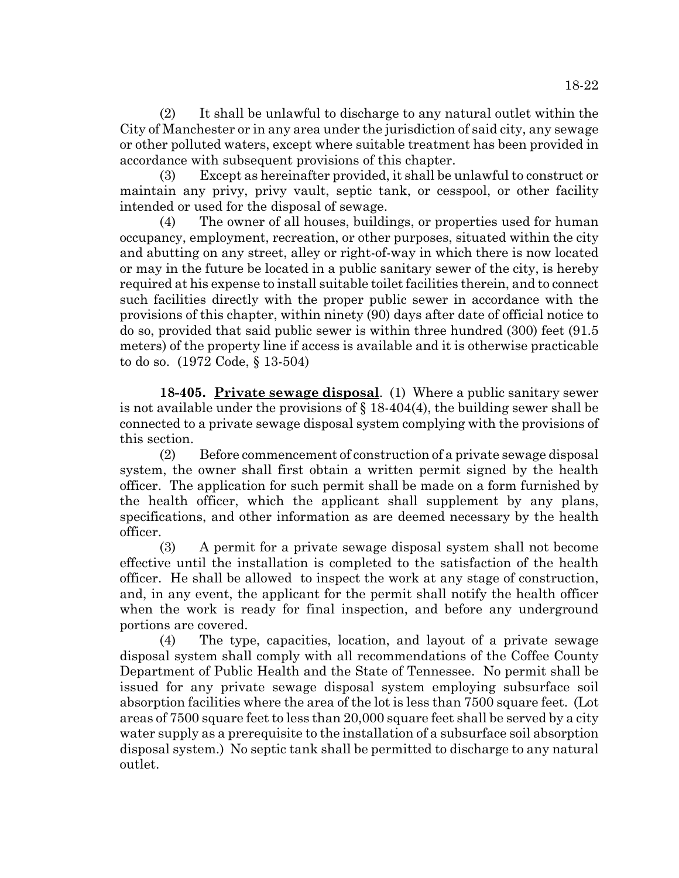(2) It shall be unlawful to discharge to any natural outlet within the City of Manchester or in any area under the jurisdiction of said city, any sewage or other polluted waters, except where suitable treatment has been provided in accordance with subsequent provisions of this chapter.

(3) Except as hereinafter provided, it shall be unlawful to construct or maintain any privy, privy vault, septic tank, or cesspool, or other facility intended or used for the disposal of sewage.

(4) The owner of all houses, buildings, or properties used for human occupancy, employment, recreation, or other purposes, situated within the city and abutting on any street, alley or right-of-way in which there is now located or may in the future be located in a public sanitary sewer of the city, is hereby required at his expense to install suitable toilet facilities therein, and to connect such facilities directly with the proper public sewer in accordance with the provisions of this chapter, within ninety (90) days after date of official notice to do so, provided that said public sewer is within three hundred (300) feet (91.5 meters) of the property line if access is available and it is otherwise practicable to do so. (1972 Code, § 13-504)

**18-405. Private sewage disposal**. (1) Where a public sanitary sewer is not available under the provisions of  $\S$  18-404(4), the building sewer shall be connected to a private sewage disposal system complying with the provisions of this section.

(2) Before commencement of construction of a private sewage disposal system, the owner shall first obtain a written permit signed by the health officer. The application for such permit shall be made on a form furnished by the health officer, which the applicant shall supplement by any plans, specifications, and other information as are deemed necessary by the health officer.

(3) A permit for a private sewage disposal system shall not become effective until the installation is completed to the satisfaction of the health officer. He shall be allowed to inspect the work at any stage of construction, and, in any event, the applicant for the permit shall notify the health officer when the work is ready for final inspection, and before any underground portions are covered.

(4) The type, capacities, location, and layout of a private sewage disposal system shall comply with all recommendations of the Coffee County Department of Public Health and the State of Tennessee. No permit shall be issued for any private sewage disposal system employing subsurface soil absorption facilities where the area of the lot is less than 7500 square feet. (Lot areas of 7500 square feet to less than 20,000 square feet shall be served by a city water supply as a prerequisite to the installation of a subsurface soil absorption disposal system.) No septic tank shall be permitted to discharge to any natural outlet.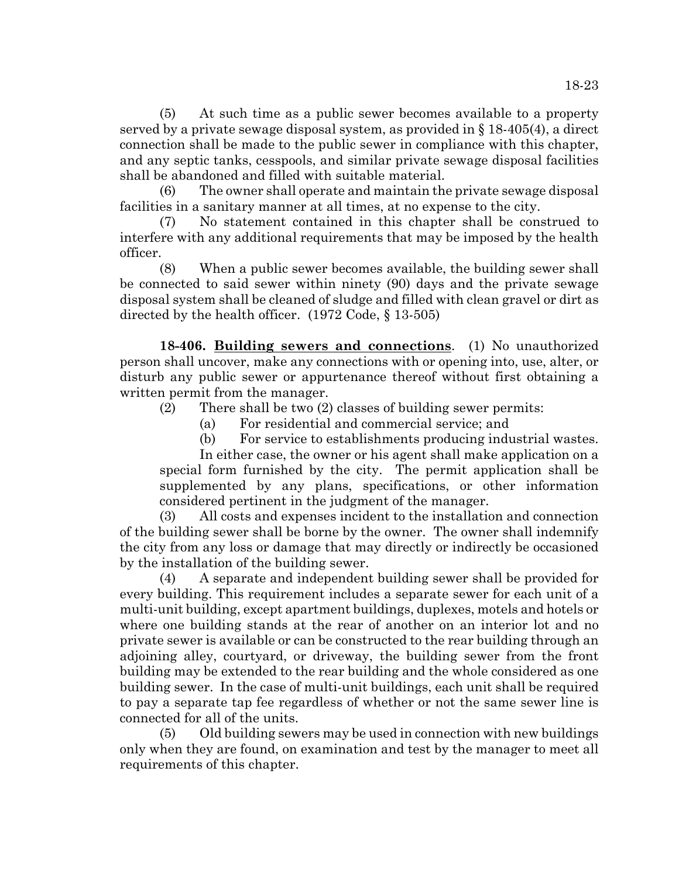(5) At such time as a public sewer becomes available to a property served by a private sewage disposal system, as provided in § 18-405(4), a direct connection shall be made to the public sewer in compliance with this chapter, and any septic tanks, cesspools, and similar private sewage disposal facilities shall be abandoned and filled with suitable material.

(6) The owner shall operate and maintain the private sewage disposal facilities in a sanitary manner at all times, at no expense to the city.

(7) No statement contained in this chapter shall be construed to interfere with any additional requirements that may be imposed by the health officer.

(8) When a public sewer becomes available, the building sewer shall be connected to said sewer within ninety (90) days and the private sewage disposal system shall be cleaned of sludge and filled with clean gravel or dirt as directed by the health officer. (1972 Code, § 13-505)

**18-406. Building sewers and connections**. (1) No unauthorized person shall uncover, make any connections with or opening into, use, alter, or disturb any public sewer or appurtenance thereof without first obtaining a written permit from the manager.

- (2) There shall be two (2) classes of building sewer permits:
	- (a) For residential and commercial service; and

(b) For service to establishments producing industrial wastes.

In either case, the owner or his agent shall make application on a special form furnished by the city. The permit application shall be supplemented by any plans, specifications, or other information considered pertinent in the judgment of the manager.

(3) All costs and expenses incident to the installation and connection of the building sewer shall be borne by the owner. The owner shall indemnify the city from any loss or damage that may directly or indirectly be occasioned by the installation of the building sewer.

(4) A separate and independent building sewer shall be provided for every building. This requirement includes a separate sewer for each unit of a multi-unit building, except apartment buildings, duplexes, motels and hotels or where one building stands at the rear of another on an interior lot and no private sewer is available or can be constructed to the rear building through an adjoining alley, courtyard, or driveway, the building sewer from the front building may be extended to the rear building and the whole considered as one building sewer. In the case of multi-unit buildings, each unit shall be required to pay a separate tap fee regardless of whether or not the same sewer line is connected for all of the units.

(5) Old building sewers may be used in connection with new buildings only when they are found, on examination and test by the manager to meet all requirements of this chapter.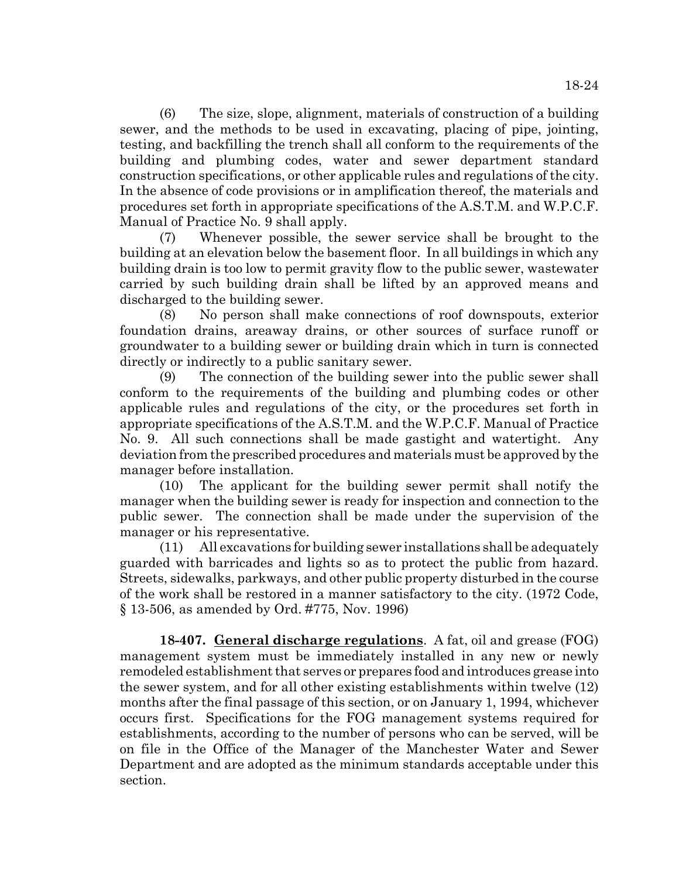(6) The size, slope, alignment, materials of construction of a building sewer, and the methods to be used in excavating, placing of pipe, jointing, testing, and backfilling the trench shall all conform to the requirements of the building and plumbing codes, water and sewer department standard construction specifications, or other applicable rules and regulations of the city. In the absence of code provisions or in amplification thereof, the materials and procedures set forth in appropriate specifications of the A.S.T.M. and W.P.C.F. Manual of Practice No. 9 shall apply.

(7) Whenever possible, the sewer service shall be brought to the building at an elevation below the basement floor. In all buildings in which any building drain is too low to permit gravity flow to the public sewer, wastewater carried by such building drain shall be lifted by an approved means and discharged to the building sewer.

(8) No person shall make connections of roof downspouts, exterior foundation drains, areaway drains, or other sources of surface runoff or groundwater to a building sewer or building drain which in turn is connected directly or indirectly to a public sanitary sewer.

(9) The connection of the building sewer into the public sewer shall conform to the requirements of the building and plumbing codes or other applicable rules and regulations of the city, or the procedures set forth in appropriate specifications of the A.S.T.M. and the W.P.C.F. Manual of Practice No. 9. All such connections shall be made gastight and watertight. Any deviation from the prescribed procedures and materials must be approved by the manager before installation.

(10) The applicant for the building sewer permit shall notify the manager when the building sewer is ready for inspection and connection to the public sewer. The connection shall be made under the supervision of the manager or his representative.

(11) All excavations for building sewer installations shall be adequately guarded with barricades and lights so as to protect the public from hazard. Streets, sidewalks, parkways, and other public property disturbed in the course of the work shall be restored in a manner satisfactory to the city. (1972 Code, § 13-506, as amended by Ord. #775, Nov. 1996)

**18-407. General discharge regulations**. A fat, oil and grease (FOG) management system must be immediately installed in any new or newly remodeled establishment that serves or prepares food and introduces grease into the sewer system, and for all other existing establishments within twelve (12) months after the final passage of this section, or on January 1, 1994, whichever occurs first. Specifications for the FOG management systems required for establishments, according to the number of persons who can be served, will be on file in the Office of the Manager of the Manchester Water and Sewer Department and are adopted as the minimum standards acceptable under this section.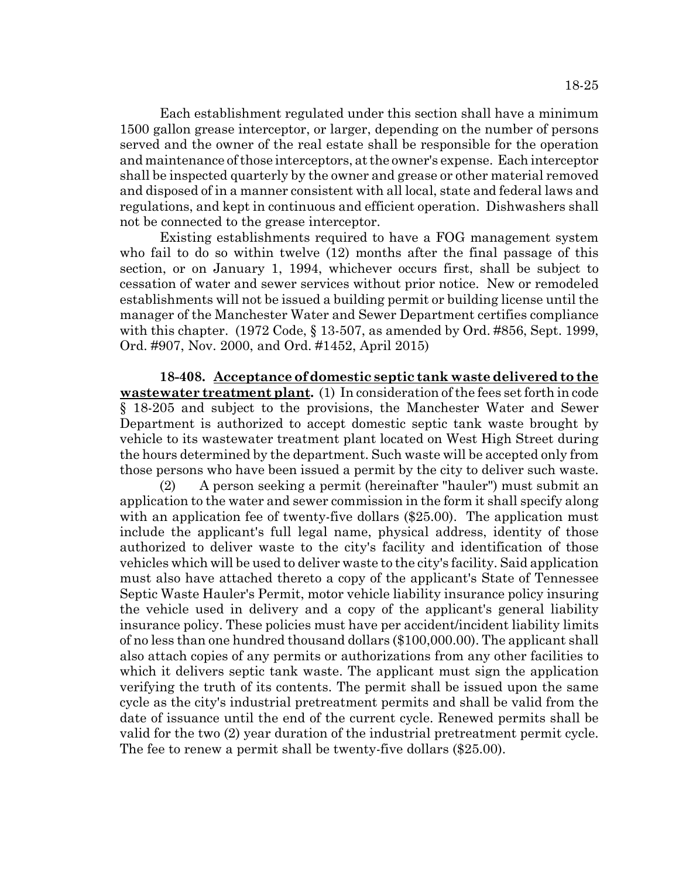Each establishment regulated under this section shall have a minimum 1500 gallon grease interceptor, or larger, depending on the number of persons served and the owner of the real estate shall be responsible for the operation and maintenance of those interceptors, at the owner's expense. Each interceptor shall be inspected quarterly by the owner and grease or other material removed and disposed of in a manner consistent with all local, state and federal laws and regulations, and kept in continuous and efficient operation. Dishwashers shall not be connected to the grease interceptor.

Existing establishments required to have a FOG management system who fail to do so within twelve (12) months after the final passage of this section, or on January 1, 1994, whichever occurs first, shall be subject to cessation of water and sewer services without prior notice. New or remodeled establishments will not be issued a building permit or building license until the manager of the Manchester Water and Sewer Department certifies compliance with this chapter. (1972 Code, § 13-507, as amended by Ord. #856, Sept. 1999, Ord. #907, Nov. 2000, and Ord. #1452, April 2015)

**18-408. Acceptance of domestic septic tank waste delivered to the wastewater treatment plant.** (1) In consideration of the fees set forth in code § 18-205 and subject to the provisions, the Manchester Water and Sewer Department is authorized to accept domestic septic tank waste brought by vehicle to its wastewater treatment plant located on West High Street during the hours determined by the department. Such waste will be accepted only from those persons who have been issued a permit by the city to deliver such waste.

(2) A person seeking a permit (hereinafter "hauler") must submit an application to the water and sewer commission in the form it shall specify along with an application fee of twenty-five dollars (\$25.00). The application must include the applicant's full legal name, physical address, identity of those authorized to deliver waste to the city's facility and identification of those vehicles which will be used to deliver waste to the city's facility. Said application must also have attached thereto a copy of the applicant's State of Tennessee Septic Waste Hauler's Permit, motor vehicle liability insurance policy insuring the vehicle used in delivery and a copy of the applicant's general liability insurance policy. These policies must have per accident/incident liability limits of no less than one hundred thousand dollars (\$100,000.00). The applicant shall also attach copies of any permits or authorizations from any other facilities to which it delivers septic tank waste. The applicant must sign the application verifying the truth of its contents. The permit shall be issued upon the same cycle as the city's industrial pretreatment permits and shall be valid from the date of issuance until the end of the current cycle. Renewed permits shall be valid for the two (2) year duration of the industrial pretreatment permit cycle. The fee to renew a permit shall be twenty-five dollars (\$25.00).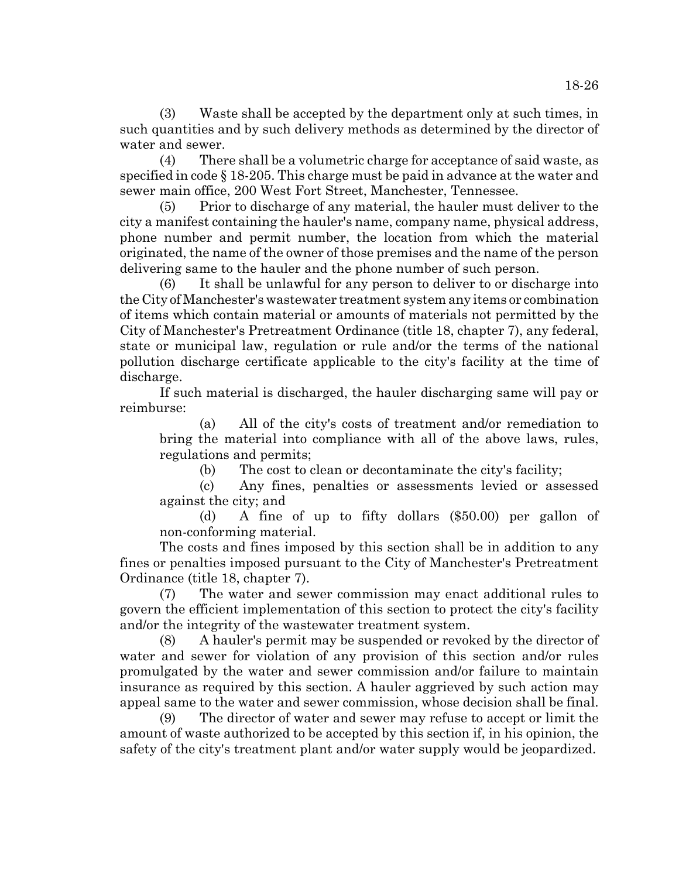(3) Waste shall be accepted by the department only at such times, in such quantities and by such delivery methods as determined by the director of water and sewer.

(4) There shall be a volumetric charge for acceptance of said waste, as specified in code § 18-205. This charge must be paid in advance at the water and sewer main office, 200 West Fort Street, Manchester, Tennessee.

Prior to discharge of any material, the hauler must deliver to the city a manifest containing the hauler's name, company name, physical address, phone number and permit number, the location from which the material originated, the name of the owner of those premises and the name of the person delivering same to the hauler and the phone number of such person.

(6) It shall be unlawful for any person to deliver to or discharge into the City of Manchester's wastewater treatment system any items or combination of items which contain material or amounts of materials not permitted by the City of Manchester's Pretreatment Ordinance (title 18, chapter 7), any federal, state or municipal law, regulation or rule and/or the terms of the national pollution discharge certificate applicable to the city's facility at the time of discharge.

If such material is discharged, the hauler discharging same will pay or reimburse:

(a) All of the city's costs of treatment and/or remediation to bring the material into compliance with all of the above laws, rules, regulations and permits;

(b) The cost to clean or decontaminate the city's facility;

(c) Any fines, penalties or assessments levied or assessed against the city; and

(d) A fine of up to fifty dollars (\$50.00) per gallon of non-conforming material.

The costs and fines imposed by this section shall be in addition to any fines or penalties imposed pursuant to the City of Manchester's Pretreatment Ordinance (title 18, chapter 7).

(7) The water and sewer commission may enact additional rules to govern the efficient implementation of this section to protect the city's facility and/or the integrity of the wastewater treatment system.

(8) A hauler's permit may be suspended or revoked by the director of water and sewer for violation of any provision of this section and/or rules promulgated by the water and sewer commission and/or failure to maintain insurance as required by this section. A hauler aggrieved by such action may appeal same to the water and sewer commission, whose decision shall be final.

(9) The director of water and sewer may refuse to accept or limit the amount of waste authorized to be accepted by this section if, in his opinion, the safety of the city's treatment plant and/or water supply would be jeopardized.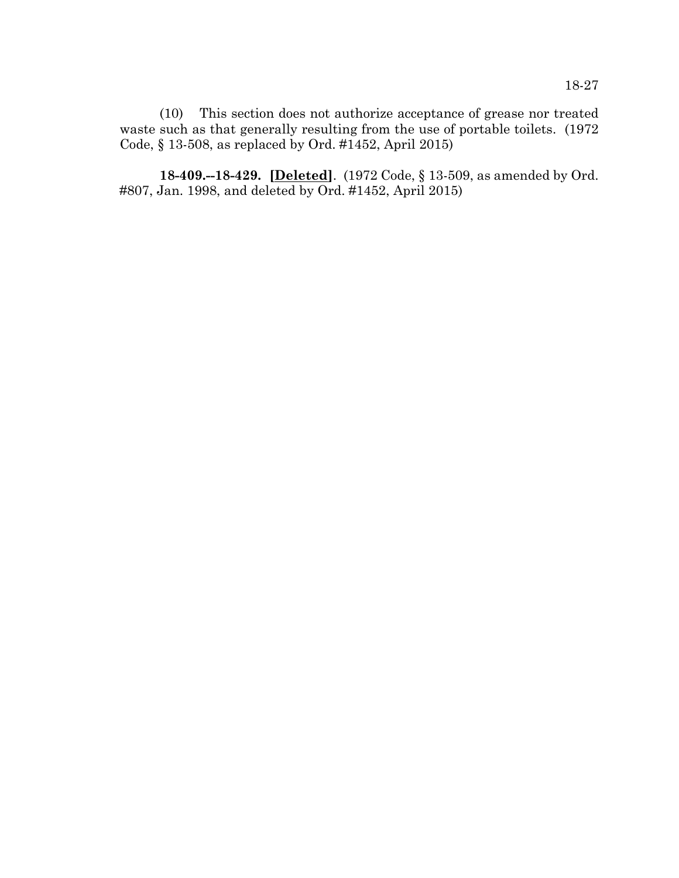(10) This section does not authorize acceptance of grease nor treated waste such as that generally resulting from the use of portable toilets. (1972 Code, § 13-508, as replaced by Ord. #1452, April 2015)

**18-409.--18-429. [Deleted]**. (1972 Code, § 13-509, as amended by Ord. #807, Jan. 1998, and deleted by Ord. #1452, April 2015)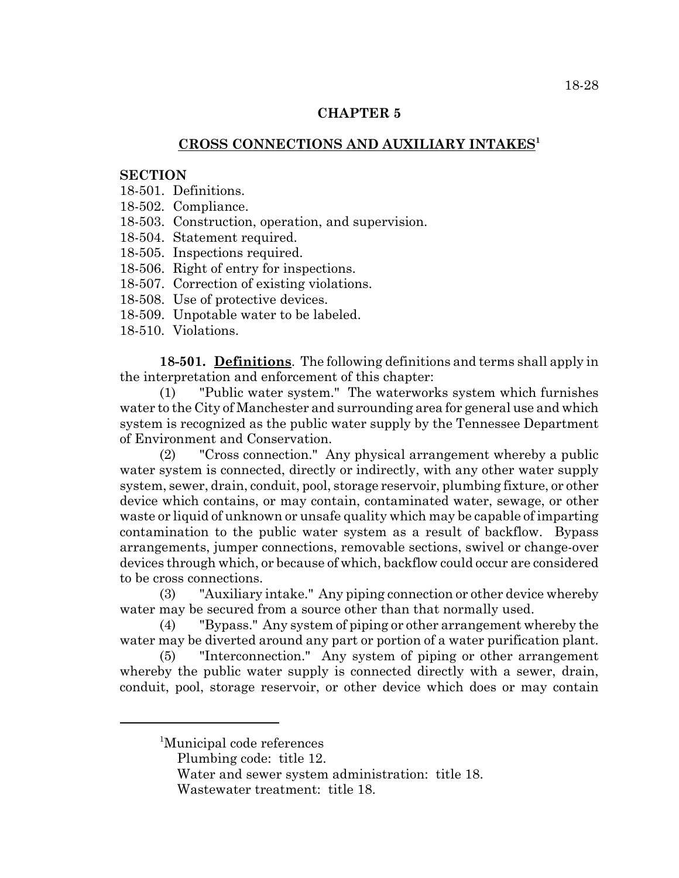### **CHAPTER 5**

# **CROSS CONNECTIONS AND AUXILIARY INTAKES<sup>1</sup>**

## **SECTION**

- 18-501. Definitions.
- 18-502. Compliance.
- 18-503. Construction, operation, and supervision.
- 18-504. Statement required.
- 18-505. Inspections required.
- 18-506. Right of entry for inspections.
- 18-507. Correction of existing violations.
- 18-508. Use of protective devices.
- 18-509. Unpotable water to be labeled.
- 18-510. Violations.

**18-501. Definitions**. The following definitions and terms shall apply in the interpretation and enforcement of this chapter:

(1) "Public water system." The waterworks system which furnishes water to the City of Manchester and surrounding area for general use and which system is recognized as the public water supply by the Tennessee Department of Environment and Conservation.

(2) "Cross connection." Any physical arrangement whereby a public water system is connected, directly or indirectly, with any other water supply system, sewer, drain, conduit, pool, storage reservoir, plumbing fixture, or other device which contains, or may contain, contaminated water, sewage, or other waste or liquid of unknown or unsafe quality which may be capable of imparting contamination to the public water system as a result of backflow. Bypass arrangements, jumper connections, removable sections, swivel or change-over devices through which, or because of which, backflow could occur are considered to be cross connections.

(3) "Auxiliary intake." Any piping connection or other device whereby water may be secured from a source other than that normally used.

(4) "Bypass." Any system of piping or other arrangement whereby the water may be diverted around any part or portion of a water purification plant.

(5) "Interconnection." Any system of piping or other arrangement whereby the public water supply is connected directly with a sewer, drain, conduit, pool, storage reservoir, or other device which does or may contain

<sup>&</sup>lt;sup>1</sup>Municipal code references

Plumbing code: title 12.

Water and sewer system administration: title 18.

Wastewater treatment: title 18.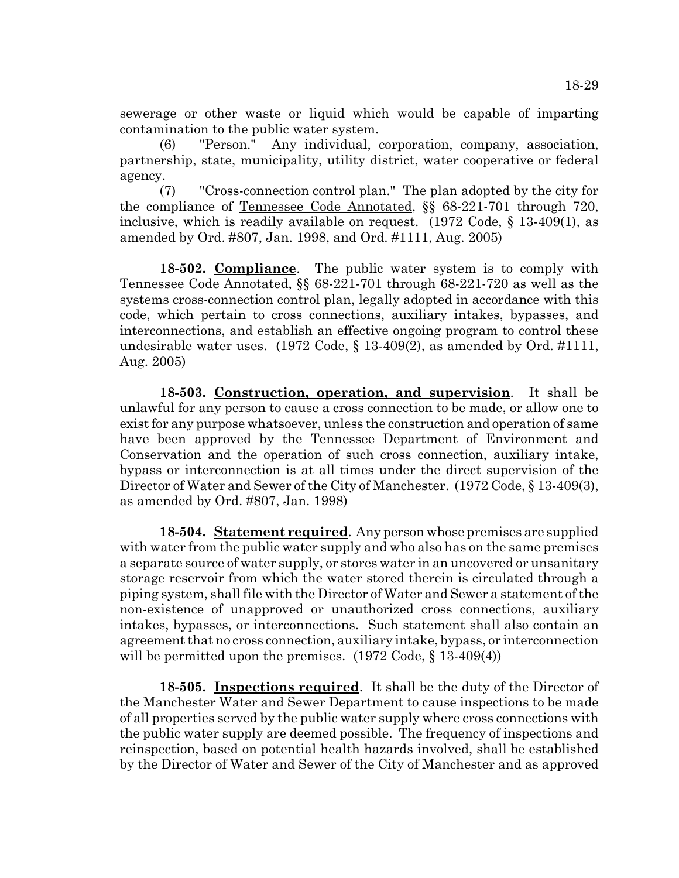sewerage or other waste or liquid which would be capable of imparting contamination to the public water system.

(6) "Person." Any individual, corporation, company, association, partnership, state, municipality, utility district, water cooperative or federal agency.

(7) "Cross-connection control plan." The plan adopted by the city for the compliance of Tennessee Code Annotated, §§ 68-221-701 through 720, inclusive, which is readily available on request. (1972 Code, § 13-409(1), as amended by Ord. #807, Jan. 1998, and Ord. #1111, Aug. 2005)

**18-502. Compliance**. The public water system is to comply with Tennessee Code Annotated, §§ 68-221-701 through 68-221-720 as well as the systems cross-connection control plan, legally adopted in accordance with this code, which pertain to cross connections, auxiliary intakes, bypasses, and interconnections, and establish an effective ongoing program to control these undesirable water uses. (1972 Code, § 13-409(2), as amended by Ord. #1111, Aug. 2005)

**18-503. Construction, operation, and supervision**. It shall be unlawful for any person to cause a cross connection to be made, or allow one to exist for any purpose whatsoever, unless the construction and operation of same have been approved by the Tennessee Department of Environment and Conservation and the operation of such cross connection, auxiliary intake, bypass or interconnection is at all times under the direct supervision of the Director of Water and Sewer of the City of Manchester. (1972 Code, § 13-409(3), as amended by Ord. #807, Jan. 1998)

**18-504. Statement required**. Any person whose premises are supplied with water from the public water supply and who also has on the same premises a separate source of water supply, or stores water in an uncovered or unsanitary storage reservoir from which the water stored therein is circulated through a piping system, shall file with the Director of Water and Sewer a statement of the non-existence of unapproved or unauthorized cross connections, auxiliary intakes, bypasses, or interconnections. Such statement shall also contain an agreement that no cross connection, auxiliary intake, bypass, or interconnection will be permitted upon the premises. (1972 Code, § 13-409(4))

**18-505. Inspections required**. It shall be the duty of the Director of the Manchester Water and Sewer Department to cause inspections to be made of all properties served by the public water supply where cross connections with the public water supply are deemed possible. The frequency of inspections and reinspection, based on potential health hazards involved, shall be established by the Director of Water and Sewer of the City of Manchester and as approved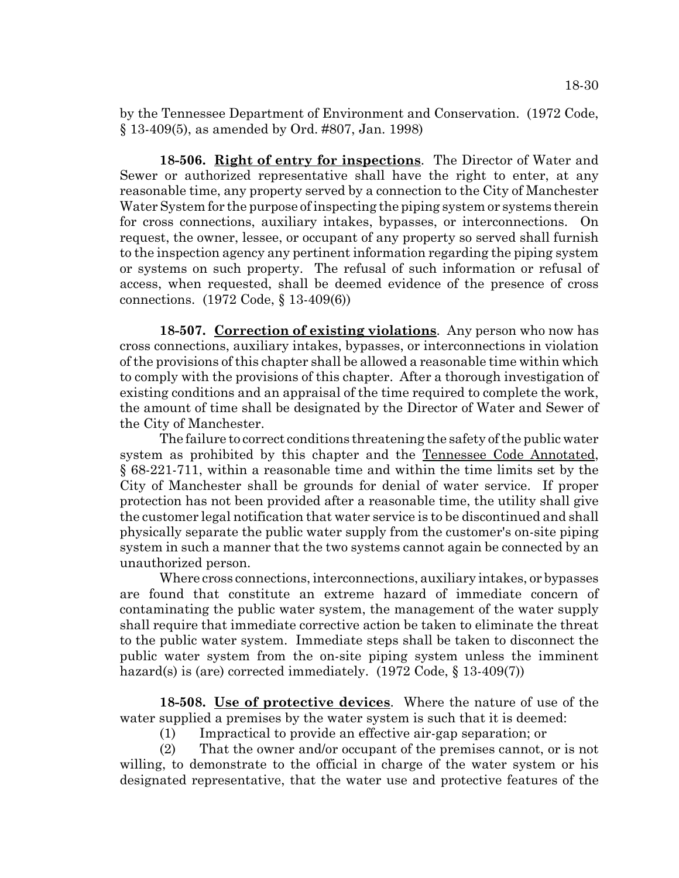by the Tennessee Department of Environment and Conservation. (1972 Code, § 13-409(5), as amended by Ord. #807, Jan. 1998)

**18-506. Right of entry for inspections**. The Director of Water and Sewer or authorized representative shall have the right to enter, at any reasonable time, any property served by a connection to the City of Manchester Water System for the purpose of inspecting the piping system or systems therein for cross connections, auxiliary intakes, bypasses, or interconnections. On request, the owner, lessee, or occupant of any property so served shall furnish to the inspection agency any pertinent information regarding the piping system or systems on such property. The refusal of such information or refusal of access, when requested, shall be deemed evidence of the presence of cross connections. (1972 Code, § 13-409(6))

**18-507. Correction of existing violations**. Any person who now has cross connections, auxiliary intakes, bypasses, or interconnections in violation of the provisions of this chapter shall be allowed a reasonable time within which to comply with the provisions of this chapter. After a thorough investigation of existing conditions and an appraisal of the time required to complete the work, the amount of time shall be designated by the Director of Water and Sewer of the City of Manchester.

The failure to correct conditions threatening the safety of the public water system as prohibited by this chapter and the Tennessee Code Annotated, § 68-221-711, within a reasonable time and within the time limits set by the City of Manchester shall be grounds for denial of water service. If proper protection has not been provided after a reasonable time, the utility shall give the customer legal notification that water service is to be discontinued and shall physically separate the public water supply from the customer's on-site piping system in such a manner that the two systems cannot again be connected by an unauthorized person.

Where cross connections, interconnections, auxiliary intakes, or bypasses are found that constitute an extreme hazard of immediate concern of contaminating the public water system, the management of the water supply shall require that immediate corrective action be taken to eliminate the threat to the public water system. Immediate steps shall be taken to disconnect the public water system from the on-site piping system unless the imminent hazard(s) is (are) corrected immediately. (1972 Code, § 13-409(7))

**18-508. Use of protective devices**. Where the nature of use of the water supplied a premises by the water system is such that it is deemed:

(1) Impractical to provide an effective air-gap separation; or

(2) That the owner and/or occupant of the premises cannot, or is not willing, to demonstrate to the official in charge of the water system or his designated representative, that the water use and protective features of the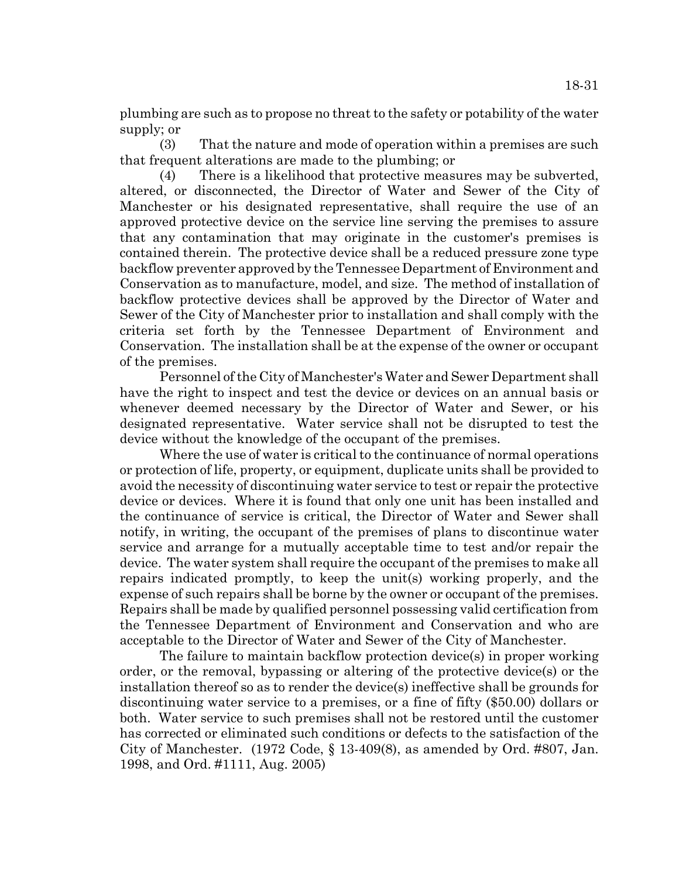plumbing are such as to propose no threat to the safety or potability of the water supply; or

(3) That the nature and mode of operation within a premises are such that frequent alterations are made to the plumbing; or

(4) There is a likelihood that protective measures may be subverted, altered, or disconnected, the Director of Water and Sewer of the City of Manchester or his designated representative, shall require the use of an approved protective device on the service line serving the premises to assure that any contamination that may originate in the customer's premises is contained therein. The protective device shall be a reduced pressure zone type backflow preventer approved by the Tennessee Department of Environment and Conservation as to manufacture, model, and size. The method of installation of backflow protective devices shall be approved by the Director of Water and Sewer of the City of Manchester prior to installation and shall comply with the criteria set forth by the Tennessee Department of Environment and Conservation. The installation shall be at the expense of the owner or occupant of the premises.

Personnel of the City of Manchester's Water and Sewer Department shall have the right to inspect and test the device or devices on an annual basis or whenever deemed necessary by the Director of Water and Sewer, or his designated representative. Water service shall not be disrupted to test the device without the knowledge of the occupant of the premises.

Where the use of water is critical to the continuance of normal operations or protection of life, property, or equipment, duplicate units shall be provided to avoid the necessity of discontinuing water service to test or repair the protective device or devices. Where it is found that only one unit has been installed and the continuance of service is critical, the Director of Water and Sewer shall notify, in writing, the occupant of the premises of plans to discontinue water service and arrange for a mutually acceptable time to test and/or repair the device. The water system shall require the occupant of the premises to make all repairs indicated promptly, to keep the unit(s) working properly, and the expense of such repairs shall be borne by the owner or occupant of the premises. Repairs shall be made by qualified personnel possessing valid certification from the Tennessee Department of Environment and Conservation and who are acceptable to the Director of Water and Sewer of the City of Manchester.

The failure to maintain backflow protection device(s) in proper working order, or the removal, bypassing or altering of the protective device(s) or the installation thereof so as to render the device(s) ineffective shall be grounds for discontinuing water service to a premises, or a fine of fifty (\$50.00) dollars or both. Water service to such premises shall not be restored until the customer has corrected or eliminated such conditions or defects to the satisfaction of the City of Manchester. (1972 Code, § 13-409(8), as amended by Ord. #807, Jan. 1998, and Ord. #1111, Aug. 2005)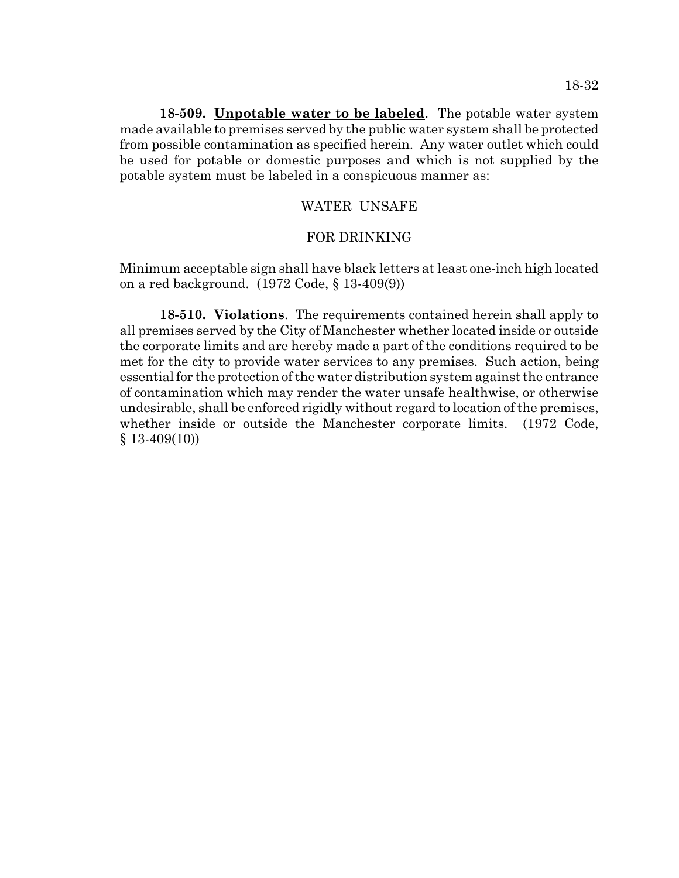**18-509. Unpotable water to be labeled**. The potable water system made available to premises served by the public water system shall be protected from possible contamination as specified herein. Any water outlet which could be used for potable or domestic purposes and which is not supplied by the potable system must be labeled in a conspicuous manner as:

### WATER UNSAFE

### FOR DRINKING

Minimum acceptable sign shall have black letters at least one-inch high located on a red background. (1972 Code, § 13-409(9))

**18-510. Violations**. The requirements contained herein shall apply to all premises served by the City of Manchester whether located inside or outside the corporate limits and are hereby made a part of the conditions required to be met for the city to provide water services to any premises. Such action, being essential for the protection of the water distribution system against the entrance of contamination which may render the water unsafe healthwise, or otherwise undesirable, shall be enforced rigidly without regard to location of the premises, whether inside or outside the Manchester corporate limits. (1972 Code, § 13-409(10))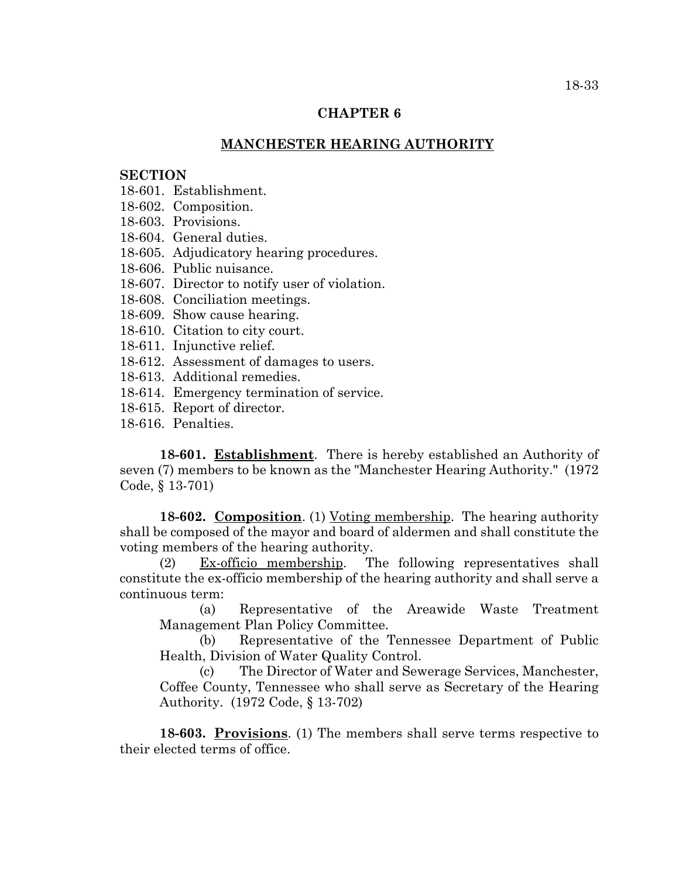#### **CHAPTER 6**

## **MANCHESTER HEARING AUTHORITY**

#### **SECTION**

- 18-601. Establishment.
- 18-602. Composition.
- 18-603. Provisions.
- 18-604. General duties.
- 18-605. Adjudicatory hearing procedures.
- 18-606. Public nuisance.
- 18-607. Director to notify user of violation.
- 18-608. Conciliation meetings.
- 18-609. Show cause hearing.
- 18-610. Citation to city court.
- 18-611. Injunctive relief.
- 18-612. Assessment of damages to users.
- 18-613. Additional remedies.
- 18-614. Emergency termination of service.
- 18-615. Report of director.
- 18-616. Penalties.

**18-601. Establishment**. There is hereby established an Authority of seven (7) members to be known as the "Manchester Hearing Authority." (1972 Code, § 13-701)

**18-602. Composition**. (1) Voting membership. The hearing authority shall be composed of the mayor and board of aldermen and shall constitute the voting members of the hearing authority.

(2) Ex-officio membership. The following representatives shall constitute the ex-officio membership of the hearing authority and shall serve a continuous term:

(a) Representative of the Areawide Waste Treatment Management Plan Policy Committee.

(b) Representative of the Tennessee Department of Public Health, Division of Water Quality Control.

(c) The Director of Water and Sewerage Services, Manchester, Coffee County, Tennessee who shall serve as Secretary of the Hearing Authority. (1972 Code, § 13-702)

**18-603. Provisions**. (1) The members shall serve terms respective to their elected terms of office.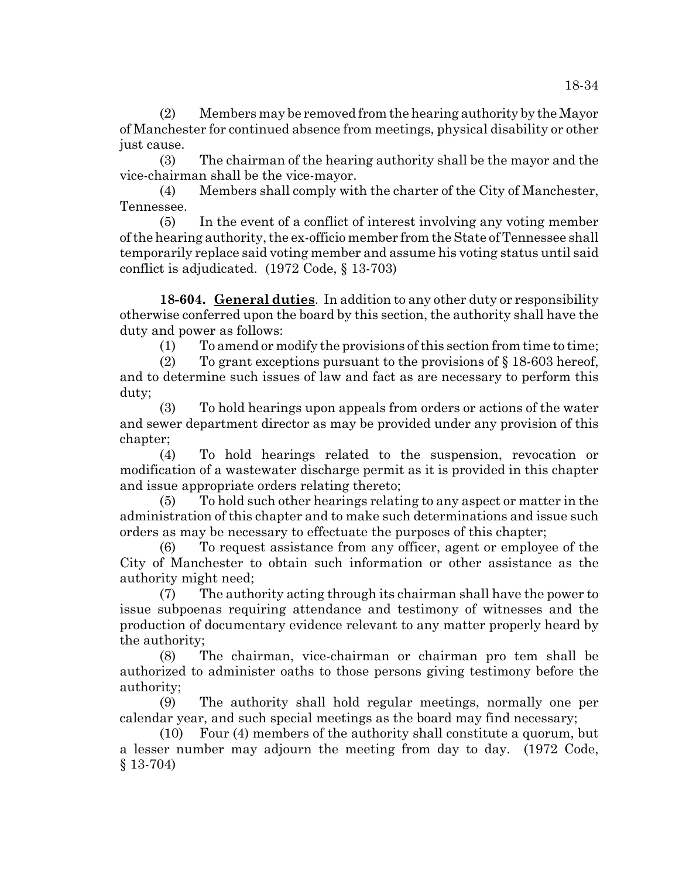(2) Members may be removed from the hearing authority by the Mayor of Manchester for continued absence from meetings, physical disability or other just cause.

(3) The chairman of the hearing authority shall be the mayor and the vice-chairman shall be the vice-mayor.

(4) Members shall comply with the charter of the City of Manchester, Tennessee.

(5) In the event of a conflict of interest involving any voting member of the hearing authority, the ex-officio member from the State of Tennessee shall temporarily replace said voting member and assume his voting status until said conflict is adjudicated. (1972 Code, § 13-703)

**18-604. General duties**. In addition to any other duty or responsibility otherwise conferred upon the board by this section, the authority shall have the duty and power as follows:

(1) To amend or modify the provisions of this section from time to time;

(2) To grant exceptions pursuant to the provisions of  $\S$  18-603 hereof, and to determine such issues of law and fact as are necessary to perform this duty;

(3) To hold hearings upon appeals from orders or actions of the water and sewer department director as may be provided under any provision of this chapter;

(4) To hold hearings related to the suspension, revocation or modification of a wastewater discharge permit as it is provided in this chapter and issue appropriate orders relating thereto;

(5) To hold such other hearings relating to any aspect or matter in the administration of this chapter and to make such determinations and issue such orders as may be necessary to effectuate the purposes of this chapter;

(6) To request assistance from any officer, agent or employee of the City of Manchester to obtain such information or other assistance as the authority might need;

(7) The authority acting through its chairman shall have the power to issue subpoenas requiring attendance and testimony of witnesses and the production of documentary evidence relevant to any matter properly heard by the authority;

(8) The chairman, vice-chairman or chairman pro tem shall be authorized to administer oaths to those persons giving testimony before the authority;

(9) The authority shall hold regular meetings, normally one per calendar year, and such special meetings as the board may find necessary;

(10) Four (4) members of the authority shall constitute a quorum, but a lesser number may adjourn the meeting from day to day. (1972 Code, § 13-704)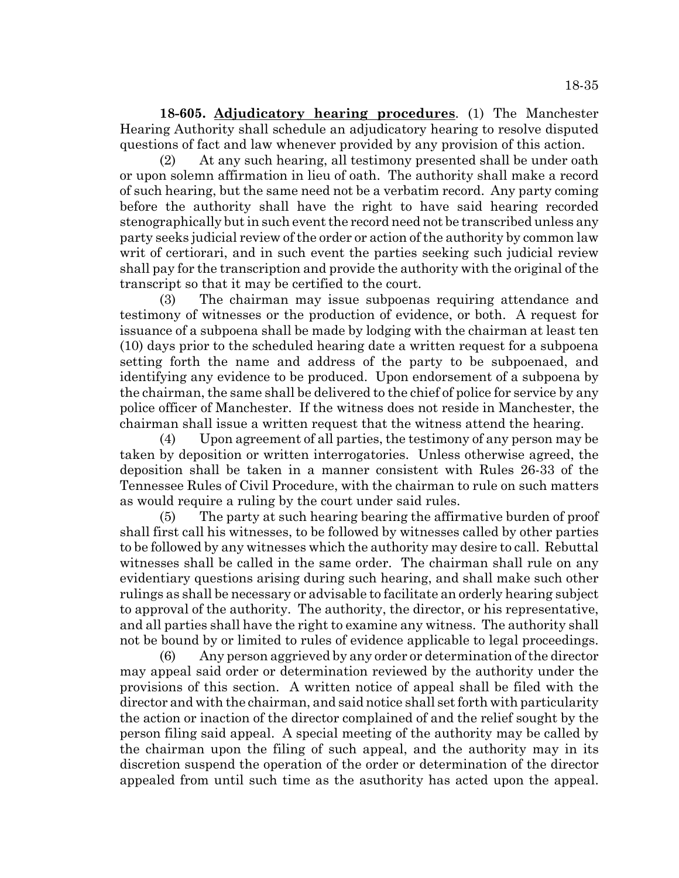18-35

**18-605. Adjudicatory hearing procedures**. (1) The Manchester Hearing Authority shall schedule an adjudicatory hearing to resolve disputed questions of fact and law whenever provided by any provision of this action.

(2) At any such hearing, all testimony presented shall be under oath or upon solemn affirmation in lieu of oath. The authority shall make a record of such hearing, but the same need not be a verbatim record. Any party coming before the authority shall have the right to have said hearing recorded stenographically but in such event the record need not be transcribed unless any party seeks judicial review of the order or action of the authority by common law writ of certiorari, and in such event the parties seeking such judicial review shall pay for the transcription and provide the authority with the original of the transcript so that it may be certified to the court.

(3) The chairman may issue subpoenas requiring attendance and testimony of witnesses or the production of evidence, or both. A request for issuance of a subpoena shall be made by lodging with the chairman at least ten (10) days prior to the scheduled hearing date a written request for a subpoena setting forth the name and address of the party to be subpoenaed, and identifying any evidence to be produced. Upon endorsement of a subpoena by the chairman, the same shall be delivered to the chief of police for service by any police officer of Manchester. If the witness does not reside in Manchester, the chairman shall issue a written request that the witness attend the hearing.

(4) Upon agreement of all parties, the testimony of any person may be taken by deposition or written interrogatories. Unless otherwise agreed, the deposition shall be taken in a manner consistent with Rules 26-33 of the Tennessee Rules of Civil Procedure, with the chairman to rule on such matters as would require a ruling by the court under said rules.

(5) The party at such hearing bearing the affirmative burden of proof shall first call his witnesses, to be followed by witnesses called by other parties to be followed by any witnesses which the authority may desire to call. Rebuttal witnesses shall be called in the same order. The chairman shall rule on any evidentiary questions arising during such hearing, and shall make such other rulings as shall be necessary or advisable to facilitate an orderly hearing subject to approval of the authority. The authority, the director, or his representative, and all parties shall have the right to examine any witness. The authority shall not be bound by or limited to rules of evidence applicable to legal proceedings.

(6) Any person aggrieved by any order or determination of the director may appeal said order or determination reviewed by the authority under the provisions of this section. A written notice of appeal shall be filed with the director and with the chairman, and said notice shall set forth with particularity the action or inaction of the director complained of and the relief sought by the person filing said appeal. A special meeting of the authority may be called by the chairman upon the filing of such appeal, and the authority may in its discretion suspend the operation of the order or determination of the director appealed from until such time as the asuthority has acted upon the appeal.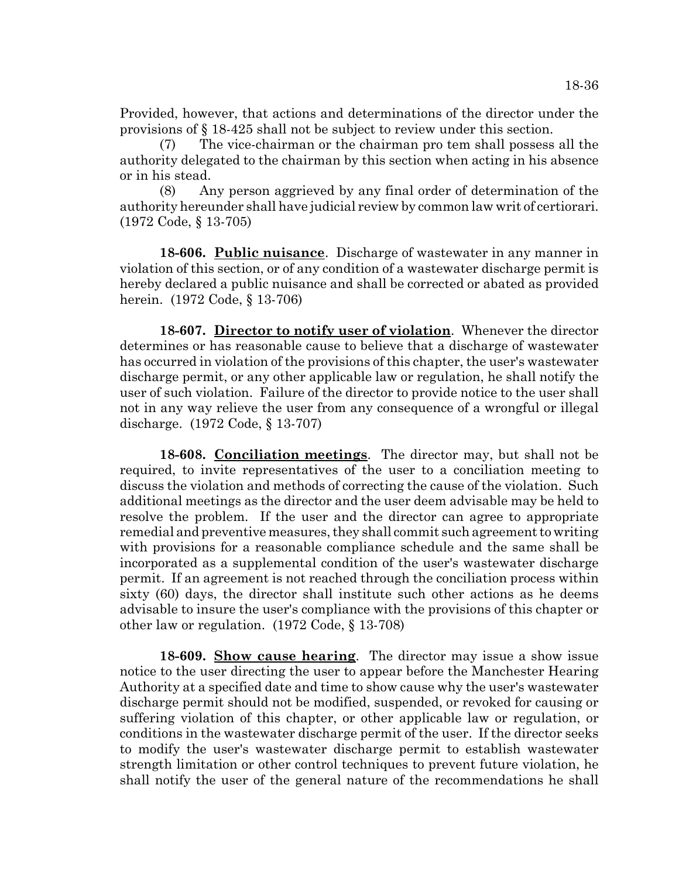Provided, however, that actions and determinations of the director under the provisions of § 18-425 shall not be subject to review under this section.

(7) The vice-chairman or the chairman pro tem shall possess all the authority delegated to the chairman by this section when acting in his absence or in his stead.

(8) Any person aggrieved by any final order of determination of the authority hereunder shall have judicial review by common law writ of certiorari. (1972 Code, § 13-705)

**18-606. Public nuisance**. Discharge of wastewater in any manner in violation of this section, or of any condition of a wastewater discharge permit is hereby declared a public nuisance and shall be corrected or abated as provided herein. (1972 Code, § 13-706)

**18-607. Director to notify user of violation**. Whenever the director determines or has reasonable cause to believe that a discharge of wastewater has occurred in violation of the provisions of this chapter, the user's wastewater discharge permit, or any other applicable law or regulation, he shall notify the user of such violation. Failure of the director to provide notice to the user shall not in any way relieve the user from any consequence of a wrongful or illegal discharge. (1972 Code, § 13-707)

**18-608. Conciliation meetings**. The director may, but shall not be required, to invite representatives of the user to a conciliation meeting to discuss the violation and methods of correcting the cause of the violation. Such additional meetings as the director and the user deem advisable may be held to resolve the problem. If the user and the director can agree to appropriate remedial and preventive measures, they shall commit such agreement to writing with provisions for a reasonable compliance schedule and the same shall be incorporated as a supplemental condition of the user's wastewater discharge permit. If an agreement is not reached through the conciliation process within sixty (60) days, the director shall institute such other actions as he deems advisable to insure the user's compliance with the provisions of this chapter or other law or regulation. (1972 Code, § 13-708)

**18-609. Show cause hearing**. The director may issue a show issue notice to the user directing the user to appear before the Manchester Hearing Authority at a specified date and time to show cause why the user's wastewater discharge permit should not be modified, suspended, or revoked for causing or suffering violation of this chapter, or other applicable law or regulation, or conditions in the wastewater discharge permit of the user. If the director seeks to modify the user's wastewater discharge permit to establish wastewater strength limitation or other control techniques to prevent future violation, he shall notify the user of the general nature of the recommendations he shall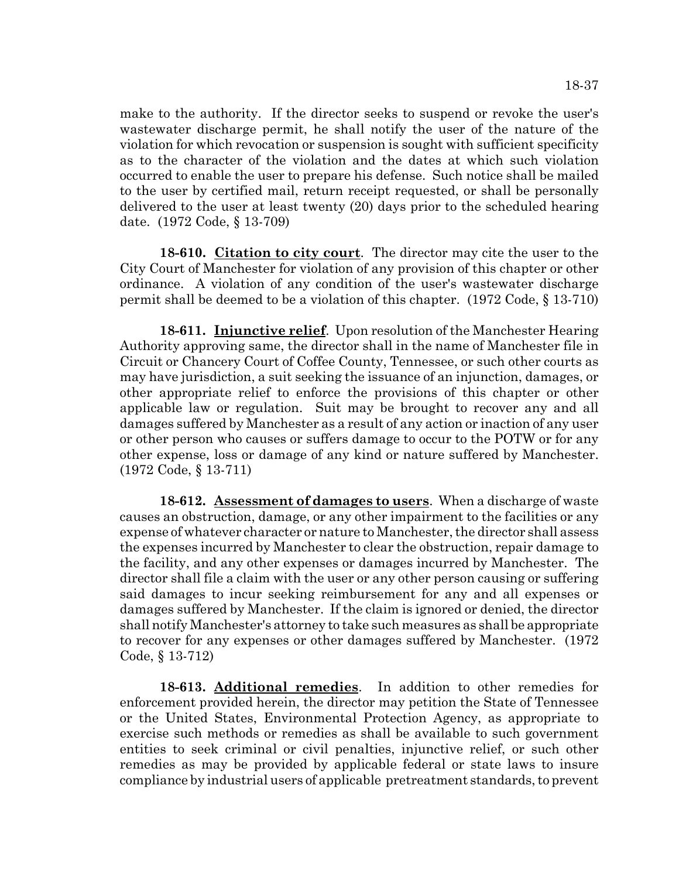make to the authority. If the director seeks to suspend or revoke the user's wastewater discharge permit, he shall notify the user of the nature of the violation for which revocation or suspension is sought with sufficient specificity as to the character of the violation and the dates at which such violation occurred to enable the user to prepare his defense. Such notice shall be mailed to the user by certified mail, return receipt requested, or shall be personally delivered to the user at least twenty (20) days prior to the scheduled hearing date. (1972 Code, § 13-709)

**18-610. Citation to city court**. The director may cite the user to the City Court of Manchester for violation of any provision of this chapter or other ordinance. A violation of any condition of the user's wastewater discharge permit shall be deemed to be a violation of this chapter. (1972 Code, § 13-710)

**18-611. Injunctive relief**. Upon resolution of the Manchester Hearing Authority approving same, the director shall in the name of Manchester file in Circuit or Chancery Court of Coffee County, Tennessee, or such other courts as may have jurisdiction, a suit seeking the issuance of an injunction, damages, or other appropriate relief to enforce the provisions of this chapter or other applicable law or regulation. Suit may be brought to recover any and all damages suffered by Manchester as a result of any action or inaction of any user or other person who causes or suffers damage to occur to the POTW or for any other expense, loss or damage of any kind or nature suffered by Manchester. (1972 Code, § 13-711)

**18-612. Assessment of damages to users**. When a discharge of waste causes an obstruction, damage, or any other impairment to the facilities or any expense of whatever character or nature to Manchester, the director shall assess the expenses incurred by Manchester to clear the obstruction, repair damage to the facility, and any other expenses or damages incurred by Manchester. The director shall file a claim with the user or any other person causing or suffering said damages to incur seeking reimbursement for any and all expenses or damages suffered by Manchester. If the claim is ignored or denied, the director shall notify Manchester's attorney to take such measures as shall be appropriate to recover for any expenses or other damages suffered by Manchester. (1972 Code, § 13-712)

**18-613. Additional remedies**. In addition to other remedies for enforcement provided herein, the director may petition the State of Tennessee or the United States, Environmental Protection Agency, as appropriate to exercise such methods or remedies as shall be available to such government entities to seek criminal or civil penalties, injunctive relief, or such other remedies as may be provided by applicable federal or state laws to insure compliance by industrial users of applicable pretreatment standards, to prevent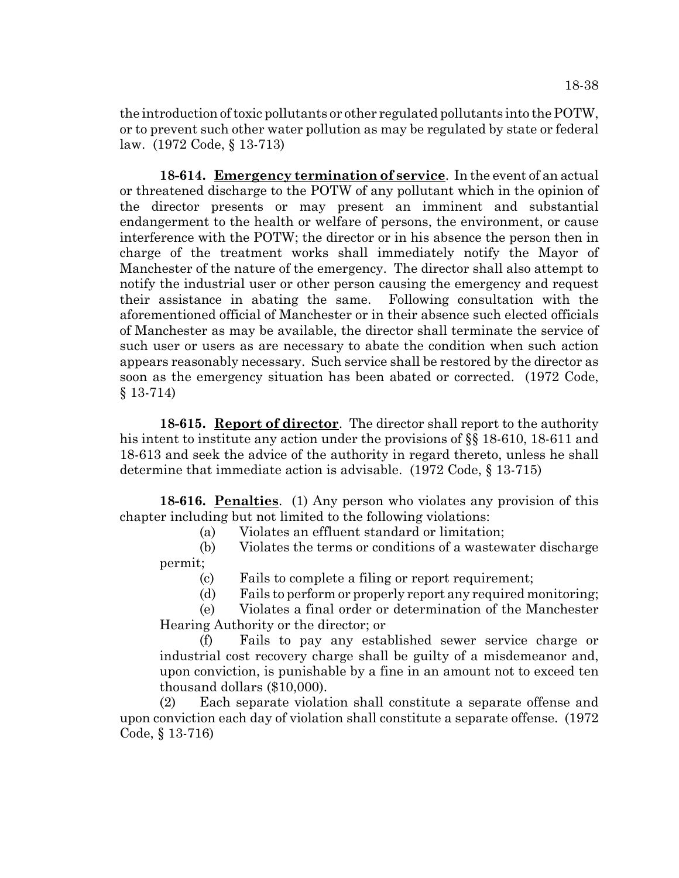the introduction of toxic pollutants or other regulated pollutants into the POTW, or to prevent such other water pollution as may be regulated by state or federal law. (1972 Code, § 13-713)

**18-614. Emergency termination of service**. In the event of an actual or threatened discharge to the POTW of any pollutant which in the opinion of the director presents or may present an imminent and substantial endangerment to the health or welfare of persons, the environment, or cause interference with the POTW; the director or in his absence the person then in charge of the treatment works shall immediately notify the Mayor of Manchester of the nature of the emergency. The director shall also attempt to notify the industrial user or other person causing the emergency and request their assistance in abating the same. Following consultation with the aforementioned official of Manchester or in their absence such elected officials of Manchester as may be available, the director shall terminate the service of such user or users as are necessary to abate the condition when such action appears reasonably necessary. Such service shall be restored by the director as soon as the emergency situation has been abated or corrected. (1972 Code, § 13-714)

**18-615. Report of director**. The director shall report to the authority his intent to institute any action under the provisions of §§ 18-610, 18-611 and 18-613 and seek the advice of the authority in regard thereto, unless he shall determine that immediate action is advisable. (1972 Code, § 13-715)

**18-616. Penalties**. (1) Any person who violates any provision of this chapter including but not limited to the following violations:

(a) Violates an effluent standard or limitation;

(b) Violates the terms or conditions of a wastewater discharge permit;

(c) Fails to complete a filing or report requirement;

(d) Fails to perform or properly report any required monitoring;

(e) Violates a final order or determination of the Manchester Hearing Authority or the director; or

(f) Fails to pay any established sewer service charge or industrial cost recovery charge shall be guilty of a misdemeanor and, upon conviction, is punishable by a fine in an amount not to exceed ten thousand dollars (\$10,000).

(2) Each separate violation shall constitute a separate offense and upon conviction each day of violation shall constitute a separate offense. (1972 Code, § 13-716)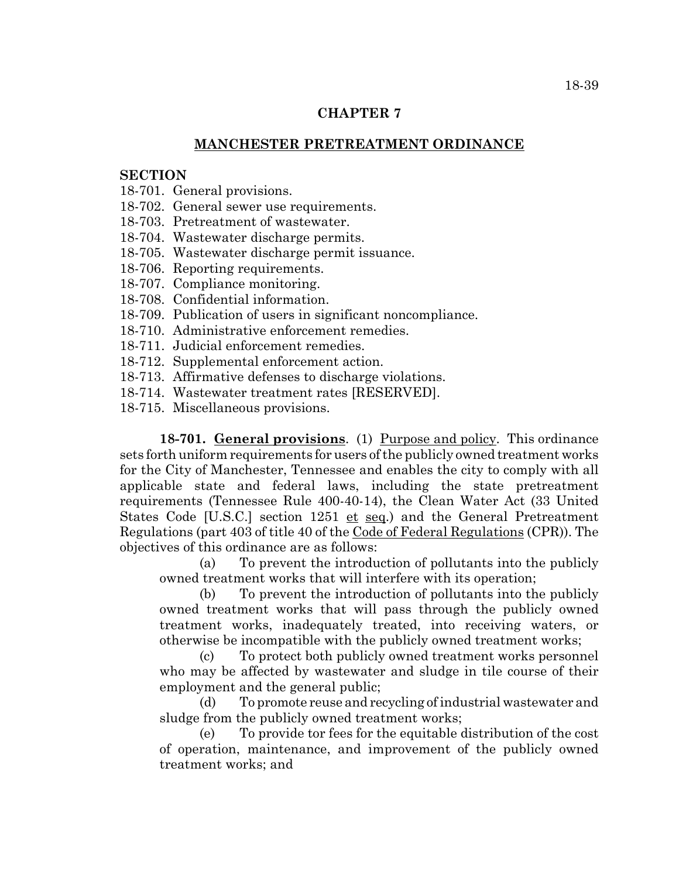## **CHAPTER 7**

## **MANCHESTER PRETREATMENT ORDINANCE**

## **SECTION**

18-701. General provisions.

18-702. General sewer use requirements.

18-703. Pretreatment of wastewater.

18-704. Wastewater discharge permits.

18-705. Wastewater discharge permit issuance.

18-706. Reporting requirements.

- 18-707. Compliance monitoring.
- 18-708. Confidential information.
- 18-709. Publication of users in significant noncompliance.
- 18-710. Administrative enforcement remedies.
- 18-711. Judicial enforcement remedies.
- 18-712. Supplemental enforcement action.
- 18-713. Affirmative defenses to discharge violations.
- 18-714. Wastewater treatment rates [RESERVED].
- 18-715. Miscellaneous provisions.

**18-701. General provisions**. (1) Purpose and policy. This ordinance sets forth uniform requirements for users of the publicly owned treatment works for the City of Manchester, Tennessee and enables the city to comply with all applicable state and federal laws, including the state pretreatment requirements (Tennessee Rule 400-40-14), the Clean Water Act (33 United States Code [U.S.C.] section 1251 et seq.) and the General Pretreatment Regulations (part 403 of title 40 of the Code of Federal Regulations (CPR)). The objectives of this ordinance are as follows:

(a) To prevent the introduction of pollutants into the publicly owned treatment works that will interfere with its operation;

(b) To prevent the introduction of pollutants into the publicly owned treatment works that will pass through the publicly owned treatment works, inadequately treated, into receiving waters, or otherwise be incompatible with the publicly owned treatment works;

(c) To protect both publicly owned treatment works personnel who may be affected by wastewater and sludge in tile course of their employment and the general public;

(d) To promote reuse and recycling of industrial wastewater and sludge from the publicly owned treatment works;

(e) To provide tor fees for the equitable distribution of the cost of operation, maintenance, and improvement of the publicly owned treatment works; and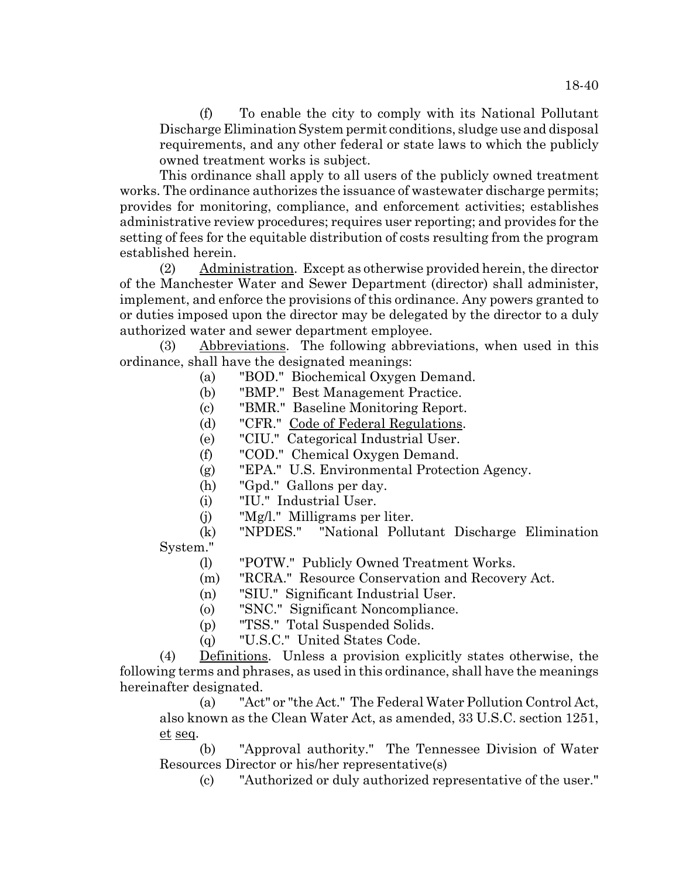(f) To enable the city to comply with its National Pollutant Discharge Elimination System permit conditions, sludge use and disposal requirements, and any other federal or state laws to which the publicly owned treatment works is subject.

This ordinance shall apply to all users of the publicly owned treatment works. The ordinance authorizes the issuance of wastewater discharge permits; provides for monitoring, compliance, and enforcement activities; establishes administrative review procedures; requires user reporting; and provides for the setting of fees for the equitable distribution of costs resulting from the program established herein.

(2) Administration. Except as otherwise provided herein, the director of the Manchester Water and Sewer Department (director) shall administer, implement, and enforce the provisions of this ordinance. Any powers granted to or duties imposed upon the director may be delegated by the director to a duly authorized water and sewer department employee.

Abbreviations. The following abbreviations, when used in this ordinance, shall have the designated meanings:

- (a) "BOD." Biochemical Oxygen Demand.
- (b) "BMP." Best Management Practice.
- (c) "BMR." Baseline Monitoring Report.
- (d) "CFR." Code of Federal Regulations.
- (e) "CIU." Categorical Industrial User.
- (f) "COD." Chemical Oxygen Demand.
- (g) "EPA." U.S. Environmental Protection Agency.
- (h) "Gpd." Gallons per day.
- (i) "IU." Industrial User.
- (j) "Mg/l." Milligrams per liter.

(k) "NPDES." "National Pollutant Discharge Elimination System."

- (l) "POTW." Publicly Owned Treatment Works.
- (m) "RCRA." Resource Conservation and Recovery Act.
- (n) "SIU." Significant Industrial User.
- (o) "SNC." Significant Noncompliance.
- (p) "TSS." Total Suspended Solids.
- (q) "U.S.C." United States Code.

(4) Definitions. Unless a provision explicitly states otherwise, the following terms and phrases, as used in this ordinance, shall have the meanings hereinafter designated.

(a) "Act" or "the Act." The Federal Water Pollution Control Act, also known as the Clean Water Act, as amended, 33 U.S.C. section 1251, et seq.

(b) "Approval authority." The Tennessee Division of Water Resources Director or his/her representative(s)

(c) "Authorized or duly authorized representative of the user."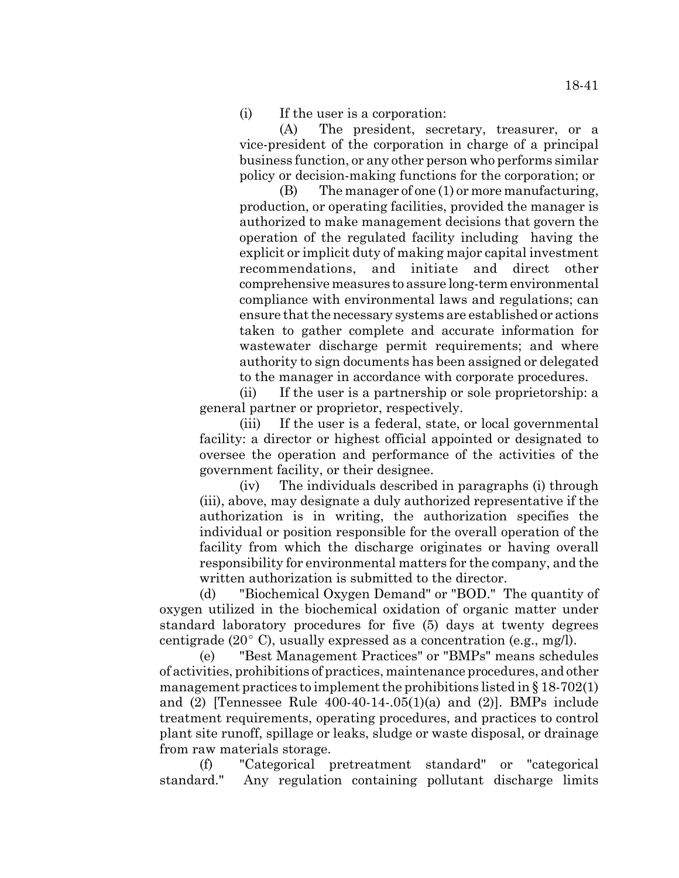(i) If the user is a corporation:

(A) The president, secretary, treasurer, or a vice-president of the corporation in charge of a principal business function, or any other person who performs similar policy or decision-making functions for the corporation; or

(B) The manager of one (1) or more manufacturing, production, or operating facilities, provided the manager is authorized to make management decisions that govern the operation of the regulated facility including having the explicit or implicit duty of making major capital investment recommendations, and initiate and direct other comprehensive measures to assure long-term environmental compliance with environmental laws and regulations; can ensure that the necessary systems are established or actions taken to gather complete and accurate information for wastewater discharge permit requirements; and where authority to sign documents has been assigned or delegated to the manager in accordance with corporate procedures.

(ii) If the user is a partnership or sole proprietorship: a general partner or proprietor, respectively.

(iii) If the user is a federal, state, or local governmental facility: a director or highest official appointed or designated to oversee the operation and performance of the activities of the government facility, or their designee.

(iv) The individuals described in paragraphs (i) through (iii), above, may designate a duly authorized representative if the authorization is in writing, the authorization specifies the individual or position responsible for the overall operation of the facility from which the discharge originates or having overall responsibility for environmental matters for the company, and the written authorization is submitted to the director.

(d) "Biochemical Oxygen Demand" or "BOD." The quantity of oxygen utilized in the biochemical oxidation of organic matter under standard laboratory procedures for five (5) days at twenty degrees centigrade (20 $^{\circ}$  C), usually expressed as a concentration (e.g., mg/l).

(e) "Best Management Practices" or "BMPs" means schedules of activities, prohibitions of practices, maintenance procedures, and other management practices to implement the prohibitions listed in  $\S 18-702(1)$ and  $(2)$  [Tennessee Rule 400-40-14-.05(1)(a) and  $(2)$ ]. BMPs include treatment requirements, operating procedures, and practices to control plant site runoff, spillage or leaks, sludge or waste disposal, or drainage from raw materials storage.

(f) "Categorical pretreatment standard" or "categorical standard." Any regulation containing pollutant discharge limits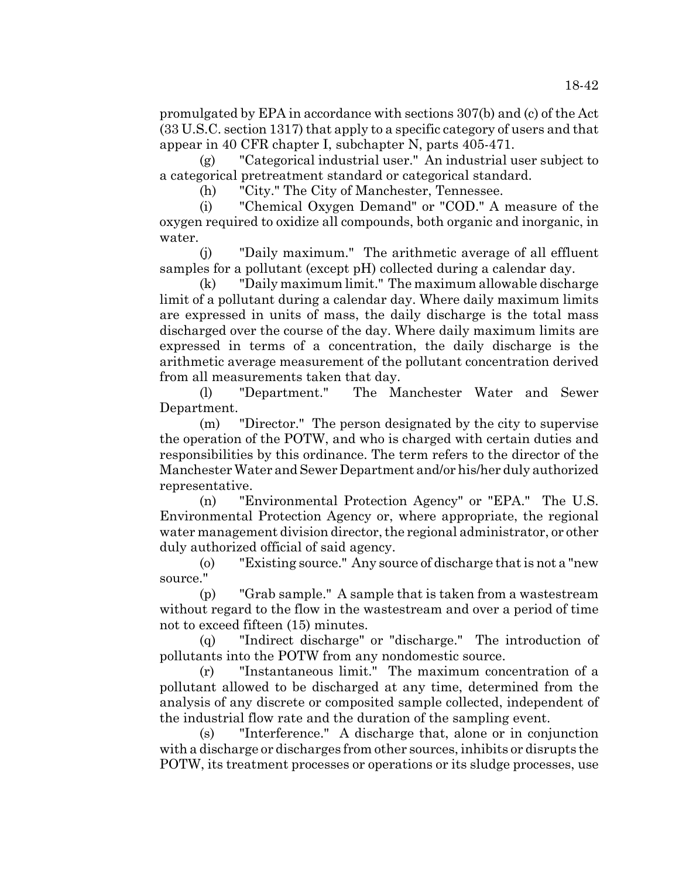promulgated by EPA in accordance with sections 307(b) and (c) of the Act (33 U.S.C. section 1317) that apply to a specific category of users and that appear in 40 CFR chapter I, subchapter N, parts 405-471.

(g) "Categorical industrial user." An industrial user subject to a categorical pretreatment standard or categorical standard.

(h) "City." The City of Manchester, Tennessee.

(i) "Chemical Oxygen Demand" or "COD." A measure of the oxygen required to oxidize all compounds, both organic and inorganic, in water.

(j) "Daily maximum." The arithmetic average of all effluent samples for a pollutant (except pH) collected during a calendar day.

(k) "Daily maximum limit." The maximum allowable discharge limit of a pollutant during a calendar day. Where daily maximum limits are expressed in units of mass, the daily discharge is the total mass discharged over the course of the day. Where daily maximum limits are expressed in terms of a concentration, the daily discharge is the arithmetic average measurement of the pollutant concentration derived from all measurements taken that day.

(l) "Department." The Manchester Water and Sewer Department.

(m) "Director." The person designated by the city to supervise the operation of the POTW, and who is charged with certain duties and responsibilities by this ordinance. The term refers to the director of the Manchester Water and Sewer Department and/or his/her duly authorized representative.

(n) "Environmental Protection Agency" or "EPA." The U.S. Environmental Protection Agency or, where appropriate, the regional water management division director, the regional administrator, or other duly authorized official of said agency.

(o) "Existing source." Any source of discharge that is not a "new source."

(p) "Grab sample." A sample that is taken from a wastestream without regard to the flow in the wastestream and over a period of time not to exceed fifteen (15) minutes.

(q) "Indirect discharge" or "discharge." The introduction of pollutants into the POTW from any nondomestic source.

(r) "Instantaneous limit." The maximum concentration of a pollutant allowed to be discharged at any time, determined from the analysis of any discrete or composited sample collected, independent of the industrial flow rate and the duration of the sampling event.

(s) "Interference." A discharge that, alone or in conjunction with a discharge or discharges from other sources, inhibits or disrupts the POTW, its treatment processes or operations or its sludge processes, use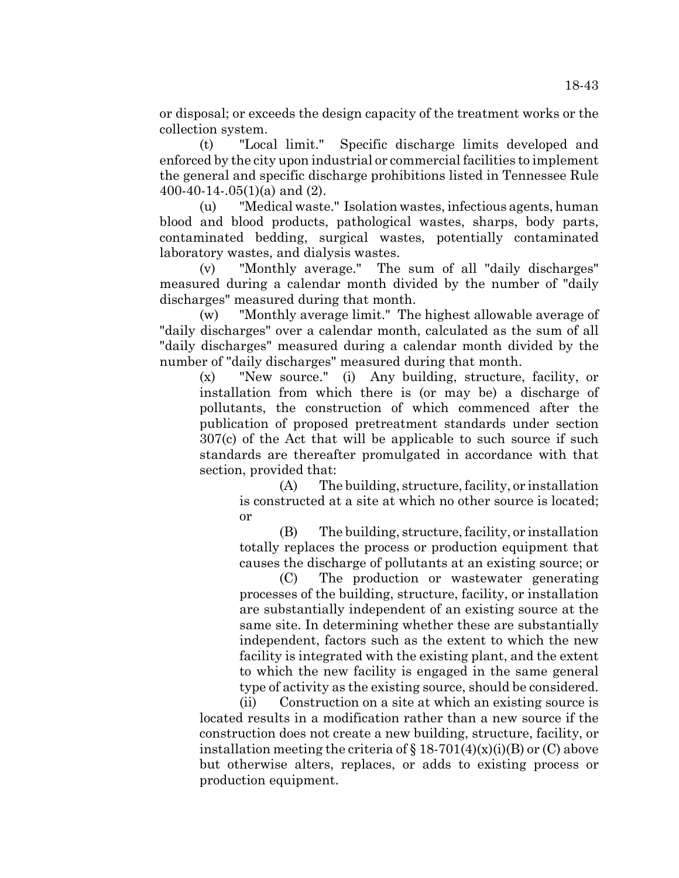or disposal; or exceeds the design capacity of the treatment works or the collection system.

(t) "Local limit." Specific discharge limits developed and enforced by the city upon industrial or commercial facilities to implement the general and specific discharge prohibitions listed in Tennessee Rule 400-40-14-.05(1)(a) and (2).

(u) "Medical waste." Isolation wastes, infectious agents, human blood and blood products, pathological wastes, sharps, body parts, contaminated bedding, surgical wastes, potentially contaminated laboratory wastes, and dialysis wastes.

(v) "Monthly average." The sum of all "daily discharges" measured during a calendar month divided by the number of "daily discharges" measured during that month.

(w) "Monthly average limit." The highest allowable average of "daily discharges" over a calendar month, calculated as the sum of all "daily discharges" measured during a calendar month divided by the number of "daily discharges" measured during that month.

(x) "New source." (i) Any building, structure, facility, or installation from which there is (or may be) a discharge of pollutants, the construction of which commenced after the publication of proposed pretreatment standards under section 307(c) of the Act that will be applicable to such source if such standards are thereafter promulgated in accordance with that section, provided that:

(A) The building, structure, facility, or installation is constructed at a site at which no other source is located; or

(B) The building, structure, facility, or installation totally replaces the process or production equipment that causes the discharge of pollutants at an existing source; or

(C) The production or wastewater generating processes of the building, structure, facility, or installation are substantially independent of an existing source at the same site. In determining whether these are substantially independent, factors such as the extent to which the new facility is integrated with the existing plant, and the extent to which the new facility is engaged in the same general type of activity as the existing source, should be considered.

(ii) Construction on a site at which an existing source is located results in a modification rather than a new source if the construction does not create a new building, structure, facility, or installation meeting the criteria of  $\S 18-701(4)(x)(i)(B)$  or (C) above but otherwise alters, replaces, or adds to existing process or production equipment.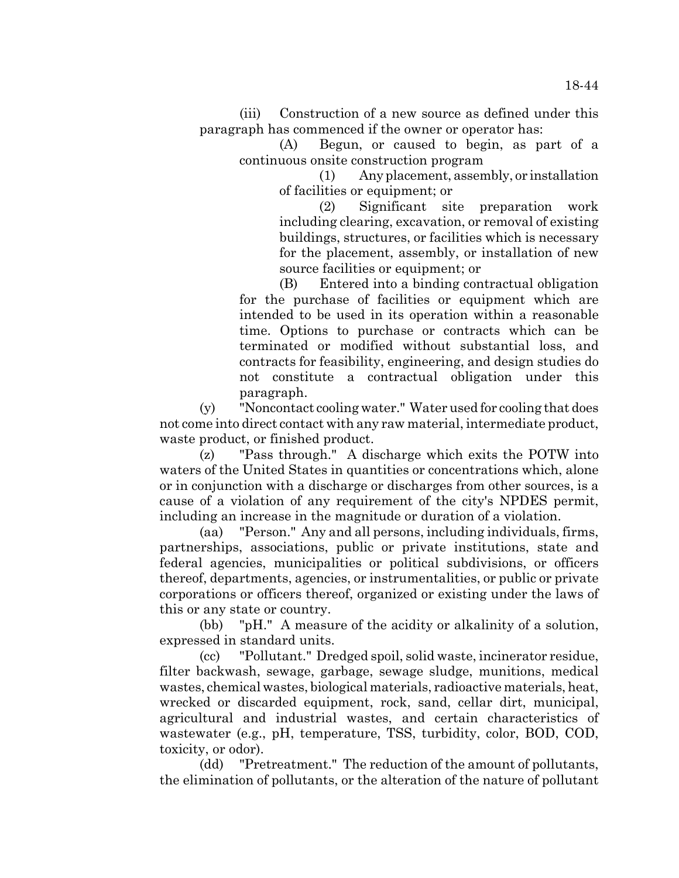(iii) Construction of a new source as defined under this paragraph has commenced if the owner or operator has:

(A) Begun, or caused to begin, as part of a continuous onsite construction program

> (1) Any placement, assembly, or installation of facilities or equipment; or

> (2) Significant site preparation work including clearing, excavation, or removal of existing buildings, structures, or facilities which is necessary for the placement, assembly, or installation of new source facilities or equipment; or

(B) Entered into a binding contractual obligation for the purchase of facilities or equipment which are intended to be used in its operation within a reasonable time. Options to purchase or contracts which can be terminated or modified without substantial loss, and contracts for feasibility, engineering, and design studies do not constitute a contractual obligation under this paragraph.

(y) "Noncontact cooling water." Water used for cooling that does not come into direct contact with any raw material, intermediate product, waste product, or finished product.

(z) "Pass through." A discharge which exits the POTW into waters of the United States in quantities or concentrations which, alone or in conjunction with a discharge or discharges from other sources, is a cause of a violation of any requirement of the city's NPDES permit, including an increase in the magnitude or duration of a violation.

(aa) "Person." Any and all persons, including individuals, firms, partnerships, associations, public or private institutions, state and federal agencies, municipalities or political subdivisions, or officers thereof, departments, agencies, or instrumentalities, or public or private corporations or officers thereof, organized or existing under the laws of this or any state or country.

(bb) "pH." A measure of the acidity or alkalinity of a solution, expressed in standard units.

(cc) "Pollutant." Dredged spoil, solid waste, incinerator residue, filter backwash, sewage, garbage, sewage sludge, munitions, medical wastes, chemical wastes, biological materials, radioactive materials, heat, wrecked or discarded equipment, rock, sand, cellar dirt, municipal, agricultural and industrial wastes, and certain characteristics of wastewater (e.g., pH, temperature, TSS, turbidity, color, BOD, COD, toxicity, or odor).

(dd) "Pretreatment." The reduction of the amount of pollutants, the elimination of pollutants, or the alteration of the nature of pollutant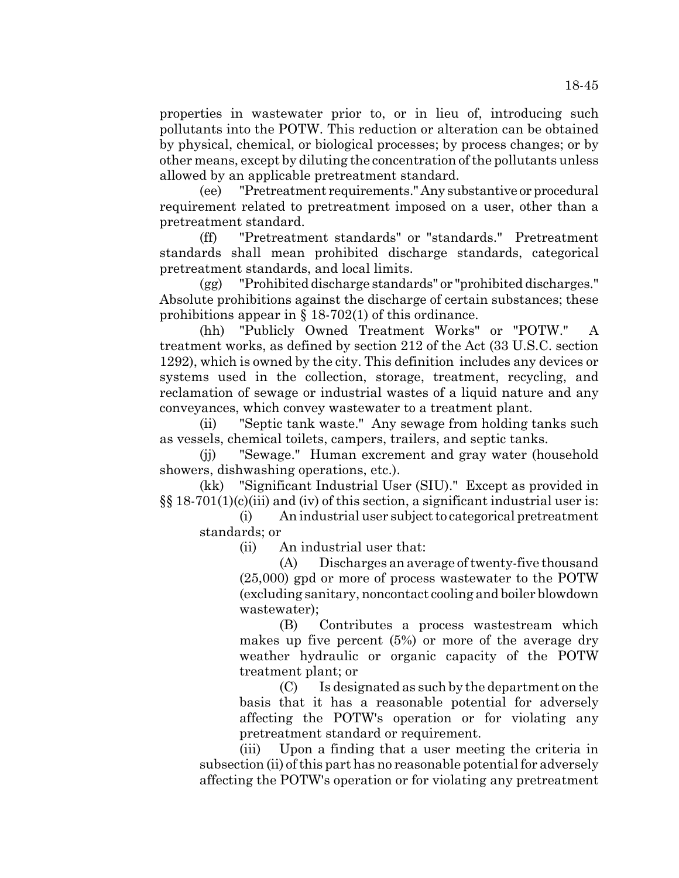properties in wastewater prior to, or in lieu of, introducing such pollutants into the POTW. This reduction or alteration can be obtained by physical, chemical, or biological processes; by process changes; or by other means, except by diluting the concentration of the pollutants unless allowed by an applicable pretreatment standard.

(ee) "Pretreatment requirements." Any substantive or procedural requirement related to pretreatment imposed on a user, other than a pretreatment standard.

(ff) "Pretreatment standards" or "standards." Pretreatment standards shall mean prohibited discharge standards, categorical pretreatment standards, and local limits.

(gg) "Prohibited discharge standards" or "prohibited discharges." Absolute prohibitions against the discharge of certain substances; these prohibitions appear in  $\S$  18-702(1) of this ordinance.

(hh) "Publicly Owned Treatment Works" or "POTW." A treatment works, as defined by section 212 of the Act (33 U.S.C. section 1292), which is owned by the city. This definition includes any devices or systems used in the collection, storage, treatment, recycling, and reclamation of sewage or industrial wastes of a liquid nature and any conveyances, which convey wastewater to a treatment plant.

(ii) "Septic tank waste." Any sewage from holding tanks such as vessels, chemical toilets, campers, trailers, and septic tanks.

(jj) "Sewage." Human excrement and gray water (household showers, dishwashing operations, etc.).

(kk) "Significant Industrial User (SIU)." Except as provided in  $\S$ § 18-701(1)(c)(iii) and (iv) of this section, a significant industrial user is:

(i) An industrial user subject to categorical pretreatment standards; or

(ii) An industrial user that:

(A) Discharges an average of twenty-five thousand (25,000) gpd or more of process wastewater to the POTW (excluding sanitary, noncontact cooling and boiler blowdown wastewater);

(B) Contributes a process wastestream which makes up five percent (5%) or more of the average dry weather hydraulic or organic capacity of the POTW treatment plant; or

(C) Is designated as such by the department on the basis that it has a reasonable potential for adversely affecting the POTW's operation or for violating any pretreatment standard or requirement.

(iii) Upon a finding that a user meeting the criteria in subsection (ii) of this part has no reasonable potential for adversely affecting the POTW's operation or for violating any pretreatment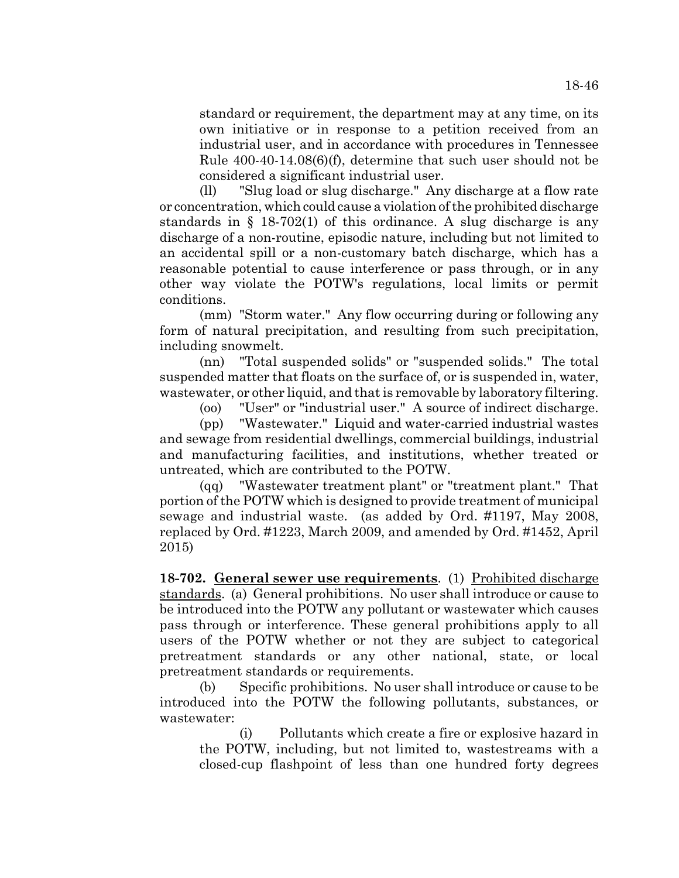standard or requirement, the department may at any time, on its own initiative or in response to a petition received from an industrial user, and in accordance with procedures in Tennessee Rule 400-40-14.08(6)(f), determine that such user should not be considered a significant industrial user.

(ll) "Slug load or slug discharge." Any discharge at a flow rate or concentration, which could cause a violation of the prohibited discharge standards in § 18-702(1) of this ordinance. A slug discharge is any discharge of a non-routine, episodic nature, including but not limited to an accidental spill or a non-customary batch discharge, which has a reasonable potential to cause interference or pass through, or in any other way violate the POTW's regulations, local limits or permit conditions.

(mm) "Storm water." Any flow occurring during or following any form of natural precipitation, and resulting from such precipitation, including snowmelt.

(nn) "Total suspended solids" or "suspended solids." The total suspended matter that floats on the surface of, or is suspended in, water, wastewater, or other liquid, and that is removable by laboratory filtering.

(oo) "User" or "industrial user." A source of indirect discharge.

(pp) "Wastewater." Liquid and water-carried industrial wastes and sewage from residential dwellings, commercial buildings, industrial and manufacturing facilities, and institutions, whether treated or untreated, which are contributed to the POTW.

(qq) "Wastewater treatment plant" or "treatment plant." That portion of the POTW which is designed to provide treatment of municipal sewage and industrial waste. (as added by Ord. #1197, May 2008, replaced by Ord. #1223, March 2009, and amended by Ord. #1452, April 2015)

**18-702. General sewer use requirements**. (1) Prohibited discharge standards. (a) General prohibitions. No user shall introduce or cause to be introduced into the POTW any pollutant or wastewater which causes pass through or interference. These general prohibitions apply to all users of the POTW whether or not they are subject to categorical pretreatment standards or any other national, state, or local pretreatment standards or requirements.

(b) Specific prohibitions. No user shall introduce or cause to be introduced into the POTW the following pollutants, substances, or wastewater:

(i) Pollutants which create a fire or explosive hazard in the POTW, including, but not limited to, wastestreams with a closed-cup flashpoint of less than one hundred forty degrees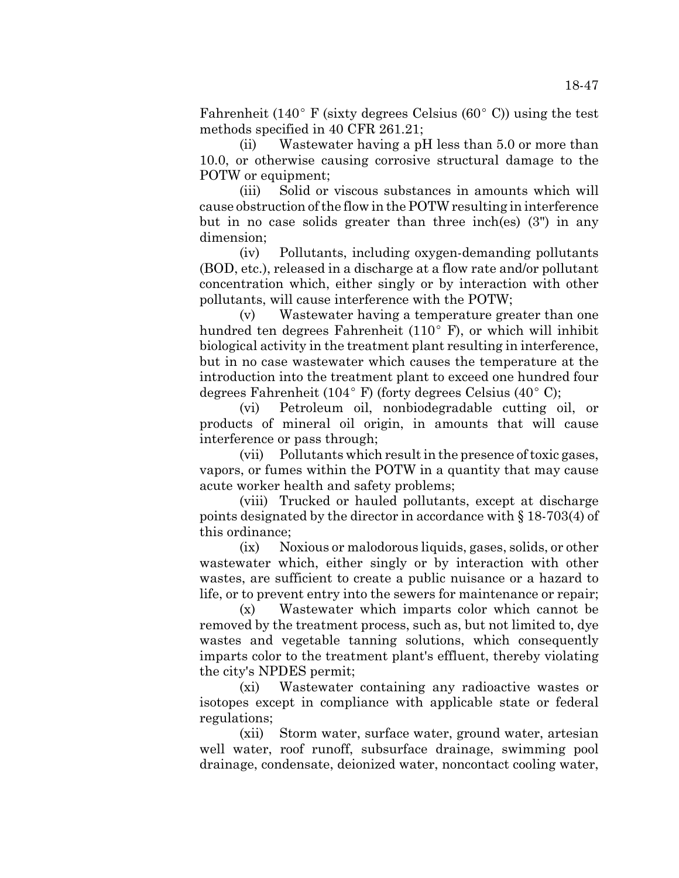Fahrenheit (140 $^{\circ}$  F (sixty degrees Celsius (60 $^{\circ}$  C)) using the test methods specified in 40 CFR 261.21;

(ii) Wastewater having a pH less than 5.0 or more than 10.0, or otherwise causing corrosive structural damage to the POTW or equipment;

(iii) Solid or viscous substances in amounts which will cause obstruction of the flow in the POTW resulting in interference but in no case solids greater than three inch(es) (3") in any dimension;

(iv) Pollutants, including oxygen-demanding pollutants (BOD, etc.), released in a discharge at a flow rate and/or pollutant concentration which, either singly or by interaction with other pollutants, will cause interference with the POTW;

(v) Wastewater having a temperature greater than one hundred ten degrees Fahrenheit (110 $^{\circ}$  F), or which will inhibit biological activity in the treatment plant resulting in interference, but in no case wastewater which causes the temperature at the introduction into the treatment plant to exceed one hundred four degrees Fahrenheit (104 $\degree$ F) (forty degrees Celsius (40 $\degree$ C);

(vi) Petroleum oil, nonbiodegradable cutting oil, or products of mineral oil origin, in amounts that will cause interference or pass through;

(vii) Pollutants which result in the presence of toxic gases, vapors, or fumes within the POTW in a quantity that may cause acute worker health and safety problems;

(viii) Trucked or hauled pollutants, except at discharge points designated by the director in accordance with § 18-703(4) of this ordinance;

(ix) Noxious or malodorous liquids, gases, solids, or other wastewater which, either singly or by interaction with other wastes, are sufficient to create a public nuisance or a hazard to life, or to prevent entry into the sewers for maintenance or repair;

(x) Wastewater which imparts color which cannot be removed by the treatment process, such as, but not limited to, dye wastes and vegetable tanning solutions, which consequently imparts color to the treatment plant's effluent, thereby violating the city's NPDES permit;

(xi) Wastewater containing any radioactive wastes or isotopes except in compliance with applicable state or federal regulations;

(xii) Storm water, surface water, ground water, artesian well water, roof runoff, subsurface drainage, swimming pool drainage, condensate, deionized water, noncontact cooling water,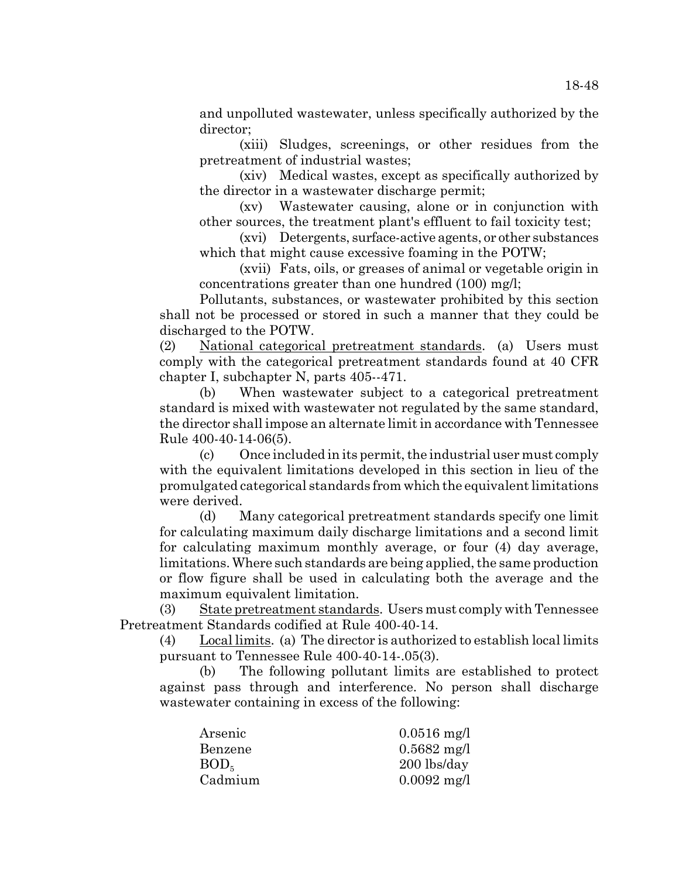and unpolluted wastewater, unless specifically authorized by the director;

(xiii) Sludges, screenings, or other residues from the pretreatment of industrial wastes;

(xiv) Medical wastes, except as specifically authorized by the director in a wastewater discharge permit;

(xv) Wastewater causing, alone or in conjunction with other sources, the treatment plant's effluent to fail toxicity test;

(xvi) Detergents, surface-active agents, or other substances which that might cause excessive foaming in the POTW;

(xvii) Fats, oils, or greases of animal or vegetable origin in concentrations greater than one hundred (100) mg/l;

Pollutants, substances, or wastewater prohibited by this section shall not be processed or stored in such a manner that they could be discharged to the POTW.

(2) National categorical pretreatment standards. (a) Users must comply with the categorical pretreatment standards found at 40 CFR chapter I, subchapter N, parts 405--471.

(b) When wastewater subject to a categorical pretreatment standard is mixed with wastewater not regulated by the same standard, the director shall impose an alternate limit in accordance with Tennessee Rule 400-40-14-06(5).

(c) Once included in its permit, the industrial user must comply with the equivalent limitations developed in this section in lieu of the promulgated categorical standards from which the equivalent limitations were derived.

(d) Many categorical pretreatment standards specify one limit for calculating maximum daily discharge limitations and a second limit for calculating maximum monthly average, or four (4) day average, limitations. Where such standards are being applied, the same production or flow figure shall be used in calculating both the average and the maximum equivalent limitation.

(3) State pretreatment standards. Users must comply with Tennessee Pretreatment Standards codified at Rule 400-40-14.

(4) Local limits. (a) The director is authorized to establish local limits pursuant to Tennessee Rule 400-40-14-.05(3).

(b) The following pollutant limits are established to protect against pass through and interference. No person shall discharge wastewater containing in excess of the following:

| Arsenic          | $0.0516$ mg/l |
|------------------|---------------|
| Benzene          | $0.5682$ mg/l |
| BOD <sub>5</sub> | $200$ lbs/day |
| Cadmium          | $0.0092$ mg/l |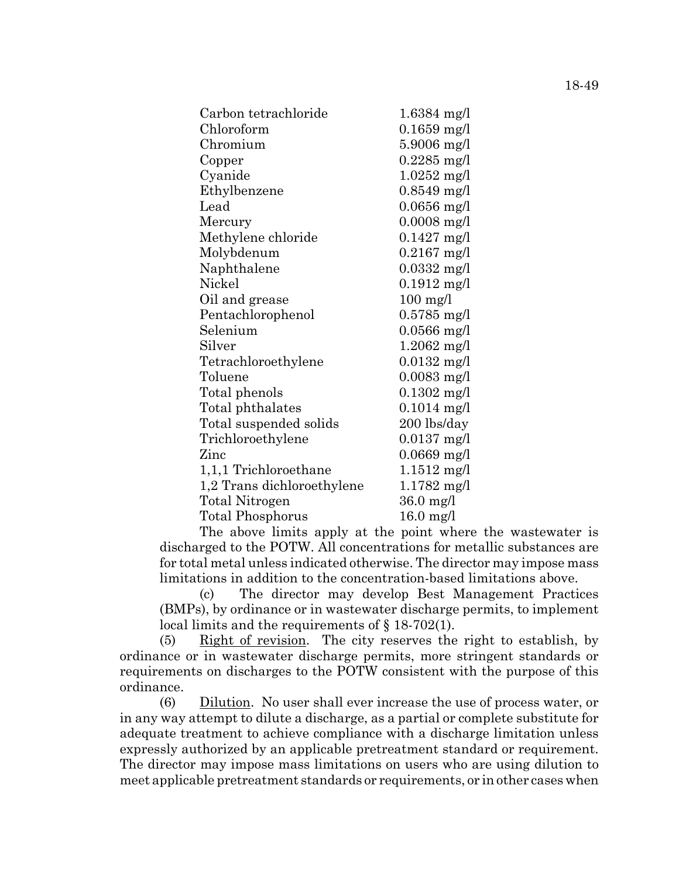| Carbon tetrachloride       | $1.6384$ mg/l         |
|----------------------------|-----------------------|
| Chloroform                 | $0.1659$ mg/l         |
| Chromium                   | $5.9006$ mg/l         |
| Copper                     | $0.2285$ mg/l         |
| Cyanide                    | $1.0252$ mg/l         |
| Ethylbenzene               | $0.8549$ mg/l         |
| Lead                       | $0.0656$ mg/l         |
| Mercury                    | $0.0008$ mg/l         |
| Methylene chloride         | $0.1427$ mg/l         |
| Molybdenum                 | $0.2167$ mg/l         |
| Naphthalene                | $0.0332 \text{ mg/l}$ |
| Nickel                     | $0.1912$ mg/l         |
| Oil and grease             | $100$ mg/l            |
| Pentachlorophenol          | $0.5785$ mg/l         |
| Selenium                   | $0.0566$ mg/l         |
| Silver                     | $1.2062 \text{ mg/l}$ |
| Tetrachloroethylene        | $0.0132 \text{ mg/l}$ |
| Toluene                    | $0.0083$ mg/l         |
| Total phenols              | $0.1302$ mg/l         |
| Total phthalates           | $0.1014$ mg/l         |
| Total suspended solids     | 200 lbs/day           |
| Trichloroethylene          | $0.0137$ mg/l         |
| Zinc                       | $0.0669$ mg/l         |
| 1,1,1 Trichloroethane      | $1.1512 \text{ mg/l}$ |
| 1,2 Trans dichloroethylene | $1.1782$ mg/l         |
| Total Nitrogen             | $36.0$ mg/l           |
| Total Phosphorus           | $16.0$ mg/l           |

The above limits apply at the point where the wastewater is discharged to the POTW. All concentrations for metallic substances are for total metal unless indicated otherwise. The director may impose mass limitations in addition to the concentration-based limitations above.

(c) The director may develop Best Management Practices (BMPs), by ordinance or in wastewater discharge permits, to implement local limits and the requirements of § 18-702(1).

(5) Right of revision. The city reserves the right to establish, by ordinance or in wastewater discharge permits, more stringent standards or requirements on discharges to the POTW consistent with the purpose of this ordinance.

(6) Dilution. No user shall ever increase the use of process water, or in any way attempt to dilute a discharge, as a partial or complete substitute for adequate treatment to achieve compliance with a discharge limitation unless expressly authorized by an applicable pretreatment standard or requirement. The director may impose mass limitations on users who are using dilution to meet applicable pretreatment standards or requirements, or in other cases when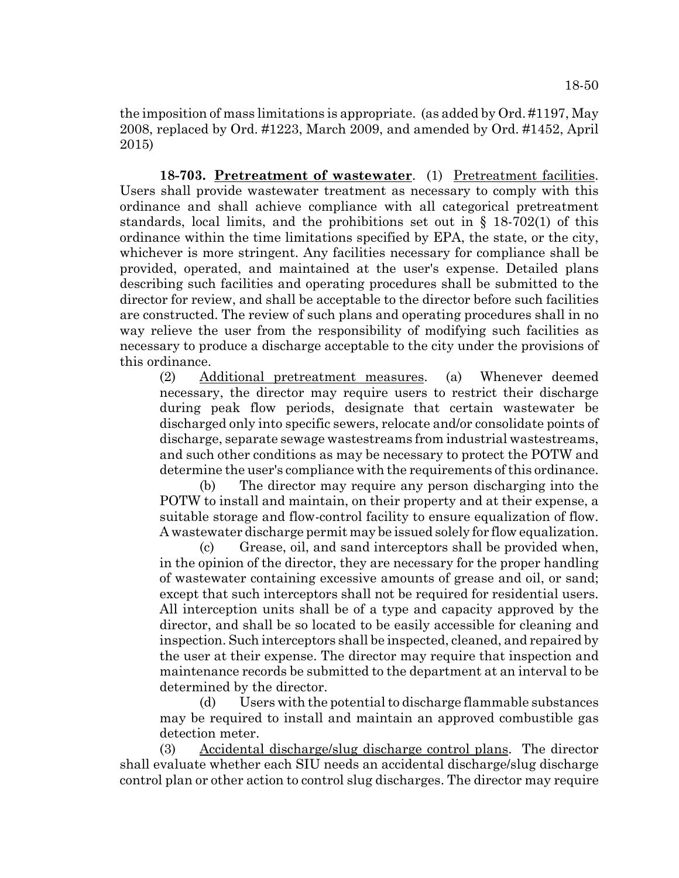the imposition of mass limitations is appropriate. (as added by Ord. #1197, May 2008, replaced by Ord. #1223, March 2009, and amended by Ord. #1452, April 2015)

**18-703. Pretreatment of wastewater**. (1) Pretreatment facilities. Users shall provide wastewater treatment as necessary to comply with this ordinance and shall achieve compliance with all categorical pretreatment standards, local limits, and the prohibitions set out in  $\S$  18-702(1) of this ordinance within the time limitations specified by EPA, the state, or the city, whichever is more stringent. Any facilities necessary for compliance shall be provided, operated, and maintained at the user's expense. Detailed plans describing such facilities and operating procedures shall be submitted to the director for review, and shall be acceptable to the director before such facilities are constructed. The review of such plans and operating procedures shall in no way relieve the user from the responsibility of modifying such facilities as necessary to produce a discharge acceptable to the city under the provisions of this ordinance.

(2) Additional pretreatment measures. (a) Whenever deemed necessary, the director may require users to restrict their discharge during peak flow periods, designate that certain wastewater be discharged only into specific sewers, relocate and/or consolidate points of discharge, separate sewage wastestreams from industrial wastestreams, and such other conditions as may be necessary to protect the POTW and determine the user's compliance with the requirements of this ordinance.

(b) The director may require any person discharging into the POTW to install and maintain, on their property and at their expense, a suitable storage and flow-control facility to ensure equalization of flow. A wastewater discharge permit may be issued solely for flow equalization.

(c) Grease, oil, and sand interceptors shall be provided when, in the opinion of the director, they are necessary for the proper handling of wastewater containing excessive amounts of grease and oil, or sand; except that such interceptors shall not be required for residential users. All interception units shall be of a type and capacity approved by the director, and shall be so located to be easily accessible for cleaning and inspection. Such interceptors shall be inspected, cleaned, and repaired by the user at their expense. The director may require that inspection and maintenance records be submitted to the department at an interval to be determined by the director.

(d) Users with the potential to discharge flammable substances may be required to install and maintain an approved combustible gas detection meter.

(3) Accidental discharge/slug discharge control plans. The director shall evaluate whether each SIU needs an accidental discharge/slug discharge control plan or other action to control slug discharges. The director may require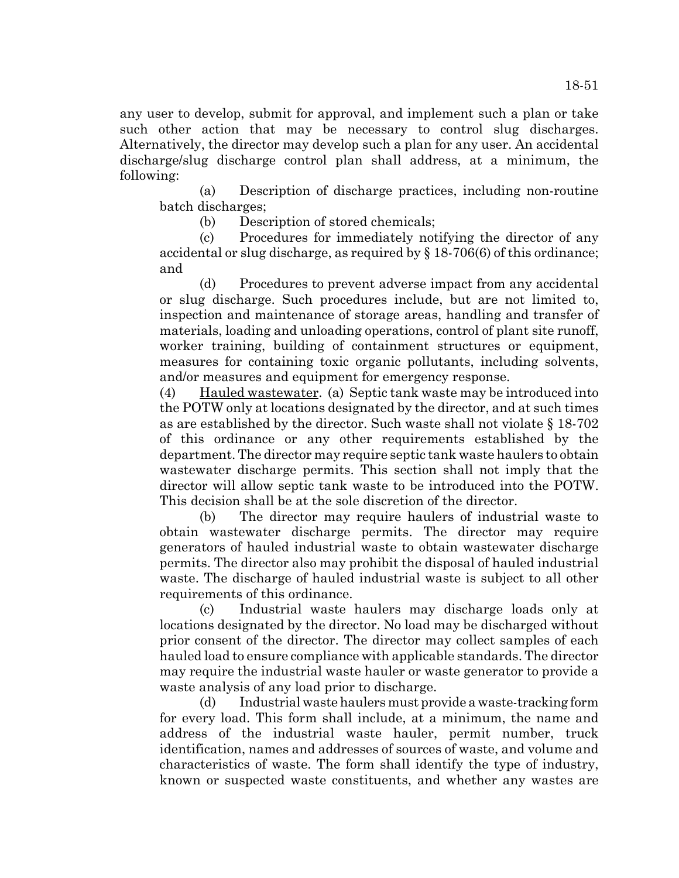any user to develop, submit for approval, and implement such a plan or take such other action that may be necessary to control slug discharges. Alternatively, the director may develop such a plan for any user. An accidental discharge/slug discharge control plan shall address, at a minimum, the following:

(a) Description of discharge practices, including non-routine batch discharges;

(b) Description of stored chemicals;

(c) Procedures for immediately notifying the director of any accidental or slug discharge, as required by § 18-706(6) of this ordinance; and

(d) Procedures to prevent adverse impact from any accidental or slug discharge. Such procedures include, but are not limited to, inspection and maintenance of storage areas, handling and transfer of materials, loading and unloading operations, control of plant site runoff, worker training, building of containment structures or equipment, measures for containing toxic organic pollutants, including solvents, and/or measures and equipment for emergency response.

(4) Hauled wastewater. (a) Septic tank waste may be introduced into the POTW only at locations designated by the director, and at such times as are established by the director. Such waste shall not violate § 18-702 of this ordinance or any other requirements established by the department. The director may require septic tank waste haulers to obtain wastewater discharge permits. This section shall not imply that the director will allow septic tank waste to be introduced into the POTW. This decision shall be at the sole discretion of the director.

(b) The director may require haulers of industrial waste to obtain wastewater discharge permits. The director may require generators of hauled industrial waste to obtain wastewater discharge permits. The director also may prohibit the disposal of hauled industrial waste. The discharge of hauled industrial waste is subject to all other requirements of this ordinance.

(c) Industrial waste haulers may discharge loads only at locations designated by the director. No load may be discharged without prior consent of the director. The director may collect samples of each hauled load to ensure compliance with applicable standards. The director may require the industrial waste hauler or waste generator to provide a waste analysis of any load prior to discharge.

(d) Industrial waste haulers must provide a waste-tracking form for every load. This form shall include, at a minimum, the name and address of the industrial waste hauler, permit number, truck identification, names and addresses of sources of waste, and volume and characteristics of waste. The form shall identify the type of industry, known or suspected waste constituents, and whether any wastes are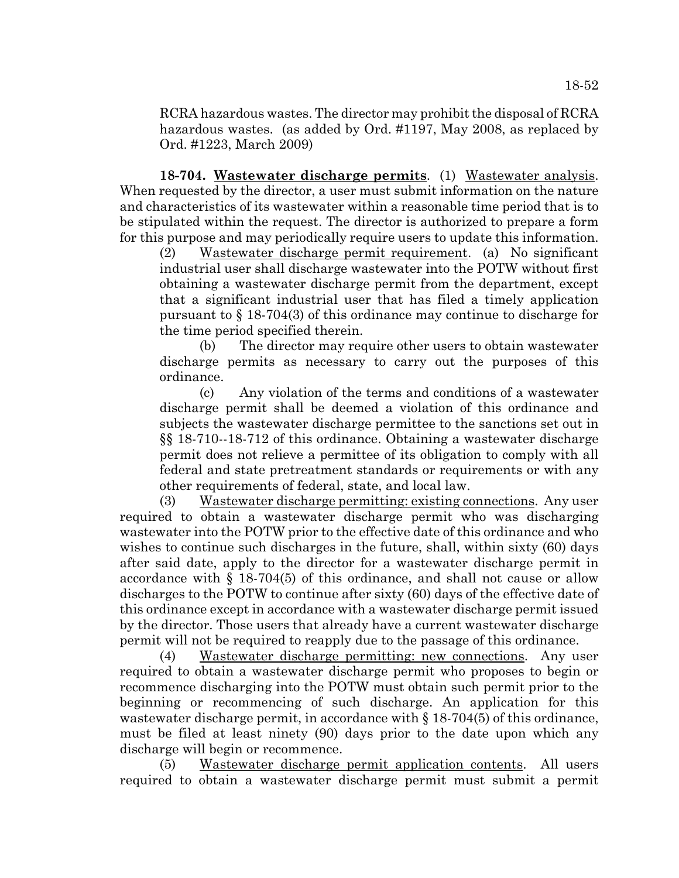RCRA hazardous wastes. The director may prohibit the disposal of RCRA hazardous wastes. (as added by Ord. #1197, May 2008, as replaced by Ord. #1223, March 2009)

**18-704. Wastewater discharge permits**. (1) Wastewater analysis. When requested by the director, a user must submit information on the nature and characteristics of its wastewater within a reasonable time period that is to be stipulated within the request. The director is authorized to prepare a form for this purpose and may periodically require users to update this information.

(2) Wastewater discharge permit requirement. (a) No significant industrial user shall discharge wastewater into the POTW without first obtaining a wastewater discharge permit from the department, except that a significant industrial user that has filed a timely application pursuant to § 18-704(3) of this ordinance may continue to discharge for the time period specified therein.

(b) The director may require other users to obtain wastewater discharge permits as necessary to carry out the purposes of this ordinance.

(c) Any violation of the terms and conditions of a wastewater discharge permit shall be deemed a violation of this ordinance and subjects the wastewater discharge permittee to the sanctions set out in §§ 18-710--18-712 of this ordinance. Obtaining a wastewater discharge permit does not relieve a permittee of its obligation to comply with all federal and state pretreatment standards or requirements or with any other requirements of federal, state, and local law.

(3) Wastewater discharge permitting: existing connections. Any user required to obtain a wastewater discharge permit who was discharging wastewater into the POTW prior to the effective date of this ordinance and who wishes to continue such discharges in the future, shall, within sixty (60) days after said date, apply to the director for a wastewater discharge permit in accordance with  $\S$  18-704(5) of this ordinance, and shall not cause or allow discharges to the POTW to continue after sixty (60) days of the effective date of this ordinance except in accordance with a wastewater discharge permit issued by the director. Those users that already have a current wastewater discharge permit will not be required to reapply due to the passage of this ordinance.

(4) Wastewater discharge permitting: new connections. Any user required to obtain a wastewater discharge permit who proposes to begin or recommence discharging into the POTW must obtain such permit prior to the beginning or recommencing of such discharge. An application for this wastewater discharge permit, in accordance with  $\S 18-704(5)$  of this ordinance, must be filed at least ninety (90) days prior to the date upon which any discharge will begin or recommence.

(5) Wastewater discharge permit application contents. All users required to obtain a wastewater discharge permit must submit a permit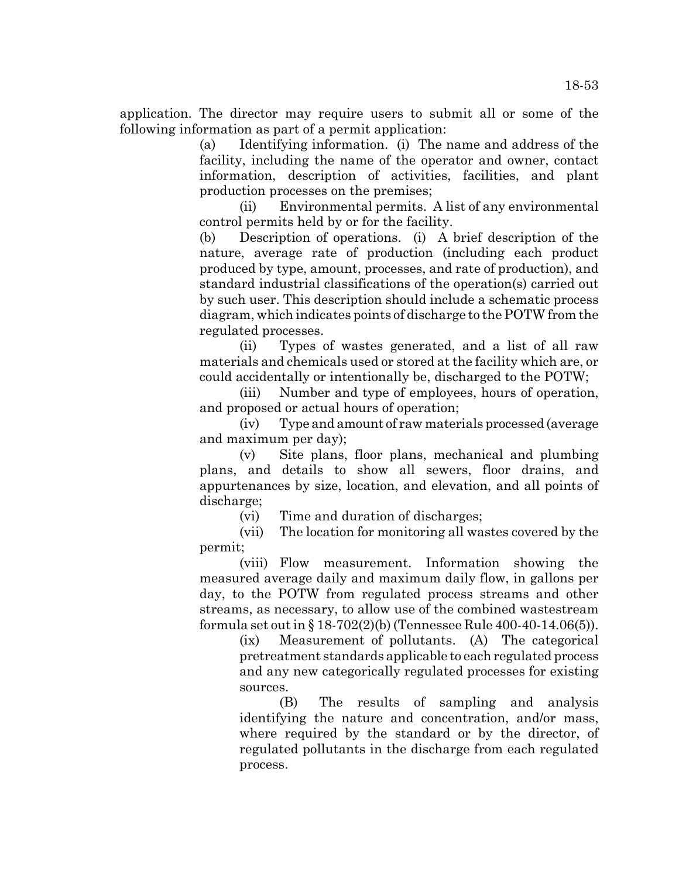application. The director may require users to submit all or some of the following information as part of a permit application:

> (a) Identifying information. (i) The name and address of the facility, including the name of the operator and owner, contact information, description of activities, facilities, and plant production processes on the premises;

> (ii) Environmental permits. A list of any environmental control permits held by or for the facility.

> (b) Description of operations. (i) A brief description of the nature, average rate of production (including each product produced by type, amount, processes, and rate of production), and standard industrial classifications of the operation(s) carried out by such user. This description should include a schematic process diagram, which indicates points of discharge to the POTW from the regulated processes.

> (ii) Types of wastes generated, and a list of all raw materials and chemicals used or stored at the facility which are, or could accidentally or intentionally be, discharged to the POTW;

> (iii) Number and type of employees, hours of operation, and proposed or actual hours of operation;

> (iv) Type and amount of raw materials processed (average and maximum per day);

> (v) Site plans, floor plans, mechanical and plumbing plans, and details to show all sewers, floor drains, and appurtenances by size, location, and elevation, and all points of discharge;

(vi) Time and duration of discharges;

(vii) The location for monitoring all wastes covered by the permit;

(viii) Flow measurement. Information showing the measured average daily and maximum daily flow, in gallons per day, to the POTW from regulated process streams and other streams, as necessary, to allow use of the combined wastestream formula set out in § 18-702(2)(b) (Tennessee Rule 400-40-14.06(5)).

(ix) Measurement of pollutants. (A) The categorical pretreatment standards applicable to each regulated process and any new categorically regulated processes for existing sources.

(B) The results of sampling and analysis identifying the nature and concentration, and/or mass, where required by the standard or by the director, of regulated pollutants in the discharge from each regulated process.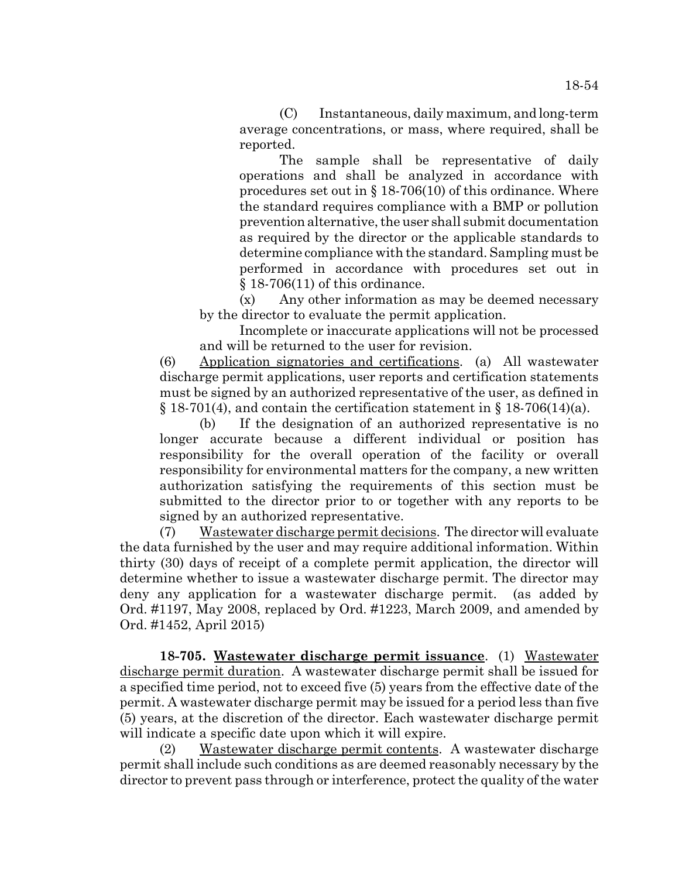(C) Instantaneous, daily maximum, and long-term average concentrations, or mass, where required, shall be reported.

The sample shall be representative of daily operations and shall be analyzed in accordance with procedures set out in § 18-706(10) of this ordinance. Where the standard requires compliance with a BMP or pollution prevention alternative, the user shall submit documentation as required by the director or the applicable standards to determine compliance with the standard. Sampling must be performed in accordance with procedures set out in § 18-706(11) of this ordinance.

(x) Any other information as may be deemed necessary by the director to evaluate the permit application.

Incomplete or inaccurate applications will not be processed and will be returned to the user for revision.

(6) Application signatories and certifications. (a) All wastewater discharge permit applications, user reports and certification statements must be signed by an authorized representative of the user, as defined in  $\S 18-701(4)$ , and contain the certification statement in  $\S 18-706(14)(a)$ .

(b) If the designation of an authorized representative is no longer accurate because a different individual or position has responsibility for the overall operation of the facility or overall responsibility for environmental matters for the company, a new written authorization satisfying the requirements of this section must be submitted to the director prior to or together with any reports to be signed by an authorized representative.

(7) Wastewater discharge permit decisions. The director will evaluate the data furnished by the user and may require additional information. Within thirty (30) days of receipt of a complete permit application, the director will determine whether to issue a wastewater discharge permit. The director may deny any application for a wastewater discharge permit. (as added by Ord. #1197, May 2008, replaced by Ord. #1223, March 2009, and amended by Ord. #1452, April 2015)

**18-705. Wastewater discharge permit issuance**. (1) Wastewater discharge permit duration. A wastewater discharge permit shall be issued for a specified time period, not to exceed five (5) years from the effective date of the permit. A wastewater discharge permit may be issued for a period less than five (5) years, at the discretion of the director. Each wastewater discharge permit will indicate a specific date upon which it will expire.

(2) Wastewater discharge permit contents. A wastewater discharge permit shall include such conditions as are deemed reasonably necessary by the director to prevent pass through or interference, protect the quality of the water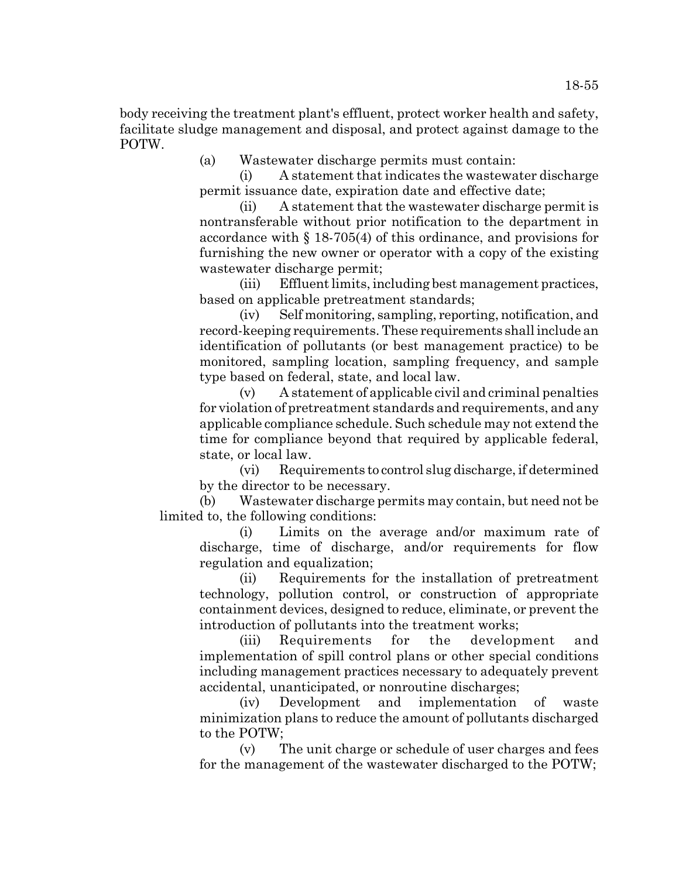body receiving the treatment plant's effluent, protect worker health and safety, facilitate sludge management and disposal, and protect against damage to the POTW.

(a) Wastewater discharge permits must contain:

(i) A statement that indicates the wastewater discharge permit issuance date, expiration date and effective date;

(ii) A statement that the wastewater discharge permit is nontransferable without prior notification to the department in accordance with § 18-705(4) of this ordinance, and provisions for furnishing the new owner or operator with a copy of the existing wastewater discharge permit;

(iii) Effluent limits, including best management practices, based on applicable pretreatment standards;

(iv) Self monitoring, sampling, reporting, notification, and record-keeping requirements. These requirements shall include an identification of pollutants (or best management practice) to be monitored, sampling location, sampling frequency, and sample type based on federal, state, and local law.

(v) A statement of applicable civil and criminal penalties for violation of pretreatment standards and requirements, and any applicable compliance schedule. Such schedule may not extend the time for compliance beyond that required by applicable federal, state, or local law.

(vi) Requirements to control slug discharge, if determined by the director to be necessary.

(b) Wastewater discharge permits may contain, but need not be limited to, the following conditions:

(i) Limits on the average and/or maximum rate of discharge, time of discharge, and/or requirements for flow regulation and equalization;

(ii) Requirements for the installation of pretreatment technology, pollution control, or construction of appropriate containment devices, designed to reduce, eliminate, or prevent the introduction of pollutants into the treatment works;

(iii) Requirements for the development and implementation of spill control plans or other special conditions including management practices necessary to adequately prevent accidental, unanticipated, or nonroutine discharges;

(iv) Development and implementation of waste minimization plans to reduce the amount of pollutants discharged to the POTW;

(v) The unit charge or schedule of user charges and fees for the management of the wastewater discharged to the POTW;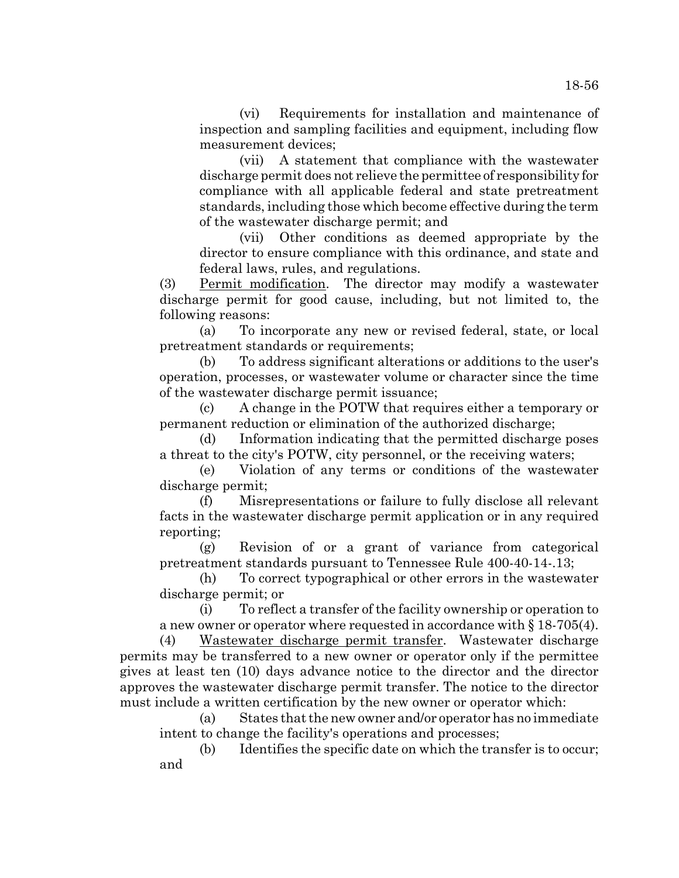(vi) Requirements for installation and maintenance of inspection and sampling facilities and equipment, including flow measurement devices;

(vii) A statement that compliance with the wastewater discharge permit does not relieve the permittee of responsibility for compliance with all applicable federal and state pretreatment standards, including those which become effective during the term of the wastewater discharge permit; and

(vii) Other conditions as deemed appropriate by the director to ensure compliance with this ordinance, and state and federal laws, rules, and regulations.

(3) Permit modification. The director may modify a wastewater discharge permit for good cause, including, but not limited to, the following reasons:

(a) To incorporate any new or revised federal, state, or local pretreatment standards or requirements;

(b) To address significant alterations or additions to the user's operation, processes, or wastewater volume or character since the time of the wastewater discharge permit issuance;

(c) A change in the POTW that requires either a temporary or permanent reduction or elimination of the authorized discharge;

(d) Information indicating that the permitted discharge poses a threat to the city's POTW, city personnel, or the receiving waters;

(e) Violation of any terms or conditions of the wastewater discharge permit;

(f) Misrepresentations or failure to fully disclose all relevant facts in the wastewater discharge permit application or in any required reporting;

(g) Revision of or a grant of variance from categorical pretreatment standards pursuant to Tennessee Rule 400-40-14-.13;

(h) To correct typographical or other errors in the wastewater discharge permit; or

(i) To reflect a transfer of the facility ownership or operation to a new owner or operator where requested in accordance with  $\S 18-705(4)$ .

(4) Wastewater discharge permit transfer. Wastewater discharge permits may be transferred to a new owner or operator only if the permittee gives at least ten (10) days advance notice to the director and the director approves the wastewater discharge permit transfer. The notice to the director must include a written certification by the new owner or operator which:

(a) States that the new owner and/or operator has no immediate intent to change the facility's operations and processes;

(b) Identifies the specific date on which the transfer is to occur; and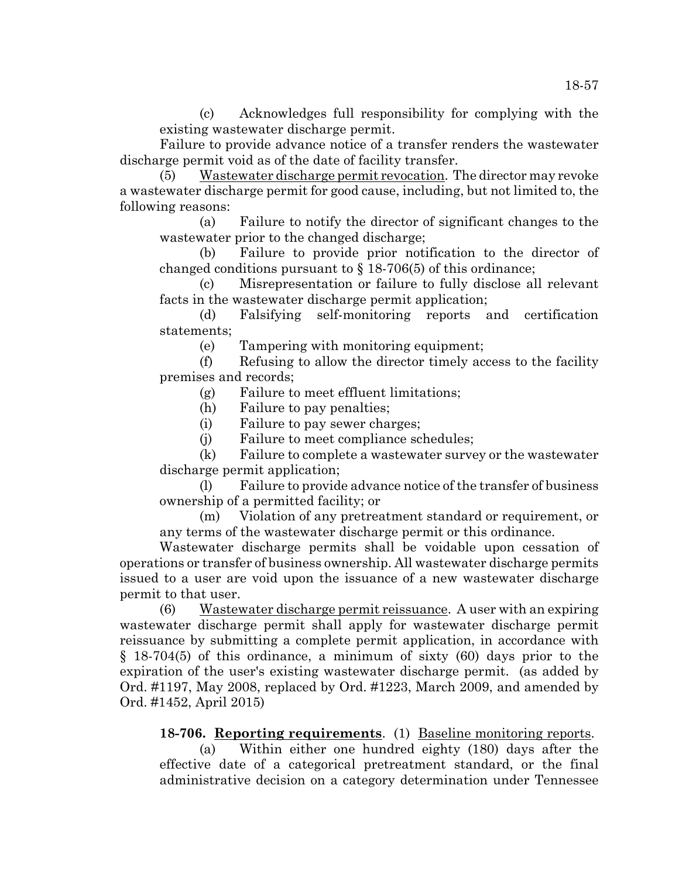(c) Acknowledges full responsibility for complying with the existing wastewater discharge permit.

Failure to provide advance notice of a transfer renders the wastewater discharge permit void as of the date of facility transfer.

(5) Wastewater discharge permit revocation. The director may revoke a wastewater discharge permit for good cause, including, but not limited to, the following reasons:

(a) Failure to notify the director of significant changes to the wastewater prior to the changed discharge;

(b) Failure to provide prior notification to the director of changed conditions pursuant to § 18-706(5) of this ordinance;

(c) Misrepresentation or failure to fully disclose all relevant facts in the wastewater discharge permit application;

(d) Falsifying self-monitoring reports and certification statements;

(e) Tampering with monitoring equipment;

(f) Refusing to allow the director timely access to the facility premises and records;

(g) Failure to meet effluent limitations;

(h) Failure to pay penalties;

(i) Failure to pay sewer charges;

(j) Failure to meet compliance schedules;

(k) Failure to complete a wastewater survey or the wastewater discharge permit application;

(l) Failure to provide advance notice of the transfer of business ownership of a permitted facility; or

(m) Violation of any pretreatment standard or requirement, or any terms of the wastewater discharge permit or this ordinance.

Wastewater discharge permits shall be voidable upon cessation of operations or transfer of business ownership. All wastewater discharge permits issued to a user are void upon the issuance of a new wastewater discharge permit to that user.

(6) Wastewater discharge permit reissuance. A user with an expiring wastewater discharge permit shall apply for wastewater discharge permit reissuance by submitting a complete permit application, in accordance with § 18-704(5) of this ordinance, a minimum of sixty (60) days prior to the expiration of the user's existing wastewater discharge permit. (as added by Ord. #1197, May 2008, replaced by Ord. #1223, March 2009, and amended by Ord. #1452, April 2015)

**18-706. Reporting requirements**. (1) Baseline monitoring reports.

(a) Within either one hundred eighty (180) days after the effective date of a categorical pretreatment standard, or the final administrative decision on a category determination under Tennessee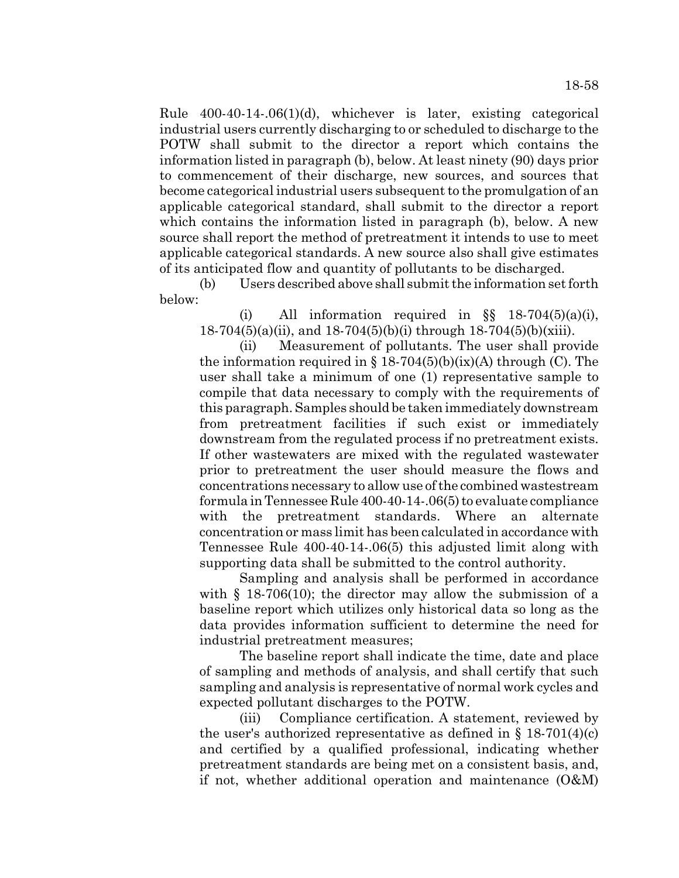Rule 400-40-14-.06(1)(d), whichever is later, existing categorical industrial users currently discharging to or scheduled to discharge to the POTW shall submit to the director a report which contains the information listed in paragraph (b), below. At least ninety (90) days prior to commencement of their discharge, new sources, and sources that become categorical industrial users subsequent to the promulgation of an applicable categorical standard, shall submit to the director a report which contains the information listed in paragraph (b), below. A new source shall report the method of pretreatment it intends to use to meet applicable categorical standards. A new source also shall give estimates of its anticipated flow and quantity of pollutants to be discharged.

(b) Users described above shall submit the information set forth below:

(i) All information required in  $\S$ § 18-704(5)(a)(i), 18-704(5)(a)(ii), and 18-704(5)(b)(i) through 18-704(5)(b)(xiii).

(ii) Measurement of pollutants. The user shall provide the information required in  $\S 18-704(5)(b)(ix)(A)$  through (C). The user shall take a minimum of one (1) representative sample to compile that data necessary to comply with the requirements of this paragraph. Samples should be taken immediately downstream from pretreatment facilities if such exist or immediately downstream from the regulated process if no pretreatment exists. If other wastewaters are mixed with the regulated wastewater prior to pretreatment the user should measure the flows and concentrations necessary to allow use of the combined wastestream formula in Tennessee Rule 400-40-14-.06(5) to evaluate compliance with the pretreatment standards. Where an alternate concentration or mass limit has been calculated in accordance with Tennessee Rule 400-40-14-.06(5) this adjusted limit along with supporting data shall be submitted to the control authority.

Sampling and analysis shall be performed in accordance with § 18-706(10); the director may allow the submission of a baseline report which utilizes only historical data so long as the data provides information sufficient to determine the need for industrial pretreatment measures;

The baseline report shall indicate the time, date and place of sampling and methods of analysis, and shall certify that such sampling and analysis is representative of normal work cycles and expected pollutant discharges to the POTW.

(iii) Compliance certification. A statement, reviewed by the user's authorized representative as defined in  $\S$  18-701(4)(c) and certified by a qualified professional, indicating whether pretreatment standards are being met on a consistent basis, and, if not, whether additional operation and maintenance (O&M)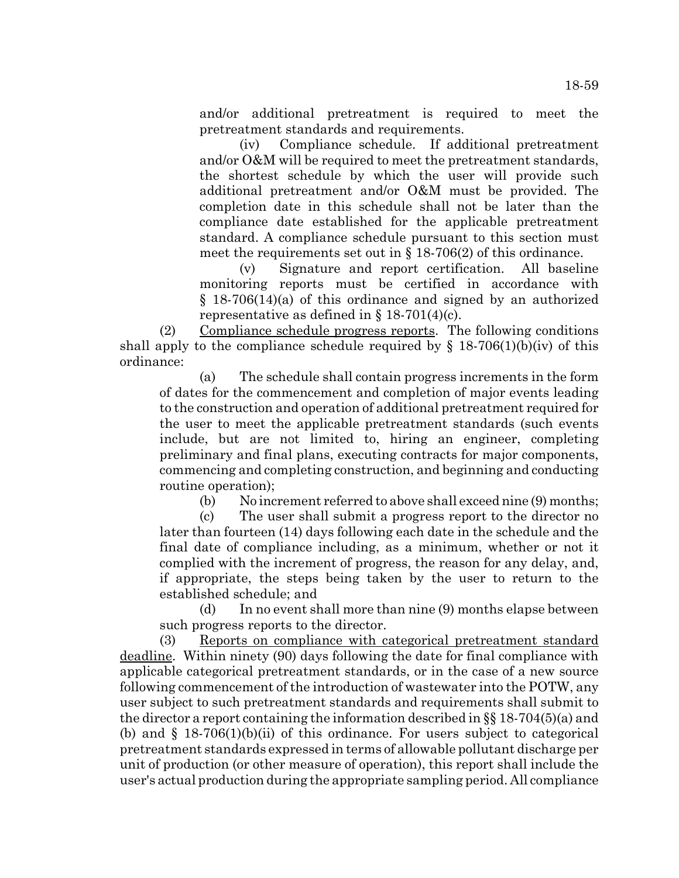and/or additional pretreatment is required to meet the pretreatment standards and requirements.

(iv) Compliance schedule. If additional pretreatment and/or O&M will be required to meet the pretreatment standards, the shortest schedule by which the user will provide such additional pretreatment and/or O&M must be provided. The completion date in this schedule shall not be later than the compliance date established for the applicable pretreatment standard. A compliance schedule pursuant to this section must meet the requirements set out in § 18-706(2) of this ordinance.

(v) Signature and report certification. All baseline monitoring reports must be certified in accordance with § 18-706(14)(a) of this ordinance and signed by an authorized representative as defined in  $\S 18-701(4)(c)$ .

(2) Compliance schedule progress reports. The following conditions shall apply to the compliance schedule required by  $\S$  18-706(1)(b)(iv) of this ordinance:

(a) The schedule shall contain progress increments in the form of dates for the commencement and completion of major events leading to the construction and operation of additional pretreatment required for the user to meet the applicable pretreatment standards (such events include, but are not limited to, hiring an engineer, completing preliminary and final plans, executing contracts for major components, commencing and completing construction, and beginning and conducting routine operation);

(b) No increment referred to above shall exceed nine (9) months;

(c) The user shall submit a progress report to the director no later than fourteen (14) days following each date in the schedule and the final date of compliance including, as a minimum, whether or not it complied with the increment of progress, the reason for any delay, and, if appropriate, the steps being taken by the user to return to the established schedule; and

(d) In no event shall more than nine (9) months elapse between such progress reports to the director.

(3) Reports on compliance with categorical pretreatment standard deadline. Within ninety (90) days following the date for final compliance with applicable categorical pretreatment standards, or in the case of a new source following commencement of the introduction of wastewater into the POTW, any user subject to such pretreatment standards and requirements shall submit to the director a report containing the information described in §§ 18-704(5)(a) and (b) and  $\S$  18-706(1)(b)(ii) of this ordinance. For users subject to categorical pretreatment standards expressed in terms of allowable pollutant discharge per unit of production (or other measure of operation), this report shall include the user's actual production during the appropriate sampling period. All compliance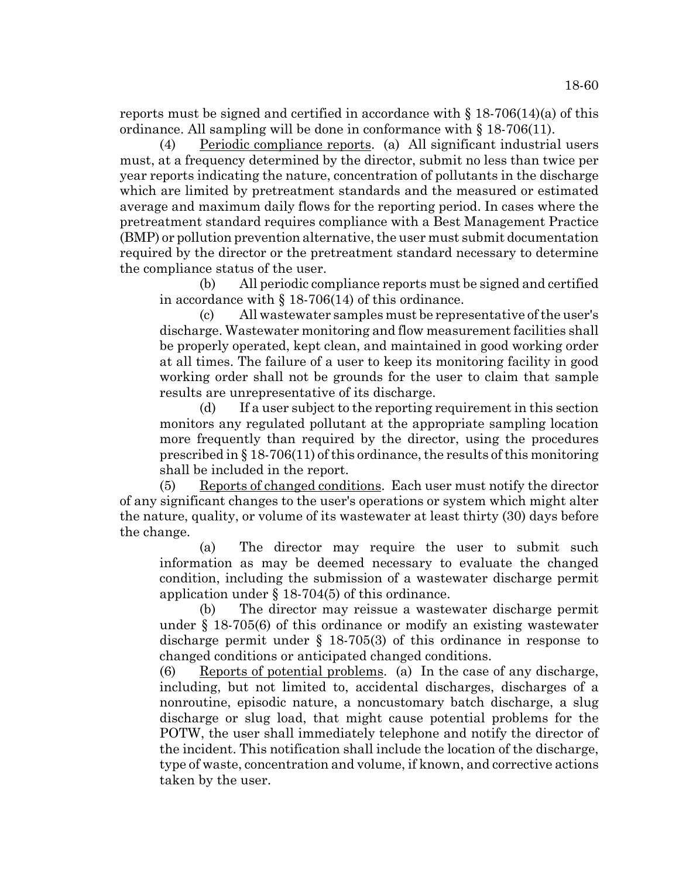reports must be signed and certified in accordance with  $\S 18-706(14)(a)$  of this ordinance. All sampling will be done in conformance with § 18-706(11).

(4) Periodic compliance reports. (a) All significant industrial users must, at a frequency determined by the director, submit no less than twice per year reports indicating the nature, concentration of pollutants in the discharge which are limited by pretreatment standards and the measured or estimated average and maximum daily flows for the reporting period. In cases where the pretreatment standard requires compliance with a Best Management Practice (BMP) or pollution prevention alternative, the user must submit documentation required by the director or the pretreatment standard necessary to determine the compliance status of the user.

(b) All periodic compliance reports must be signed and certified in accordance with  $\S$  18-706(14) of this ordinance.

(c) All wastewater samples must be representative of the user's discharge. Wastewater monitoring and flow measurement facilities shall be properly operated, kept clean, and maintained in good working order at all times. The failure of a user to keep its monitoring facility in good working order shall not be grounds for the user to claim that sample results are unrepresentative of its discharge.

(d) If a user subject to the reporting requirement in this section monitors any regulated pollutant at the appropriate sampling location more frequently than required by the director, using the procedures prescribed in § 18-706(11) of this ordinance, the results of this monitoring shall be included in the report.

(5) Reports of changed conditions. Each user must notify the director of any significant changes to the user's operations or system which might alter the nature, quality, or volume of its wastewater at least thirty (30) days before the change.

(a) The director may require the user to submit such information as may be deemed necessary to evaluate the changed condition, including the submission of a wastewater discharge permit application under § 18-704(5) of this ordinance.

(b) The director may reissue a wastewater discharge permit under § 18-705(6) of this ordinance or modify an existing wastewater discharge permit under § 18-705(3) of this ordinance in response to changed conditions or anticipated changed conditions.

(6) Reports of potential problems. (a) In the case of any discharge, including, but not limited to, accidental discharges, discharges of a nonroutine, episodic nature, a noncustomary batch discharge, a slug discharge or slug load, that might cause potential problems for the POTW, the user shall immediately telephone and notify the director of the incident. This notification shall include the location of the discharge, type of waste, concentration and volume, if known, and corrective actions taken by the user.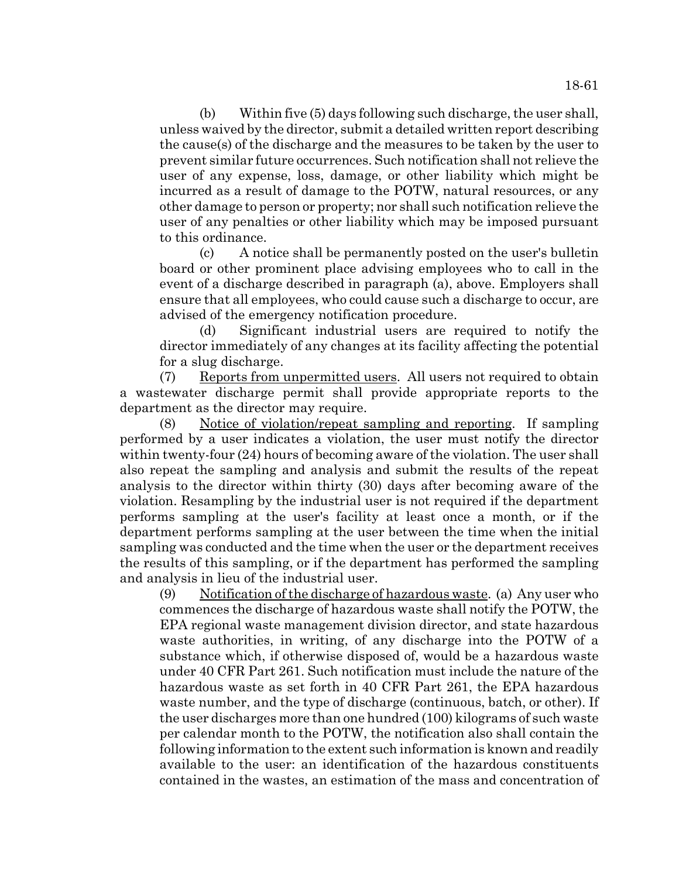18-61

(b) Within five (5) days following such discharge, the user shall, unless waived by the director, submit a detailed written report describing the cause(s) of the discharge and the measures to be taken by the user to prevent similar future occurrences. Such notification shall not relieve the user of any expense, loss, damage, or other liability which might be incurred as a result of damage to the POTW, natural resources, or any other damage to person or property; nor shall such notification relieve the user of any penalties or other liability which may be imposed pursuant to this ordinance.

(c) A notice shall be permanently posted on the user's bulletin board or other prominent place advising employees who to call in the event of a discharge described in paragraph (a), above. Employers shall ensure that all employees, who could cause such a discharge to occur, are advised of the emergency notification procedure.

(d) Significant industrial users are required to notify the director immediately of any changes at its facility affecting the potential for a slug discharge.

(7) Reports from unpermitted users. All users not required to obtain a wastewater discharge permit shall provide appropriate reports to the department as the director may require.

(8) Notice of violation/repeat sampling and reporting. If sampling performed by a user indicates a violation, the user must notify the director within twenty-four (24) hours of becoming aware of the violation. The user shall also repeat the sampling and analysis and submit the results of the repeat analysis to the director within thirty (30) days after becoming aware of the violation. Resampling by the industrial user is not required if the department performs sampling at the user's facility at least once a month, or if the department performs sampling at the user between the time when the initial sampling was conducted and the time when the user or the department receives the results of this sampling, or if the department has performed the sampling and analysis in lieu of the industrial user.

(9) Notification of the discharge of hazardous waste. (a) Any user who commences the discharge of hazardous waste shall notify the POTW, the EPA regional waste management division director, and state hazardous waste authorities, in writing, of any discharge into the POTW of a substance which, if otherwise disposed of, would be a hazardous waste under 40 CFR Part 261. Such notification must include the nature of the hazardous waste as set forth in 40 CFR Part 261, the EPA hazardous waste number, and the type of discharge (continuous, batch, or other). If the user discharges more than one hundred (100) kilograms of such waste per calendar month to the POTW, the notification also shall contain the following information to the extent such information is known and readily available to the user: an identification of the hazardous constituents contained in the wastes, an estimation of the mass and concentration of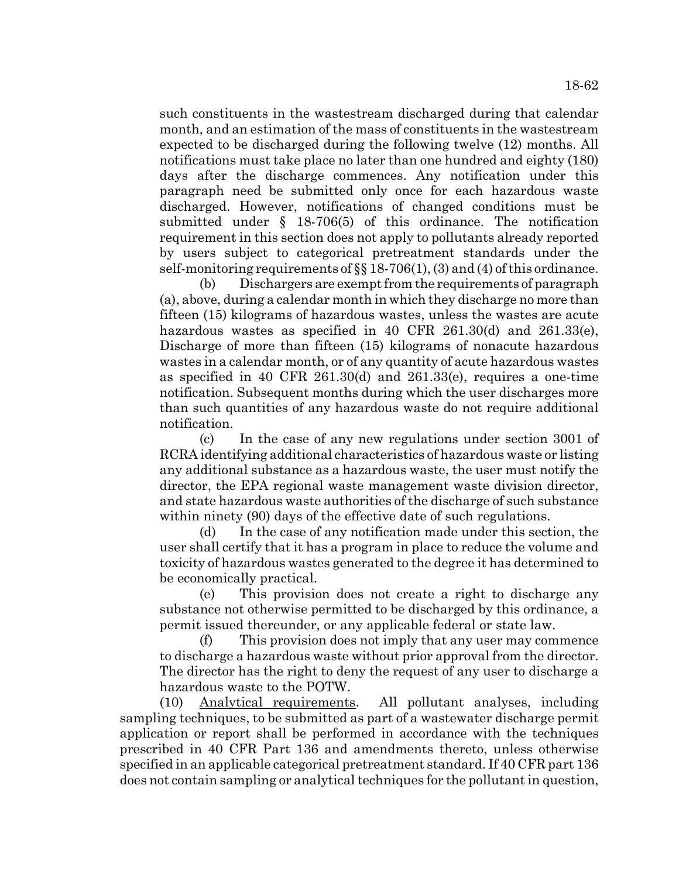such constituents in the wastestream discharged during that calendar month, and an estimation of the mass of constituents in the wastestream expected to be discharged during the following twelve (12) months. All notifications must take place no later than one hundred and eighty (180) days after the discharge commences. Any notification under this paragraph need be submitted only once for each hazardous waste discharged. However, notifications of changed conditions must be submitted under § 18-706(5) of this ordinance. The notification requirement in this section does not apply to pollutants already reported by users subject to categorical pretreatment standards under the

self-monitoring requirements of  $\S$  18-706(1), (3) and (4) of this ordinance. (b) Dischargers are exempt from the requirements of paragraph (a), above, during a calendar month in which they discharge no more than fifteen (15) kilograms of hazardous wastes, unless the wastes are acute hazardous wastes as specified in 40 CFR 261.30(d) and 261.33(e), Discharge of more than fifteen (15) kilograms of nonacute hazardous wastes in a calendar month, or of any quantity of acute hazardous wastes as specified in 40 CFR 261.30(d) and 261.33(e), requires a one-time notification. Subsequent months during which the user discharges more than such quantities of any hazardous waste do not require additional notification.

(c) In the case of any new regulations under section 3001 of RCRA identifying additional characteristics of hazardous waste or listing any additional substance as a hazardous waste, the user must notify the director, the EPA regional waste management waste division director, and state hazardous waste authorities of the discharge of such substance within ninety (90) days of the effective date of such regulations.

(d) In the case of any notification made under this section, the user shall certify that it has a program in place to reduce the volume and toxicity of hazardous wastes generated to the degree it has determined to be economically practical.

(e) This provision does not create a right to discharge any substance not otherwise permitted to be discharged by this ordinance, a permit issued thereunder, or any applicable federal or state law.

(f) This provision does not imply that any user may commence to discharge a hazardous waste without prior approval from the director. The director has the right to deny the request of any user to discharge a hazardous waste to the POTW.

(10) Analytical requirements. All pollutant analyses, including sampling techniques, to be submitted as part of a wastewater discharge permit application or report shall be performed in accordance with the techniques prescribed in 40 CFR Part 136 and amendments thereto, unless otherwise specified in an applicable categorical pretreatment standard. If 40 CFR part 136 does not contain sampling or analytical techniques for the pollutant in question,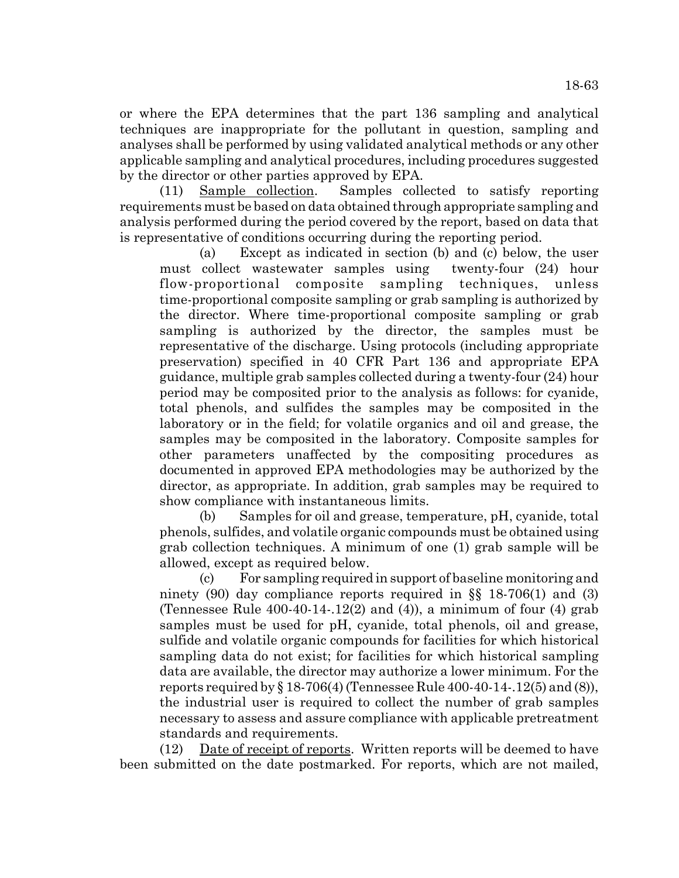or where the EPA determines that the part 136 sampling and analytical techniques are inappropriate for the pollutant in question, sampling and analyses shall be performed by using validated analytical methods or any other applicable sampling and analytical procedures, including procedures suggested by the director or other parties approved by EPA.

(11) Sample collection. Samples collected to satisfy reporting requirements must be based on data obtained through appropriate sampling and analysis performed during the period covered by the report, based on data that is representative of conditions occurring during the reporting period.

(a) Except as indicated in section (b) and (c) below, the user must collect wastewater samples using twenty-four (24) hour flow-proportional composite sampling techniques, unless time-proportional composite sampling or grab sampling is authorized by the director. Where time-proportional composite sampling or grab sampling is authorized by the director, the samples must be representative of the discharge. Using protocols (including appropriate preservation) specified in 40 CFR Part 136 and appropriate EPA guidance, multiple grab samples collected during a twenty-four (24) hour period may be composited prior to the analysis as follows: for cyanide, total phenols, and sulfides the samples may be composited in the laboratory or in the field; for volatile organics and oil and grease, the samples may be composited in the laboratory. Composite samples for other parameters unaffected by the compositing procedures as documented in approved EPA methodologies may be authorized by the director, as appropriate. In addition, grab samples may be required to show compliance with instantaneous limits.

(b) Samples for oil and grease, temperature, pH, cyanide, total phenols, sulfides, and volatile organic compounds must be obtained using grab collection techniques. A minimum of one (1) grab sample will be allowed, except as required below.

(c) For sampling required in support of baseline monitoring and ninety (90) day compliance reports required in  $\S$  18-706(1) and (3) (Tennessee Rule  $400-40-14-12(2)$  and  $(4)$ ), a minimum of four  $(4)$  grab samples must be used for pH, cyanide, total phenols, oil and grease, sulfide and volatile organic compounds for facilities for which historical sampling data do not exist; for facilities for which historical sampling data are available, the director may authorize a lower minimum. For the reports required by  $\S 18-706(4)$  (Tennessee Rule 400-40-14-.12(5) and (8)), the industrial user is required to collect the number of grab samples necessary to assess and assure compliance with applicable pretreatment standards and requirements.

 $(12)$  Date of receipt of reports. Written reports will be deemed to have been submitted on the date postmarked. For reports, which are not mailed,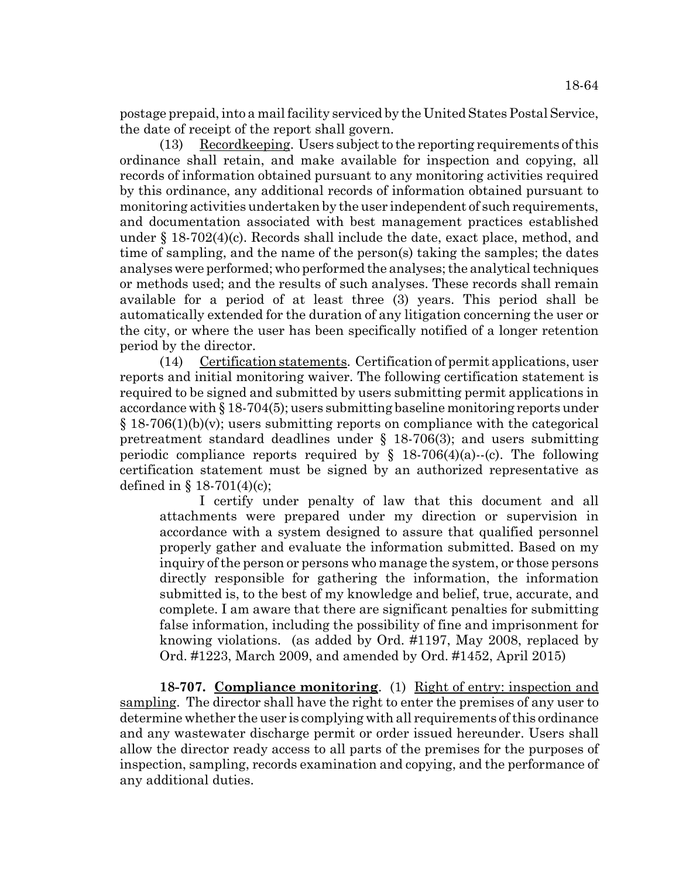postage prepaid, into a mail facility serviced by the United States Postal Service, the date of receipt of the report shall govern.

(13) Recordkeeping. Users subject to the reporting requirements of this ordinance shall retain, and make available for inspection and copying, all records of information obtained pursuant to any monitoring activities required by this ordinance, any additional records of information obtained pursuant to monitoring activities undertaken by the user independent of such requirements, and documentation associated with best management practices established under § 18-702(4)(c). Records shall include the date, exact place, method, and time of sampling, and the name of the person(s) taking the samples; the dates analyses were performed; who performed the analyses; the analytical techniques or methods used; and the results of such analyses. These records shall remain available for a period of at least three (3) years. This period shall be automatically extended for the duration of any litigation concerning the user or the city, or where the user has been specifically notified of a longer retention period by the director.

(14) Certification statements. Certification of permit applications, user reports and initial monitoring waiver. The following certification statement is required to be signed and submitted by users submitting permit applications in accordance with § 18-704(5); users submitting baseline monitoring reports under  $\S 18-706(1)(b)(v)$ ; users submitting reports on compliance with the categorical pretreatment standard deadlines under § 18-706(3); and users submitting periodic compliance reports required by  $\S$  18-706(4)(a)--(c). The following certification statement must be signed by an authorized representative as defined in  $\S 18-701(4)(c)$ ;

I certify under penalty of law that this document and all attachments were prepared under my direction or supervision in accordance with a system designed to assure that qualified personnel properly gather and evaluate the information submitted. Based on my inquiry of the person or persons who manage the system, or those persons directly responsible for gathering the information, the information submitted is, to the best of my knowledge and belief, true, accurate, and complete. I am aware that there are significant penalties for submitting false information, including the possibility of fine and imprisonment for knowing violations. (as added by Ord. #1197, May 2008, replaced by Ord. #1223, March 2009, and amended by Ord. #1452, April 2015)

**18-707. Compliance monitoring**. (1) Right of entry: inspection and sampling. The director shall have the right to enter the premises of any user to determine whether the user is complying with all requirements of this ordinance and any wastewater discharge permit or order issued hereunder. Users shall allow the director ready access to all parts of the premises for the purposes of inspection, sampling, records examination and copying, and the performance of any additional duties.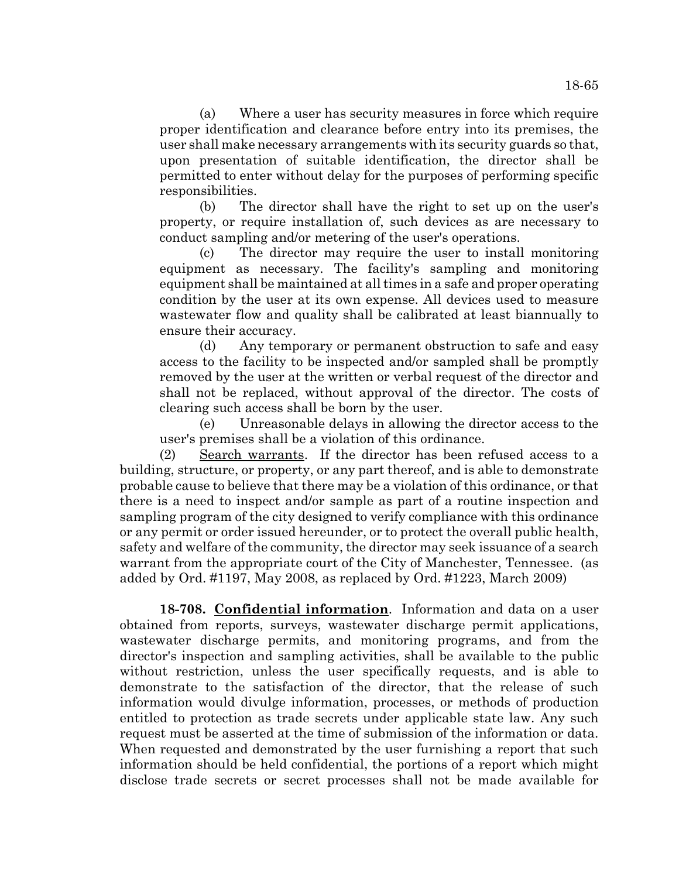(a) Where a user has security measures in force which require proper identification and clearance before entry into its premises, the user shall make necessary arrangements with its security guards so that, upon presentation of suitable identification, the director shall be permitted to enter without delay for the purposes of performing specific responsibilities.

(b) The director shall have the right to set up on the user's property, or require installation of, such devices as are necessary to conduct sampling and/or metering of the user's operations.

(c) The director may require the user to install monitoring equipment as necessary. The facility's sampling and monitoring equipment shall be maintained at all times in a safe and proper operating condition by the user at its own expense. All devices used to measure wastewater flow and quality shall be calibrated at least biannually to ensure their accuracy.

(d) Any temporary or permanent obstruction to safe and easy access to the facility to be inspected and/or sampled shall be promptly removed by the user at the written or verbal request of the director and shall not be replaced, without approval of the director. The costs of clearing such access shall be born by the user.

(e) Unreasonable delays in allowing the director access to the user's premises shall be a violation of this ordinance.

(2) Search warrants. If the director has been refused access to a building, structure, or property, or any part thereof, and is able to demonstrate probable cause to believe that there may be a violation of this ordinance, or that there is a need to inspect and/or sample as part of a routine inspection and sampling program of the city designed to verify compliance with this ordinance or any permit or order issued hereunder, or to protect the overall public health, safety and welfare of the community, the director may seek issuance of a search warrant from the appropriate court of the City of Manchester, Tennessee. (as added by Ord. #1197, May 2008, as replaced by Ord. #1223, March 2009)

**18-708. Confidential information**. Information and data on a user obtained from reports, surveys, wastewater discharge permit applications, wastewater discharge permits, and monitoring programs, and from the director's inspection and sampling activities, shall be available to the public without restriction, unless the user specifically requests, and is able to demonstrate to the satisfaction of the director, that the release of such information would divulge information, processes, or methods of production entitled to protection as trade secrets under applicable state law. Any such request must be asserted at the time of submission of the information or data. When requested and demonstrated by the user furnishing a report that such information should be held confidential, the portions of a report which might disclose trade secrets or secret processes shall not be made available for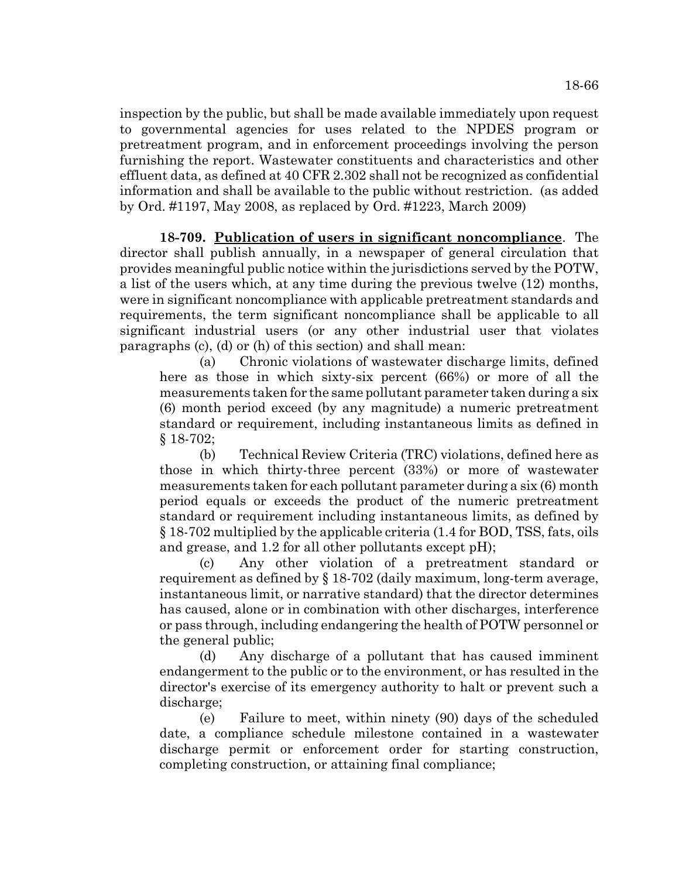inspection by the public, but shall be made available immediately upon request to governmental agencies for uses related to the NPDES program or pretreatment program, and in enforcement proceedings involving the person furnishing the report. Wastewater constituents and characteristics and other effluent data, as defined at 40 CFR 2.302 shall not be recognized as confidential information and shall be available to the public without restriction. (as added by Ord. #1197, May 2008, as replaced by Ord. #1223, March 2009)

**18-709. Publication of users in significant noncompliance**. The director shall publish annually, in a newspaper of general circulation that provides meaningful public notice within the jurisdictions served by the POTW, a list of the users which, at any time during the previous twelve (12) months, were in significant noncompliance with applicable pretreatment standards and requirements, the term significant noncompliance shall be applicable to all significant industrial users (or any other industrial user that violates paragraphs (c), (d) or (h) of this section) and shall mean:

(a) Chronic violations of wastewater discharge limits, defined here as those in which sixty-six percent (66%) or more of all the measurements taken for the same pollutant parameter taken during a six (6) month period exceed (by any magnitude) a numeric pretreatment standard or requirement, including instantaneous limits as defined in § 18-702;

(b) Technical Review Criteria (TRC) violations, defined here as those in which thirty-three percent (33%) or more of wastewater measurements taken for each pollutant parameter during a six (6) month period equals or exceeds the product of the numeric pretreatment standard or requirement including instantaneous limits, as defined by § 18-702 multiplied by the applicable criteria (1.4 for BOD, TSS, fats, oils and grease, and 1.2 for all other pollutants except pH);

(c) Any other violation of a pretreatment standard or requirement as defined by § 18-702 (daily maximum, long-term average, instantaneous limit, or narrative standard) that the director determines has caused, alone or in combination with other discharges, interference or pass through, including endangering the health of POTW personnel or the general public;

(d) Any discharge of a pollutant that has caused imminent endangerment to the public or to the environment, or has resulted in the director's exercise of its emergency authority to halt or prevent such a discharge;

(e) Failure to meet, within ninety (90) days of the scheduled date, a compliance schedule milestone contained in a wastewater discharge permit or enforcement order for starting construction, completing construction, or attaining final compliance;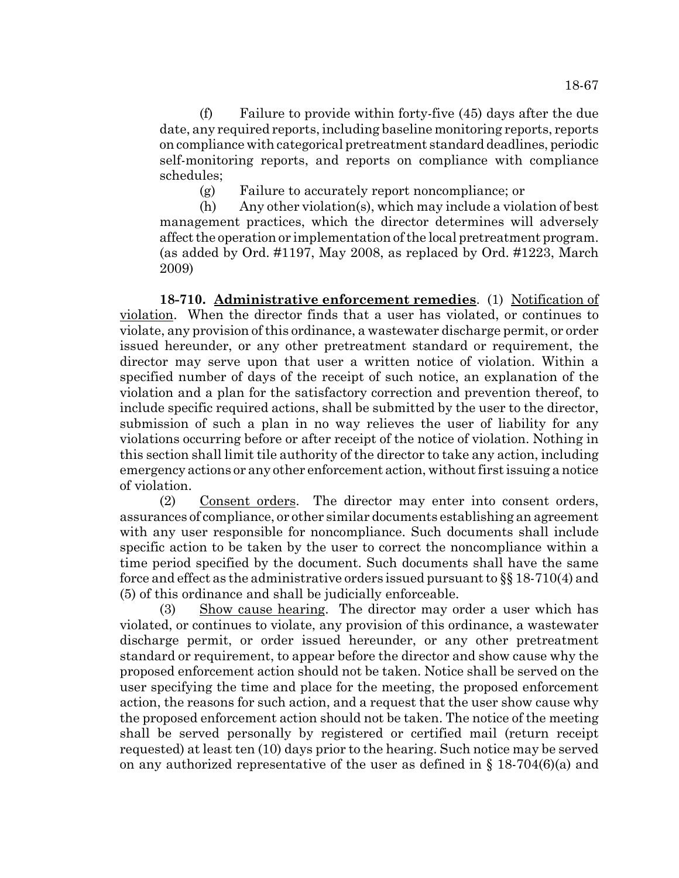(f) Failure to provide within forty-five (45) days after the due date, any required reports, including baseline monitoring reports, reports on compliance with categorical pretreatment standard deadlines, periodic self-monitoring reports, and reports on compliance with compliance schedules;

(g) Failure to accurately report noncompliance; or

(h) Any other violation(s), which may include a violation of best management practices, which the director determines will adversely affect the operation or implementation of the local pretreatment program. (as added by Ord. #1197, May 2008, as replaced by Ord. #1223, March 2009)

**18-710. Administrative enforcement remedies**. (1) Notification of violation. When the director finds that a user has violated, or continues to violate, any provision of this ordinance, a wastewater discharge permit, or order issued hereunder, or any other pretreatment standard or requirement, the director may serve upon that user a written notice of violation. Within a specified number of days of the receipt of such notice, an explanation of the violation and a plan for the satisfactory correction and prevention thereof, to include specific required actions, shall be submitted by the user to the director, submission of such a plan in no way relieves the user of liability for any violations occurring before or after receipt of the notice of violation. Nothing in this section shall limit tile authority of the director to take any action, including emergency actions or any other enforcement action, without first issuing a notice of violation.

(2) Consent orders. The director may enter into consent orders, assurances of compliance, or other similar documents establishing an agreement with any user responsible for noncompliance. Such documents shall include specific action to be taken by the user to correct the noncompliance within a time period specified by the document. Such documents shall have the same force and effect as the administrative orders issued pursuant to §§ 18-710(4) and (5) of this ordinance and shall be judicially enforceable.

(3) Show cause hearing. The director may order a user which has violated, or continues to violate, any provision of this ordinance, a wastewater discharge permit, or order issued hereunder, or any other pretreatment standard or requirement, to appear before the director and show cause why the proposed enforcement action should not be taken. Notice shall be served on the user specifying the time and place for the meeting, the proposed enforcement action, the reasons for such action, and a request that the user show cause why the proposed enforcement action should not be taken. The notice of the meeting shall be served personally by registered or certified mail (return receipt requested) at least ten (10) days prior to the hearing. Such notice may be served on any authorized representative of the user as defined in  $\S 18-704(6)(a)$  and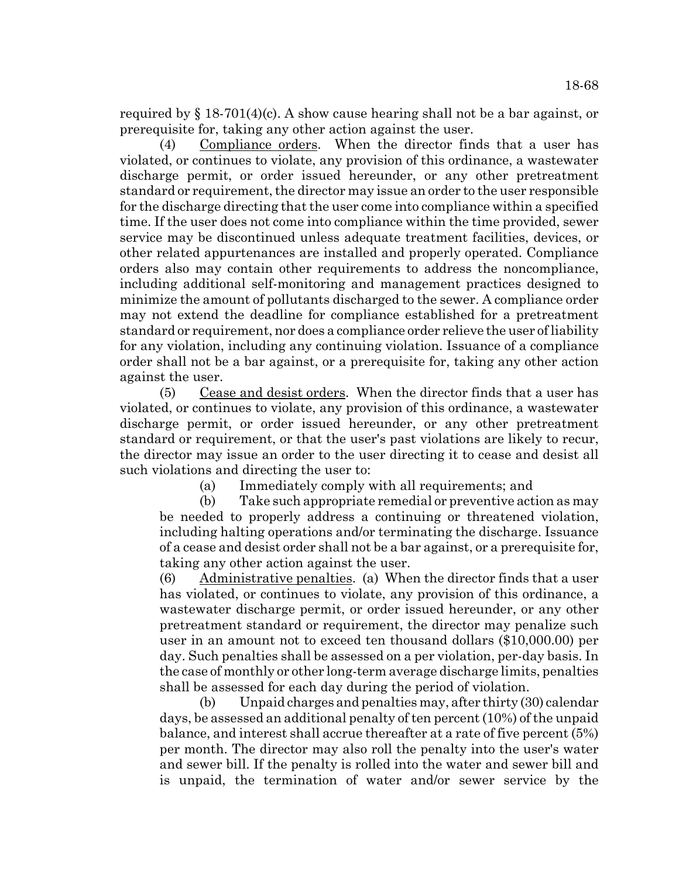required by  $\S$  18-701(4)(c). A show cause hearing shall not be a bar against, or prerequisite for, taking any other action against the user.

(4) Compliance orders. When the director finds that a user has violated, or continues to violate, any provision of this ordinance, a wastewater discharge permit, or order issued hereunder, or any other pretreatment standard or requirement, the director may issue an order to the user responsible for the discharge directing that the user come into compliance within a specified time. If the user does not come into compliance within the time provided, sewer service may be discontinued unless adequate treatment facilities, devices, or other related appurtenances are installed and properly operated. Compliance orders also may contain other requirements to address the noncompliance, including additional self-monitoring and management practices designed to minimize the amount of pollutants discharged to the sewer. A compliance order may not extend the deadline for compliance established for a pretreatment standard or requirement, nor does a compliance order relieve the user of liability for any violation, including any continuing violation. Issuance of a compliance order shall not be a bar against, or a prerequisite for, taking any other action against the user.

(5) Cease and desist orders. When the director finds that a user has violated, or continues to violate, any provision of this ordinance, a wastewater discharge permit, or order issued hereunder, or any other pretreatment standard or requirement, or that the user's past violations are likely to recur, the director may issue an order to the user directing it to cease and desist all such violations and directing the user to:

(a) Immediately comply with all requirements; and

(b) Take such appropriate remedial or preventive action as may be needed to properly address a continuing or threatened violation, including halting operations and/or terminating the discharge. Issuance of a cease and desist order shall not be a bar against, or a prerequisite for, taking any other action against the user.

(6) Administrative penalties. (a) When the director finds that a user has violated, or continues to violate, any provision of this ordinance, a wastewater discharge permit, or order issued hereunder, or any other pretreatment standard or requirement, the director may penalize such user in an amount not to exceed ten thousand dollars (\$10,000.00) per day. Such penalties shall be assessed on a per violation, per-day basis. In the case of monthly or other long-term average discharge limits, penalties shall be assessed for each day during the period of violation.

(b) Unpaid charges and penalties may, after thirty (30) calendar days, be assessed an additional penalty of ten percent (10%) of the unpaid balance, and interest shall accrue thereafter at a rate of five percent (5%) per month. The director may also roll the penalty into the user's water and sewer bill. If the penalty is rolled into the water and sewer bill and is unpaid, the termination of water and/or sewer service by the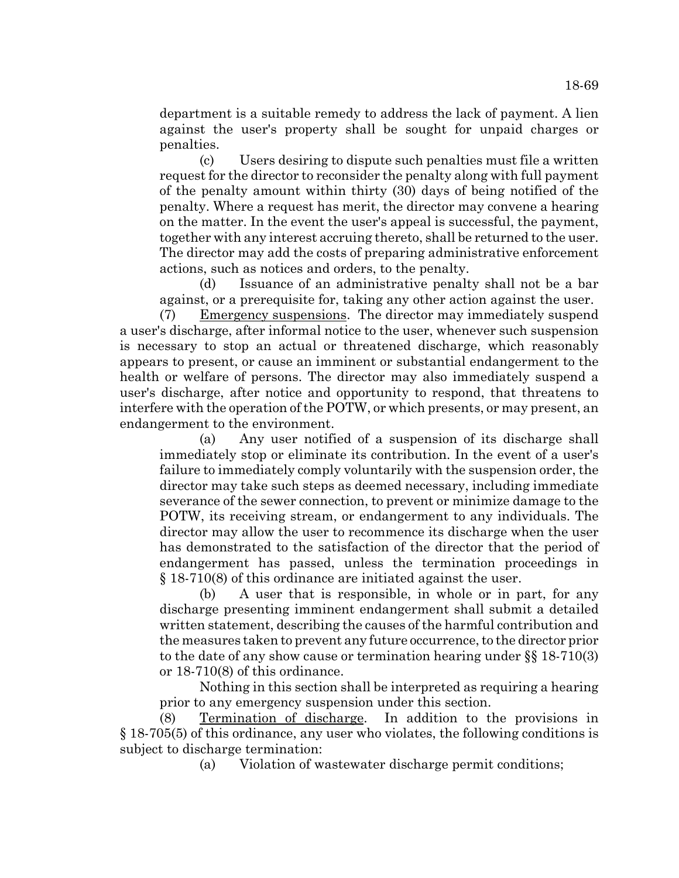department is a suitable remedy to address the lack of payment. A lien against the user's property shall be sought for unpaid charges or penalties.

(c) Users desiring to dispute such penalties must file a written request for the director to reconsider the penalty along with full payment of the penalty amount within thirty (30) days of being notified of the penalty. Where a request has merit, the director may convene a hearing on the matter. In the event the user's appeal is successful, the payment, together with any interest accruing thereto, shall be returned to the user. The director may add the costs of preparing administrative enforcement actions, such as notices and orders, to the penalty.

(d) Issuance of an administrative penalty shall not be a bar against, or a prerequisite for, taking any other action against the user.

(7) Emergency suspensions. The director may immediately suspend a user's discharge, after informal notice to the user, whenever such suspension is necessary to stop an actual or threatened discharge, which reasonably appears to present, or cause an imminent or substantial endangerment to the health or welfare of persons. The director may also immediately suspend a user's discharge, after notice and opportunity to respond, that threatens to interfere with the operation of the POTW, or which presents, or may present, an endangerment to the environment.

(a) Any user notified of a suspension of its discharge shall immediately stop or eliminate its contribution. In the event of a user's failure to immediately comply voluntarily with the suspension order, the director may take such steps as deemed necessary, including immediate severance of the sewer connection, to prevent or minimize damage to the POTW, its receiving stream, or endangerment to any individuals. The director may allow the user to recommence its discharge when the user has demonstrated to the satisfaction of the director that the period of endangerment has passed, unless the termination proceedings in § 18-710(8) of this ordinance are initiated against the user.

(b) A user that is responsible, in whole or in part, for any discharge presenting imminent endangerment shall submit a detailed written statement, describing the causes of the harmful contribution and the measures taken to prevent any future occurrence, to the director prior to the date of any show cause or termination hearing under §§ 18-710(3) or 18-710(8) of this ordinance.

Nothing in this section shall be interpreted as requiring a hearing prior to any emergency suspension under this section.

(8) Termination of discharge. In addition to the provisions in § 18-705(5) of this ordinance, any user who violates, the following conditions is subject to discharge termination:

(a) Violation of wastewater discharge permit conditions;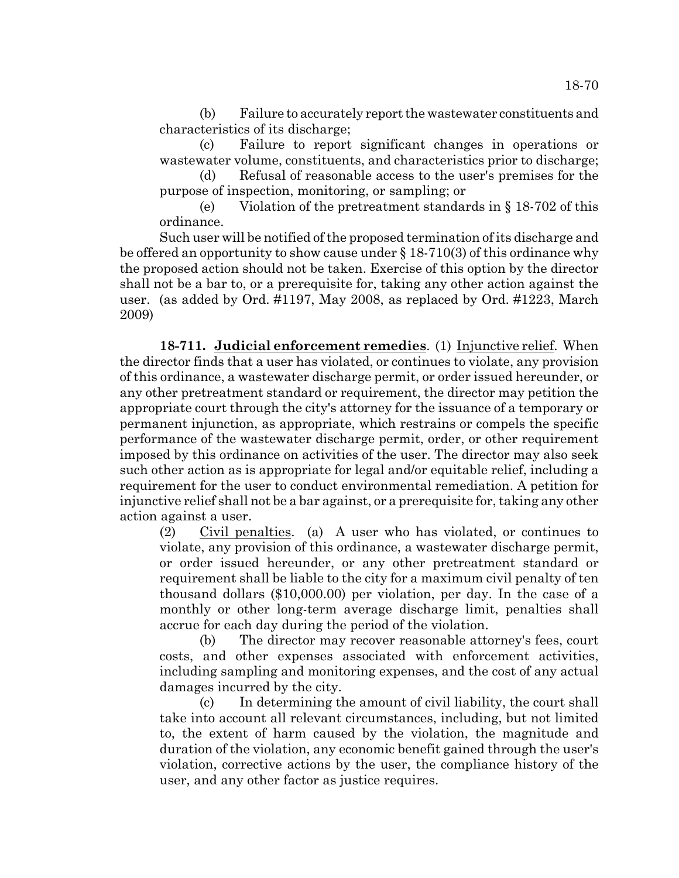(b) Failure to accurately report the wastewater constituents and characteristics of its discharge;

(c) Failure to report significant changes in operations or wastewater volume, constituents, and characteristics prior to discharge;

(d) Refusal of reasonable access to the user's premises for the purpose of inspection, monitoring, or sampling; or

(e) Violation of the pretreatment standards in § 18-702 of this ordinance.

Such user will be notified of the proposed termination of its discharge and be offered an opportunity to show cause under § 18-710(3) of this ordinance why the proposed action should not be taken. Exercise of this option by the director shall not be a bar to, or a prerequisite for, taking any other action against the user. (as added by Ord. #1197, May 2008, as replaced by Ord. #1223, March 2009)

**18-711. Judicial enforcement remedies**. (1) Injunctive relief. When the director finds that a user has violated, or continues to violate, any provision of this ordinance, a wastewater discharge permit, or order issued hereunder, or any other pretreatment standard or requirement, the director may petition the appropriate court through the city's attorney for the issuance of a temporary or permanent injunction, as appropriate, which restrains or compels the specific performance of the wastewater discharge permit, order, or other requirement imposed by this ordinance on activities of the user. The director may also seek such other action as is appropriate for legal and/or equitable relief, including a requirement for the user to conduct environmental remediation. A petition for injunctive relief shall not be a bar against, or a prerequisite for, taking any other action against a user.

(2) Civil penalties. (a) A user who has violated, or continues to violate, any provision of this ordinance, a wastewater discharge permit, or order issued hereunder, or any other pretreatment standard or requirement shall be liable to the city for a maximum civil penalty of ten thousand dollars (\$10,000.00) per violation, per day. In the case of a monthly or other long-term average discharge limit, penalties shall accrue for each day during the period of the violation.

(b) The director may recover reasonable attorney's fees, court costs, and other expenses associated with enforcement activities, including sampling and monitoring expenses, and the cost of any actual damages incurred by the city.

(c) In determining the amount of civil liability, the court shall take into account all relevant circumstances, including, but not limited to, the extent of harm caused by the violation, the magnitude and duration of the violation, any economic benefit gained through the user's violation, corrective actions by the user, the compliance history of the user, and any other factor as justice requires.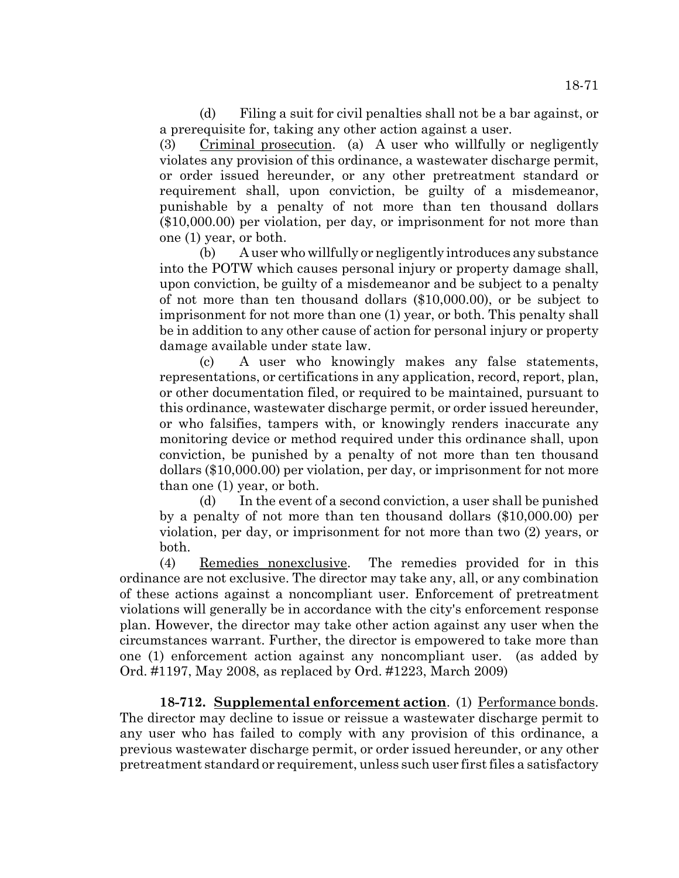(d) Filing a suit for civil penalties shall not be a bar against, or a prerequisite for, taking any other action against a user.

(3) Criminal prosecution. (a) A user who willfully or negligently violates any provision of this ordinance, a wastewater discharge permit, or order issued hereunder, or any other pretreatment standard or requirement shall, upon conviction, be guilty of a misdemeanor, punishable by a penalty of not more than ten thousand dollars (\$10,000.00) per violation, per day, or imprisonment for not more than one (1) year, or both.

(b) A user who willfully or negligently introduces any substance into the POTW which causes personal injury or property damage shall, upon conviction, be guilty of a misdemeanor and be subject to a penalty of not more than ten thousand dollars (\$10,000.00), or be subject to imprisonment for not more than one (1) year, or both. This penalty shall be in addition to any other cause of action for personal injury or property damage available under state law.

(c) A user who knowingly makes any false statements, representations, or certifications in any application, record, report, plan, or other documentation filed, or required to be maintained, pursuant to this ordinance, wastewater discharge permit, or order issued hereunder, or who falsifies, tampers with, or knowingly renders inaccurate any monitoring device or method required under this ordinance shall, upon conviction, be punished by a penalty of not more than ten thousand dollars (\$10,000.00) per violation, per day, or imprisonment for not more than one (1) year, or both.

(d) In the event of a second conviction, a user shall be punished by a penalty of not more than ten thousand dollars (\$10,000.00) per violation, per day, or imprisonment for not more than two (2) years, or both.

(4) Remedies nonexclusive. The remedies provided for in this ordinance are not exclusive. The director may take any, all, or any combination of these actions against a noncompliant user. Enforcement of pretreatment violations will generally be in accordance with the city's enforcement response plan. However, the director may take other action against any user when the circumstances warrant. Further, the director is empowered to take more than one (1) enforcement action against any noncompliant user. (as added by Ord. #1197, May 2008, as replaced by Ord. #1223, March 2009)

**18-712. Supplemental enforcement action**. (1) Performance bonds. The director may decline to issue or reissue a wastewater discharge permit to any user who has failed to comply with any provision of this ordinance, a previous wastewater discharge permit, or order issued hereunder, or any other pretreatment standard or requirement, unless such user first files a satisfactory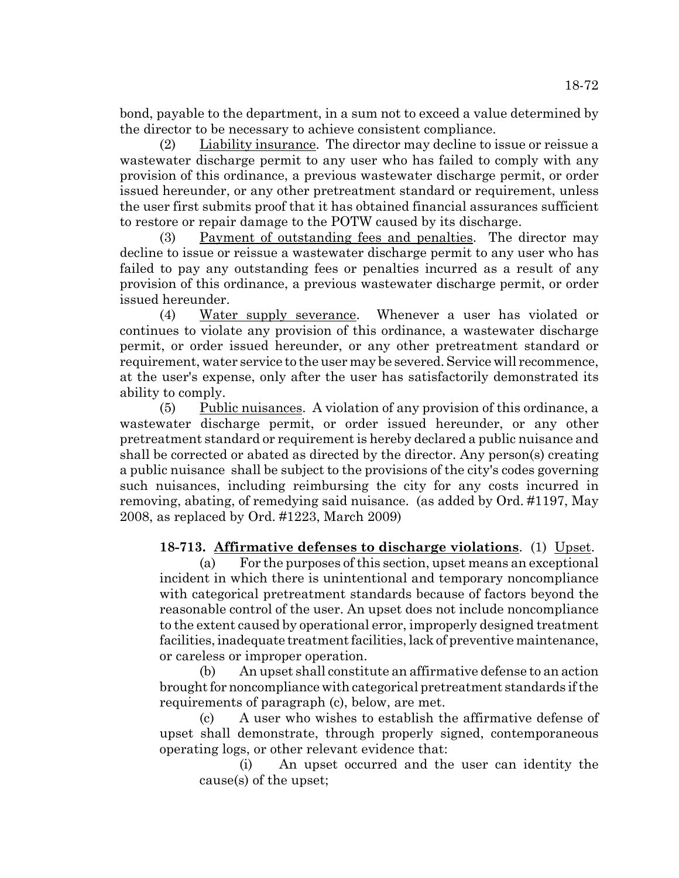bond, payable to the department, in a sum not to exceed a value determined by the director to be necessary to achieve consistent compliance.

(2) Liability insurance. The director may decline to issue or reissue a wastewater discharge permit to any user who has failed to comply with any provision of this ordinance, a previous wastewater discharge permit, or order issued hereunder, or any other pretreatment standard or requirement, unless the user first submits proof that it has obtained financial assurances sufficient to restore or repair damage to the POTW caused by its discharge.

(3) Payment of outstanding fees and penalties. The director may decline to issue or reissue a wastewater discharge permit to any user who has failed to pay any outstanding fees or penalties incurred as a result of any provision of this ordinance, a previous wastewater discharge permit, or order issued hereunder.

(4) Water supply severance. Whenever a user has violated or continues to violate any provision of this ordinance, a wastewater discharge permit, or order issued hereunder, or any other pretreatment standard or requirement, water service to the user may be severed. Service will recommence, at the user's expense, only after the user has satisfactorily demonstrated its ability to comply.

 $(5)$  Public nuisances. A violation of any provision of this ordinance, a wastewater discharge permit, or order issued hereunder, or any other pretreatment standard or requirement is hereby declared a public nuisance and shall be corrected or abated as directed by the director. Any person(s) creating a public nuisance shall be subject to the provisions of the city's codes governing such nuisances, including reimbursing the city for any costs incurred in removing, abating, of remedying said nuisance. (as added by Ord. #1197, May 2008, as replaced by Ord. #1223, March 2009)

**18-713. Affirmative defenses to discharge violations**. (1) Upset.

(a) For the purposes of this section, upset means an exceptional incident in which there is unintentional and temporary noncompliance with categorical pretreatment standards because of factors beyond the reasonable control of the user. An upset does not include noncompliance to the extent caused by operational error, improperly designed treatment facilities, inadequate treatment facilities, lack of preventive maintenance, or careless or improper operation.

(b) An upset shall constitute an affirmative defense to an action brought for noncompliance with categorical pretreatment standards if the requirements of paragraph (c), below, are met.

(c) A user who wishes to establish the affirmative defense of upset shall demonstrate, through properly signed, contemporaneous operating logs, or other relevant evidence that:

(i) An upset occurred and the user can identity the cause(s) of the upset;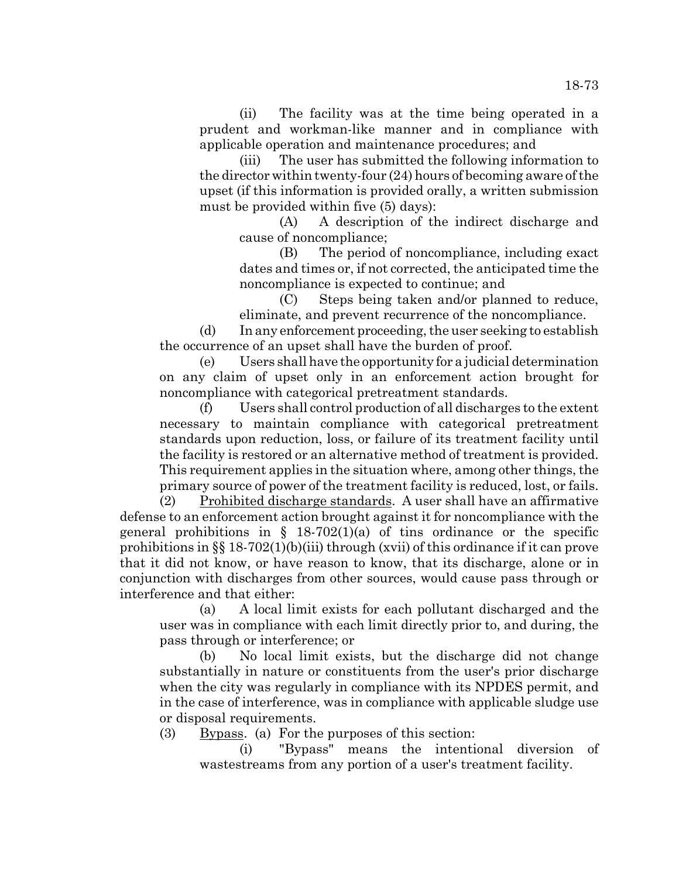(ii) The facility was at the time being operated in a prudent and workman-like manner and in compliance with applicable operation and maintenance procedures; and

(iii) The user has submitted the following information to the director within twenty-four (24) hours of becoming aware of the upset (if this information is provided orally, a written submission must be provided within five (5) days):

(A) A description of the indirect discharge and cause of noncompliance;

(B) The period of noncompliance, including exact dates and times or, if not corrected, the anticipated time the noncompliance is expected to continue; and

(C) Steps being taken and/or planned to reduce, eliminate, and prevent recurrence of the noncompliance.

(d) In any enforcement proceeding, the user seeking to establish the occurrence of an upset shall have the burden of proof.

(e) Users shall have the opportunity for a judicial determination on any claim of upset only in an enforcement action brought for noncompliance with categorical pretreatment standards.

(f) Users shall control production of all discharges to the extent necessary to maintain compliance with categorical pretreatment standards upon reduction, loss, or failure of its treatment facility until the facility is restored or an alternative method of treatment is provided. This requirement applies in the situation where, among other things, the primary source of power of the treatment facility is reduced, lost, or fails.

(2) Prohibited discharge standards. A user shall have an affirmative defense to an enforcement action brought against it for noncompliance with the general prohibitions in  $\S$  18-702(1)(a) of tins ordinance or the specific prohibitions in §§ 18-702(1)(b)(iii) through (xvii) of this ordinance if it can prove that it did not know, or have reason to know, that its discharge, alone or in conjunction with discharges from other sources, would cause pass through or interference and that either:

(a) A local limit exists for each pollutant discharged and the user was in compliance with each limit directly prior to, and during, the pass through or interference; or

(b) No local limit exists, but the discharge did not change substantially in nature or constituents from the user's prior discharge when the city was regularly in compliance with its NPDES permit, and in the case of interference, was in compliance with applicable sludge use or disposal requirements.

(3) Bypass. (a) For the purposes of this section:

(i) "Bypass" means the intentional diversion of wastestreams from any portion of a user's treatment facility.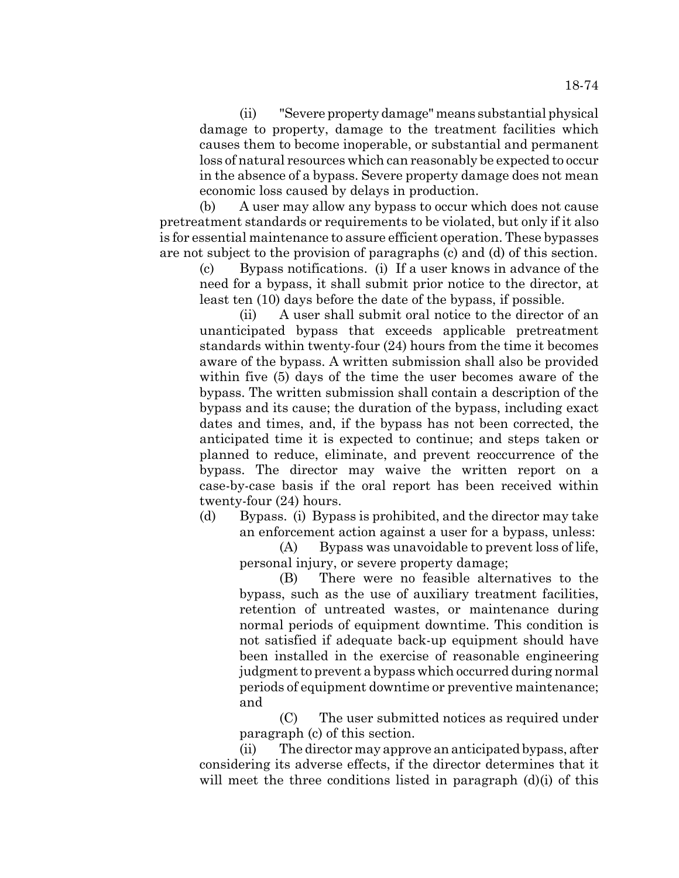(ii) "Severe property damage" means substantial physical damage to property, damage to the treatment facilities which causes them to become inoperable, or substantial and permanent loss of natural resources which can reasonably be expected to occur in the absence of a bypass. Severe property damage does not mean economic loss caused by delays in production.

(b) A user may allow any bypass to occur which does not cause pretreatment standards or requirements to be violated, but only if it also is for essential maintenance to assure efficient operation. These bypasses are not subject to the provision of paragraphs (c) and (d) of this section.

(c) Bypass notifications. (i) If a user knows in advance of the need for a bypass, it shall submit prior notice to the director, at least ten (10) days before the date of the bypass, if possible.

(ii) A user shall submit oral notice to the director of an unanticipated bypass that exceeds applicable pretreatment standards within twenty-four (24) hours from the time it becomes aware of the bypass. A written submission shall also be provided within five (5) days of the time the user becomes aware of the bypass. The written submission shall contain a description of the bypass and its cause; the duration of the bypass, including exact dates and times, and, if the bypass has not been corrected, the anticipated time it is expected to continue; and steps taken or planned to reduce, eliminate, and prevent reoccurrence of the bypass. The director may waive the written report on a case-by-case basis if the oral report has been received within twenty-four (24) hours.

(d) Bypass. (i) Bypass is prohibited, and the director may take an enforcement action against a user for a bypass, unless:

(A) Bypass was unavoidable to prevent loss of life, personal injury, or severe property damage;

(B) There were no feasible alternatives to the bypass, such as the use of auxiliary treatment facilities, retention of untreated wastes, or maintenance during normal periods of equipment downtime. This condition is not satisfied if adequate back-up equipment should have been installed in the exercise of reasonable engineering judgment to prevent a bypass which occurred during normal periods of equipment downtime or preventive maintenance; and

(C) The user submitted notices as required under paragraph (c) of this section.

(ii) The director may approve an anticipated bypass, after considering its adverse effects, if the director determines that it will meet the three conditions listed in paragraph (d)(i) of this